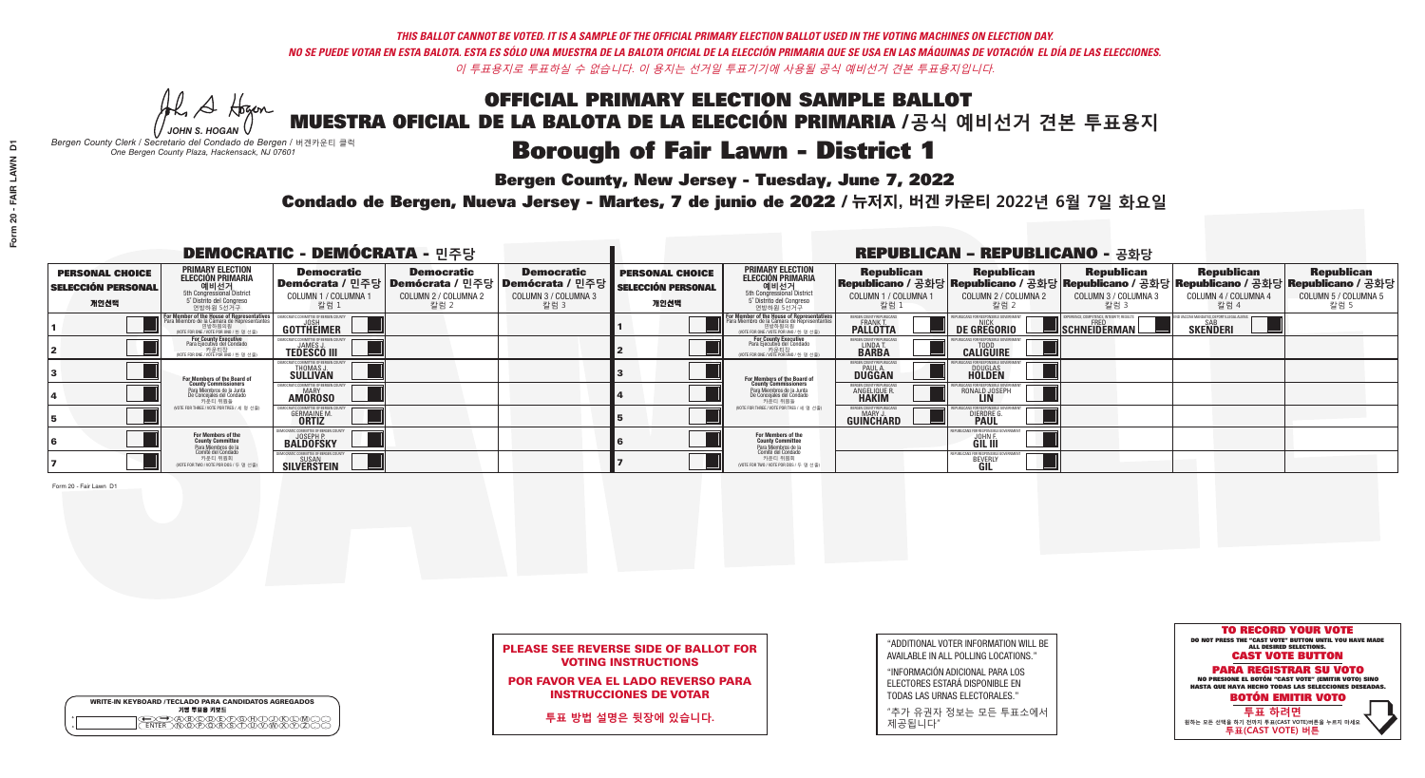He A Hogan *JOHN S. HOGAN*

| <b>WRITE-IN KEYBOARD /TECLADO PARA CANDIDATOS AGREGADOS</b><br>기명 투표용 키보드 |
|---------------------------------------------------------------------------|
| >@®©®®®®®®                                                                |

## **Borough of Fair Lawn - District 1**

**Bergen County, New Jersey - Tuesday, June 7, 2022** 

*Bergen County Clerk / Secretario del Condado de Bergen /* 버겐카운티 클럭 *One Bergen County Plaza, Hackensack, NJ 07601*



## PLEASE SEE REVERSE SIDE OF BALLOT FOR VOTING INSTRUCTIONS

POR FAVOR VEA EL LADO REVERSO PARA INSTRUCCIONES DE VOTAR

**투표 방법 설명은 뒷장에 있습니다.**

| $\overline{D}$             |  |  |
|----------------------------|--|--|
| FAIR LAWN<br>J,<br>Form 20 |  |  |
|                            |  |  |

"ADDITIONAL VOTER INFORMATION WILL BE AVAILABLE IN ALL POLLING LOCATIONS."

"INFORMACIÓN ADICIONAL PARA LOS ELECTORES ESTARÁ DISPONIBLE EN TODAS LAS URNAS ELECTORALES."

"추가 유권자 정보는 모든 투표소에서 제공됩니다"

Condado de Bergen, Nueva Jersey - Martes, 7 de junio de 2022 / 뉴저지, 버겐 카운티 2022년 6월 7일 화요일 *One Bergen County Plaza, Hackensack, NJ 07601*

| <b>DEMOCRATIC - DEMÓCRATA - 민주당</b>                         |                                                                                             |                                                                      |                                                   |                                                                                                   |                                                             |                                                                                                                                                                     |                                                                 | <b>REPUBLICAN - REPUBLICANO - 공화당</b>                                                                                                           |                                                           |                                                               |                                                   |
|-------------------------------------------------------------|---------------------------------------------------------------------------------------------|----------------------------------------------------------------------|---------------------------------------------------|---------------------------------------------------------------------------------------------------|-------------------------------------------------------------|---------------------------------------------------------------------------------------------------------------------------------------------------------------------|-----------------------------------------------------------------|-------------------------------------------------------------------------------------------------------------------------------------------------|-----------------------------------------------------------|---------------------------------------------------------------|---------------------------------------------------|
| <b>PERSONAL CHOICE</b><br><b>SELECCIÓN PERSONAL</b><br>개인선택 | <b>PRIMARY ELECTION</b><br><b>ELECCIÓN PRIMARIA</b><br>연방하원 5선거구                            | <b>Democratic</b><br>│Demócrata / 민주당│<br>COLUMN 1 / COLUMNA<br>칼럼 1 | <b>Democratic</b><br>COLUMN 2 / COLUMNA 2<br>칼럼 2 | <b>Democratic</b><br>  Demócrata / 민주당   Demócrata / 민주당  <br><b>COLUMN 3 / COLUMNA 3</b><br>칼럼 3 | <b>PERSONAL CHOICE</b><br><b>SELECCIÓN PERSONAL</b><br>개인선택 | <b>PRIMARY ELECTION</b><br>ELECCIÓN PRIMARIA<br>예비선거<br><sub>5</sub> Distrite del Congression<br>Sin Congressional District<br>5 Distrite del Congreso<br>연방하원 5선거구 | <b>Republican</b><br>COLUMN 1 / COLUMNA 1<br>"칼럼 1              | <b>Republican</b><br>Republicano / 공화당 Republicano / 공화당 Republicano / 공화당 Republicano / 공화당 Republicano / 공화당<br>COLUMN 2 / COLUMNA 2<br>-칼럼 2 | <b>Republican</b><br>COLUMN 3 / COLUMNA 3<br>칼럼 3         | <b>Republican</b><br>COLUMN 4 / COLUMNA 4<br>칼럼 4             | <b>Republican</b><br>COLUMN 5 / COLUMNA 5<br>칼럼 5 |
|                                                             | For Member of the House of Representatives<br>Para Miembro de la Cámara de Representantes   | DEMOCRATIC COMMITTEE OF BERGEN COUNT<br>GOTTHEIMER                   |                                                   |                                                                                                   |                                                             | F <mark>or Member of the House of Representatives</mark><br>Para Miembro de la Cámara de Representantes<br>NOTE FOR ONE / VOTE POR UNO / 한 명 선출)                    | BERGEN COUNTY REPUBLICANS<br><b>FRANK T.</b><br><b>PALLOTTA</b> | DE GREGORIO                                                                                                                                     | XPERIENCE, COMPETENCE, INTEGRITY, RESULTS<br>SCHNEIDERMAN | ND VACCINE MANDATES, DEPORT ILLEGAL ALIENS<br><b>SKENDERI</b> |                                                   |
|                                                             | For County Executive<br>Para Ejecutivo del Condado<br>vOTE FOR ONE / VOTE POR UNO / 한 명 선출) | EMOCRATIC COMMITTEE OF BERGEN COUNTY<br><b>TEDESCO III</b>           |                                                   |                                                                                                   |                                                             | For County Executive<br>Para Ejecutivo del Condado<br>7) 카운티장<br>(VOTE FOR ONE / VOTE POR UNO / 한 명 선출)                                                             | BERGEN COUNTY REPUBLICAN<br>LINDA T.                            | <b>CALIGUIRE</b>                                                                                                                                |                                                           |                                                               |                                                   |
|                                                             | For Members of the Board of<br>County Commissioners                                         | <b>THOMAS J.</b><br><b>SULLIVAN</b>                                  |                                                   |                                                                                                   |                                                             | For Members of the Board of<br>County Commissioners                                                                                                                 | ERGEN COUNTY REPUBLICAN<br><b>PAUL A.</b><br><b>DUGGAN</b>      | <b>DOUGLAS</b>                                                                                                                                  |                                                           |                                                               |                                                   |
|                                                             | Para Miembros de la Junta<br>De Concejales del Condado<br>카운티 위원들                           | RATIC COMMITTEE OF RERGEN COLIN'<br><b>MARY</b><br><b>AMOROSO</b>    |                                                   |                                                                                                   |                                                             | Para Miembros de la Junta<br>De Concejales del Condado<br>카운티 위원들                                                                                                   | <b>ERGEN COUNTY REPUBLICAN</b><br><b>ANGELIQUE R</b>            | RONALD JOSEPH                                                                                                                                   |                                                           |                                                               |                                                   |
|                                                             | (VOTE FOR THREE / VOTE POR TRES / 세 명 선출)                                                   | <b>GERMAINE M.</b><br><b>ORTIZ</b>                                   |                                                   |                                                                                                   |                                                             | (VOTE FOR THREE / VOTE POR TRES / 세 명 선출)                                                                                                                           | ERGEN COUNTY REPUBLICAN<br><b>GUINCHARD</b>                     | <b>DIERDRE</b>                                                                                                                                  |                                                           |                                                               |                                                   |
|                                                             | For Members of the<br>County Committee<br>Para Miembros de la<br>Comité del Condado         | MOCRATIC COMMITTEE OF BERGEN CO<br><b>BALDOFSKY</b>                  |                                                   |                                                                                                   |                                                             | <b>For Members of the<br/>County Committee</b><br>Para Miembros de la<br>Comité del Condado                                                                         |                                                                 | <b>FOR RESPONSIBLE</b><br>JOHN F<br><b>GIL III</b>                                                                                              |                                                           |                                                               |                                                   |
|                                                             | 카운티 위원회<br>(VOTE FOR TWO / VOTE POR DOS / 두 명 선출)                                           | <b>SUSAN</b><br>SILVERSTEIN                                          |                                                   |                                                                                                   |                                                             | 카운티 위원회<br>(VOTE FOR TWO / VOTE POR DOS / 두 명 선출)                                                                                                                   |                                                                 | <b>¿EPUBLICANS FOR RESPONSIBLE</b><br><b>BEVERLY</b>                                                                                            |                                                           |                                                               |                                                   |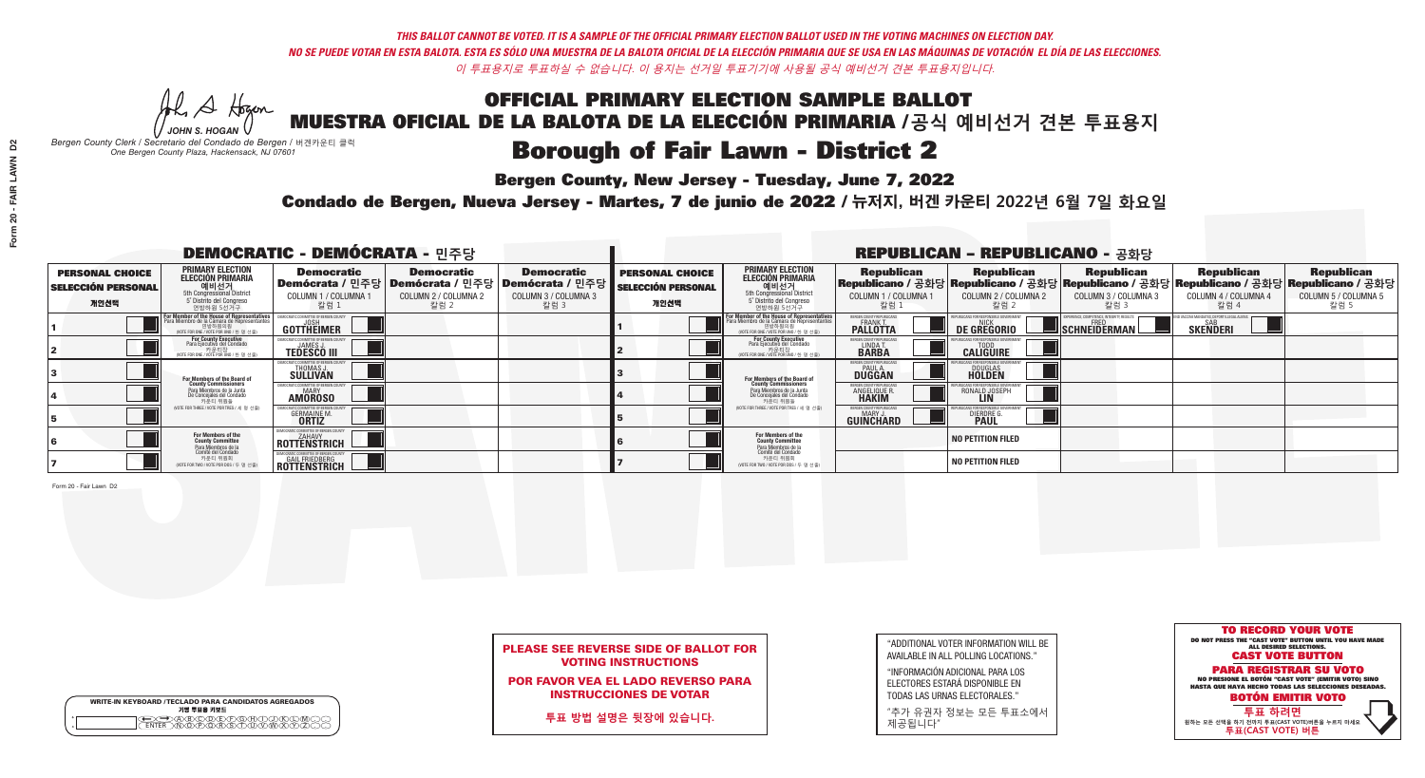He A Hogan *JOHN S. HOGAN*

|         | <b>WRITE-IN KEYBOARD /TECLADO PARA CANDIDATOS AGREGADOS</b><br>기명 투표용 키보드 |
|---------|---------------------------------------------------------------------------|
| $\circ$ | <u>سوپرهلالل ل</u>                                                        |

## **Borough of Fair Lawn - District 2**

**Bergen County, New Jersey - Tuesday, June 7, 2022** 

*Bergen County Clerk / Secretario del Condado de Bergen /* 버겐카운티 클럭 *One Bergen County Plaza, Hackensack, NJ 07601*



POR FAVOR VEA EL LADO REVERSO PARA INSTRUCCIONES DE VOTAR

**투표 방법 설명은 뒷장에 있습니다.**

| "ADDITIONAL VOTER INFORMATION WILL BE |
|---------------------------------------|
| AVAILABLE IN ALL POLLING LOCATIONS."  |
|                                       |

"INFORMACIÓN ADICIONAL PARA LOS ELECTORES ESTARÁ DISPONIBLE EN TODAS LAS URNAS ELECTORALES."

"추가 유권자 정보는 모든 투표소에서 제공됩니다"

Condado de Bergen, Nueva Jersey - Martes, 7 de junio de 2022 / 뉴저지, 버겐 카운티 2022년 6월 7일 화요일 *One Bergen County Plaza, Hackensack, NJ 07601*

| <b>DEMOCRATIC - DEMÓCRATA - 민주당</b>                         |                                                                                                                                                             |                                                               |                                                                                        |                                                                      |                                                             |                                                                                                                                        |                                                            | <b>REPUBLICAN - REPUBLICANO - 공화당</b>              |                                                                                                                                                |                                                             |                                                   |
|-------------------------------------------------------------|-------------------------------------------------------------------------------------------------------------------------------------------------------------|---------------------------------------------------------------|----------------------------------------------------------------------------------------|----------------------------------------------------------------------|-------------------------------------------------------------|----------------------------------------------------------------------------------------------------------------------------------------|------------------------------------------------------------|----------------------------------------------------|------------------------------------------------------------------------------------------------------------------------------------------------|-------------------------------------------------------------|---------------------------------------------------|
| <b>PERSONAL CHOICE</b><br><b>SELECCIÓN PERSONAL</b><br>개인선택 | <b>PRIMARY ELECTION</b><br>ELECCIÓN PRIMARIA<br><b>O   LI   Al 7</b><br>5th Congressional District<br>5 <sup>t</sup> Distrito del Congreso<br>연방하원 5선거구     | <b>Democratic</b><br>COLUMN 1 / COLUMNA<br>칼럼 1               | <b>Democratic</b><br>│Demócrata / 민주당│Demócrata / 민주당│<br>COLUMN 2 / COLUMNA 2<br>칼럼 2 | <b>Democratic</b><br>Demócrata / 민주당<br>COLUMN 3 / COLUMNA 3<br>칼럼 3 | <b>PERSONAL CHOICE</b><br><b>SELECCIÓN PERSONAL</b><br>개인선택 | <b>PRIMARY ELECTION</b><br>ELECCIÓN PRIMARIA<br>예비선거<br>5th Congressional District<br>5 Distrito del Congreso<br>연방하원 5선거구             | <b>Republican</b><br>COLUMN 1 / COLUMNA 1<br>'칼럼 ∶         | <b>Republican</b><br>COLUMN 2 / COLUMNA 2<br>-칼럼 2 | <b>Republican</b><br>Republicano / 공화당 Republicano / 공화당 Republicano / 공화당 Republicano / 공화당 Republicano / 공화당<br>COLUMN 3 / COLUMNA 3<br>칼럼 3 | <b>Republican</b><br>COLUMN 4 / COLUMNA 4<br>칼럼 4           | <b>Republican</b><br>COLUMN 5 / COLUMNA 5<br>칼럼 5 |
|                                                             | F <mark>or Member of the House of Representatives</mark><br>Para Miembro de la Cámara de Representantes<br>연방하원의원<br>(VOTE FOR ONE / VOTE POR UNO / 한 명 선출) | COMMITTEE OF BERGEN (<br>GOTTHEIMER                           |                                                                                        |                                                                      |                                                             | <b>For Member of the House of Representative</b><br>Para Miembro de la Cámara de Representante<br>NOTE FOR ONE / VOTE POR UNO / 한 명 선출 | BERGEN COUNTY REPUBLICAN<br>FRANK T.<br><b>PALLOTTA</b>    | DE GREGORIO                                        | SCHNEIDERMAN                                                                                                                                   | ) VACCINE MANDATES. DEPORT ILLEGAL ALIEN<br><b>SKENDERI</b> |                                                   |
|                                                             | For County Executive<br>Para Ejecutivo del Condado<br>가운티장<br>VOTE FOR ONE / VOTE POR UNO / 한 명 선출)                                                         | JEMOCRATIC COMMITTEE OF BERGEN (<br><b>TEDESCO III</b>        |                                                                                        |                                                                      |                                                             | <b>For County Executive</b><br>Para Ejecutivo del Condado<br>7 카운티장<br>(VOTE FOR ONE / VOTE POR UNO / 한 명 선출)                          | BERGEN COUNTY REPUBLICAN<br>LINDA T.                       | <b>CALIGUIRE</b>                                   |                                                                                                                                                |                                                             |                                                   |
|                                                             | For Members of the Board of<br>County Commissioners                                                                                                         | <b>THOMAS J.</b><br><b>SULLIVAN</b>                           |                                                                                        |                                                                      |                                                             | For Members of the Board of<br>County Commissioners                                                                                    | ERGEN COUNTY REPUBLICAN<br><b>PAUL A.</b><br><b>DUGGAN</b> | <b>DOUGLAS</b>                                     |                                                                                                                                                |                                                             |                                                   |
|                                                             | Para Miembros de la Junta<br>De Concejales del Condado<br>카운티 위원들                                                                                           | : COMMITTEE OF BERGEN CO<br><b>MARY</b><br><b>AMOROSO</b>     |                                                                                        |                                                                      |                                                             | Para Miembros de la Junta<br>De Concejales del Condado<br>카운티 위원들                                                                      | <b>ERGEN COUNTY REPUBLICAN</b><br><b>ANGELIQUE R</b>       | RONALD JOSEPH<br><b>LIN</b>                        |                                                                                                                                                |                                                             |                                                   |
|                                                             | (VOTE FOR THREE / VOTE POR TRES / 세 명 선출)                                                                                                                   | <b>GERMAINE M.</b><br><b>ORTIZ</b>                            |                                                                                        |                                                                      |                                                             | (VOTE FOR THREE / VOTE POR TRES / 세 명 선출)                                                                                              | ERGEN COUNTY REPUBLICAN<br>MARY J.<br>GUINCHARD            | <b>DIERDRE</b>                                     |                                                                                                                                                |                                                             |                                                   |
|                                                             | For Members of the<br>County Committee                                                                                                                      | EMOCRATIC COMMITTEE OF BERGEN COUNT<br>ZAHAVY<br>ROTTENSTRICH |                                                                                        |                                                                      |                                                             | For Members of the<br>County Committee                                                                                                 |                                                            | <b>NO PETITION FILED</b>                           |                                                                                                                                                |                                                             |                                                   |
|                                                             | Para Miembros de la<br>Comité del Condado<br>카운티 위원회<br>(VOTE FOR TWO / VOTE POR DOS / 두 명 선출)                                                              | <b>GAIL FRIEDBERG</b><br><b>ROTTENSTRICH</b>                  |                                                                                        |                                                                      |                                                             | Para Miembros de la<br>Comité del Condado<br>카운티 위원회<br>NOTE FOR TWO / VOTE POR DOS / 두 명 선출)                                          |                                                            | NO PETITION FILED                                  |                                                                                                                                                |                                                             |                                                   |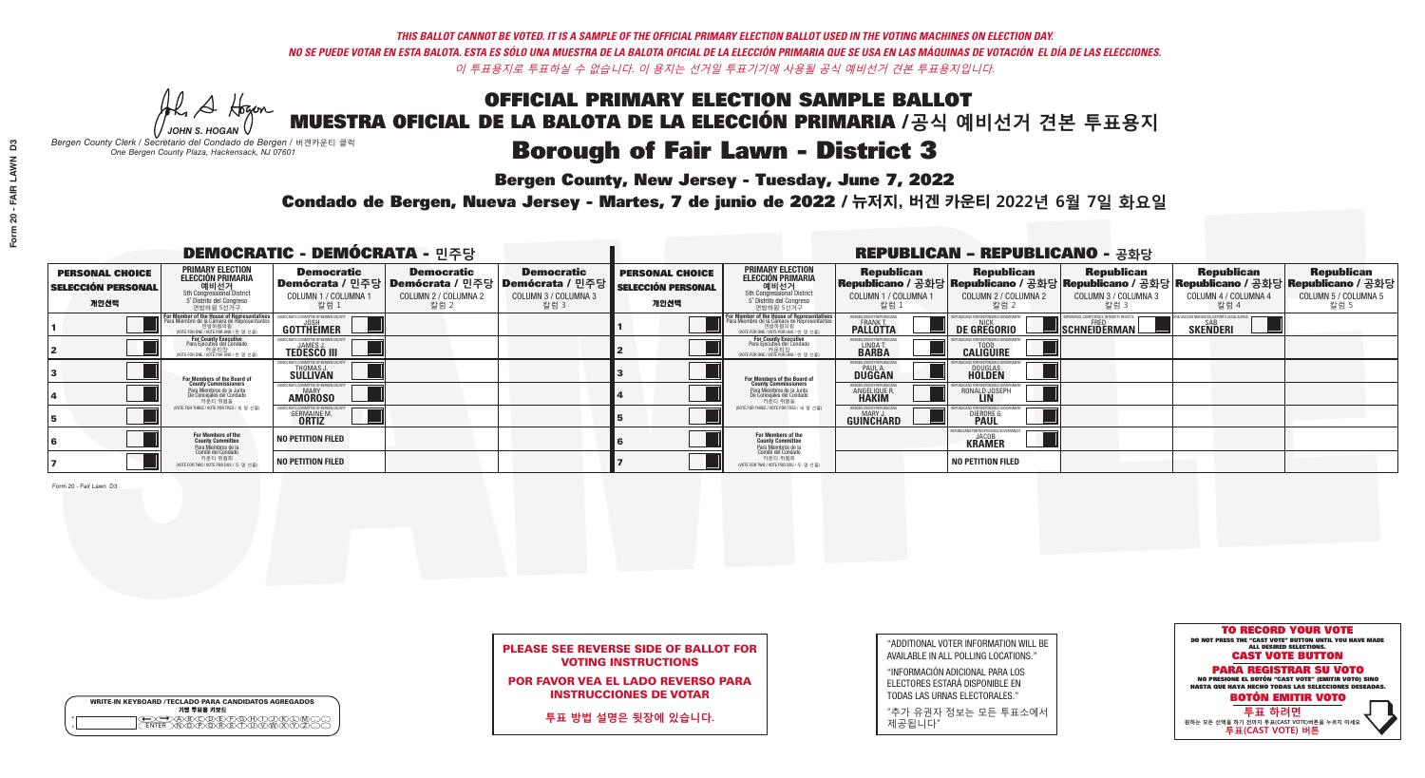He A Hogan *JOHN S. HOGAN*

| <b>WRITE-IN KEYBOARD /TECLADO PARA CANDIDATOS AGREGADOS</b><br>기명 투표용 키보드 |  |
|---------------------------------------------------------------------------|--|
| @®©®®®®®™©®<br>™®®®®®®™™®®<br><b>FNTFR</b>                                |  |

## **Borough of Fair Lawn - District 3**

**Bergen County, New Jersey - Tuesday, June 7, 2022** 

*Bergen County Clerk / Secretario del Condado de Bergen /* 버겐카운티 클럭 *One Bergen County Plaza, Hackensack, NJ 07601*



## PLEASE SEE REVERSE SIDE OF BALLOT FOR VOTING INSTRUCTIONS

POR FAVOR VEA EL LADO REVERSO PARA INSTRUCCIONES DE VOTAR

**투표 방법 설명은 뒷장에 있습니다.**

| "ADDITIONAL VOTER INFORMATION WILL BE |
|---------------------------------------|
| AVAILABLE IN ALL POLLING LOCATIONS."  |
|                                       |

"INFORMACIÓN ADICIONAL PARA LOS ELECTORES ESTARÁ DISPONIBLE EN TODAS LAS URNAS ELECTORALES."

"추가 유권자 정보는 모든 투표소에서 제공됩니다"

Condado de Bergen, Nueva Jersey - Martes, 7 de junio de 2022 / 뉴저지, 버겐 카운티 2022년 6월 7일 화요일 *One Bergen County Plaza, Hackensack, NJ 07601*

| <b>DEMOCRATIC - DEMÓCRATA - 민주당</b>                         |                                                                                                                                               |                                                                       |                                                   |                                                                                                      |                                                             |                                                                                                                                                |                                                             | <b>REPUBLICAN - REPUBLICANO - 공화당</b>              |                                                   |                                                                                                                                                |                                                   |
|-------------------------------------------------------------|-----------------------------------------------------------------------------------------------------------------------------------------------|-----------------------------------------------------------------------|---------------------------------------------------|------------------------------------------------------------------------------------------------------|-------------------------------------------------------------|------------------------------------------------------------------------------------------------------------------------------------------------|-------------------------------------------------------------|----------------------------------------------------|---------------------------------------------------|------------------------------------------------------------------------------------------------------------------------------------------------|---------------------------------------------------|
| <b>PERSONAL CHOICE</b><br><b>SELECCIÓN PERSONAL</b><br>개인선택 | <b>PRIMARY ELECTION</b><br>ELECCIÓN PRIMARIA<br>에비선거<br>5th Congressional District<br>5 <sup>*</sup> Distrito del Congreso<br>연방하원 5선거구       | <b>Democratic</b><br>COLUMN 1 / COLUMNA<br>칼럼 1                       | <b>Democratic</b><br>COLUMN 2 / COLUMNA 2<br>칼럼 2 | <b>Democratic</b><br>Demócrata / 민주당 Demócrata / 민주당 Demócrata / 민주당<br>COLUMN 3 / COLUMNA 3<br>칼럼 3 | <b>PERSONAL CHOICE</b><br><b>SELECCIÓN PERSONAL</b><br>개인선택 | <b>PRIMARY ELECTION</b><br><b>ELECCIÓN PRIMARIA</b><br>예비선거<br>5th Congressional District<br>5 <sup>*</sup> Distrito del Congreso<br>연방하원 5선거구 | <b>Republican</b><br>COLUMN 1 / COLUMNA 1<br>칼럼             | <b>Republican</b><br>COLUMN 2 / COLUMNA 2<br>-칼럼 2 | <b>Republican</b><br>COLUMN 3 / COLUMNA 3<br>칼럼 3 | <b>Republican</b><br>Republicano / 공화당 Republicano / 공화당 Republicano / 공화당 Republicano / 공화당 Republicano / 공화당<br>COLUMN 4 / COLUMNA 4<br>칼럼 4 | <b>Republican</b><br>COLUMN 5 / COLUMNA 5<br>칼럼 5 |
|                                                             | For Member of the House of Representatives<br>Para Miembro de la Cámara de Representantes<br>연방하원의원<br>(VOTE FOR ONE / VOTE POR UNO / 한 명 선출) | GOTTHEIMER                                                            |                                                   |                                                                                                      |                                                             | <b>For Member of the House of Representative</b><br>Para Miembro de la Cámara de Representante<br>NOTE FOR ONE / VOTE POR UNO / 한 명 선출         | ERGEN COUNTY REPUBLICAN<br><b>PALLOTTA</b>                  | DE GREGORIO                                        | SCHNEIDERMAN                                      | <b>SKENDERI</b>                                                                                                                                |                                                   |
|                                                             | For County Executive<br>Para Ejecutivo del Condado<br>VOTE FOR ONE / VOTE POR UNO / 한 명 선출)                                                   | <b>TEDESCO III</b>                                                    |                                                   |                                                                                                      |                                                             | For County Executive<br>Para Ejecutivo del Condado<br>WOTE FOR ONE / VOTE POR UNO / 한 명 선출)                                                    | BERGEN COUNTY REPUBLICAN<br>LINDA T.                        | <b>CALIGUIRE</b>                                   |                                                   |                                                                                                                                                |                                                   |
|                                                             | For Members of the Board of<br>County Commissioners                                                                                           | MOCRATIC COMMITTEE OF BERGEN (<br><b>THOMAS J.</b><br><b>SULLIVAN</b> |                                                   |                                                                                                      |                                                             | For Members of the Board of<br>County Commissioners                                                                                            | BERGEN COUNTY REPUBLICAN<br><b>PAUL A.</b><br><b>DUGGAN</b> | <b>DOUGLAS</b><br><b>HOLDEN</b>                    |                                                   |                                                                                                                                                |                                                   |
|                                                             | Para Miembros de la Junta<br>De Concejales del Condado<br>카운티 위원들                                                                             | <b>10CRATIC COMMITTEE OF BERGEN COUN</b><br><b>AMOROSO</b>            |                                                   |                                                                                                      |                                                             | Para Miembros de la Junta<br>De Concejales del Condado<br>카운티 위원들                                                                              | ERGEN COUNTY REPUBLICAN<br><b>ANGELIQUE R</b>               | RONALD JOSEPH<br><b>LIN</b>                        |                                                   |                                                                                                                                                |                                                   |
|                                                             | (VOTE FOR THREE / VOTE POR TRES / 세 명 선출)                                                                                                     | <b>GERMAINE M.</b>                                                    |                                                   |                                                                                                      |                                                             | (VOTE FOR THREE / VOTE POR TRES / 세 명 선출)                                                                                                      | BERGEN COUNTY REPUBLICAN<br>MARY J<br>GUINCHARD             | <b>DIERDRE</b>                                     |                                                   |                                                                                                                                                |                                                   |
|                                                             | For Members of the<br>County Committee<br>Para Miembros de la<br>Comité del Condado                                                           | NO PETITION FILED                                                     |                                                   |                                                                                                      |                                                             | For Members of the<br>County Committee                                                                                                         |                                                             | <b>KRAMER</b>                                      |                                                   |                                                                                                                                                |                                                   |
|                                                             | 카운티 위원회<br>NOTE FOR TWO / VOTE POR DOS / 두 명 선출)                                                                                              | <b>NO PETITION FILED</b>                                              |                                                   |                                                                                                      |                                                             | Para Miembros de la<br>Comité del Condado<br>카운티 위원회<br>NOTE FOR TWO / VOTE POR DOS / 두 명 선출)                                                  |                                                             | <b>NO PETITION FILED</b>                           |                                                   |                                                                                                                                                |                                                   |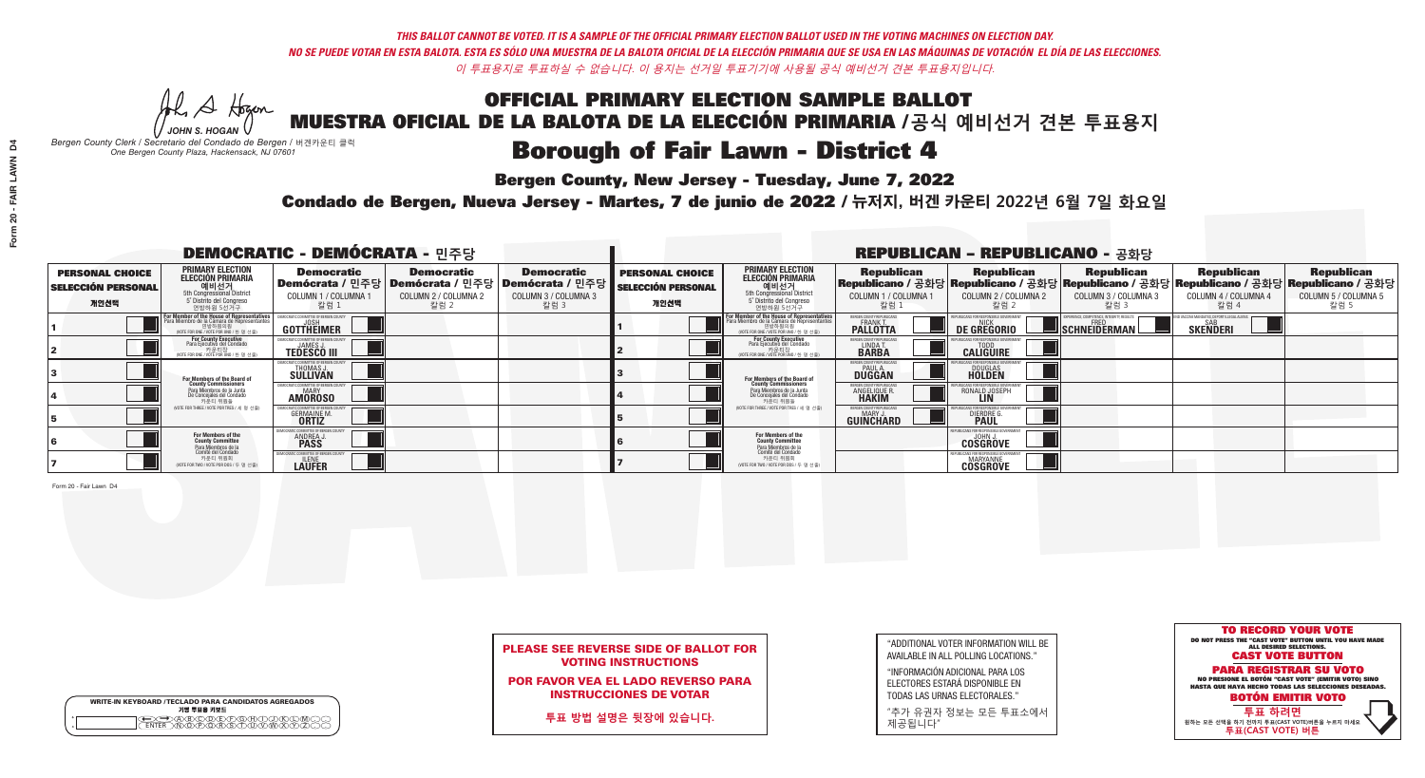He A Hogan *JOHN S. HOGAN*

|         | <b>WRITE-IN KEYBOARD /TECLADO PARA CANDIDATOS AGREGADOS</b><br>기명 투표용 키보드 |
|---------|---------------------------------------------------------------------------|
| $\circ$ | <u>سوپرهلالل ل</u>                                                        |

## **Borough of Fair Lawn - District 4**

**Bergen County, New Jersey - Tuesday, June 7, 2022** 

*Bergen County Clerk / Secretario del Condado de Bergen /* 버겐카운티 클럭 *One Bergen County Plaza, Hackensack, NJ 07601*



POR FAVOR VEA EL LADO REVERSO PARA INSTRUCCIONES DE VOTAR

**투표 방법 설명은 뒷장에 있습니다.**

"ADDITIONAL VOTER INFORMATION WILL BE AVAILABLE IN ALL POLLING LOCATIONS."

"INFORMACIÓN ADICIONAL PARA LOS ELECTORES ESTARÁ DISPONIBLE EN TODAS LAS URNAS ELECTORALES."

"추가 유권자 정보는 모든 투표소에서 제공됩니다"

Condado de Bergen, Nueva Jersey - Martes, 7 de junio de 2022 / 뉴저지, 버겐 카운티 2022년 6월 7일 화요일 *One Bergen County Plaza, Hackensack, NJ 07601*

| <b>DEMOCRATIC - DEMÓCRATA - 민주당</b>                         |                                                                                                                                               |                                                                  |                                                   |                                                                                                        |                                                             |                                                                                                                                                |                                                            | <b>REPUBLICAN - REPUBLICANO - 공화당</b>                      |                                                   |                                                                                                                                                |                                                   |
|-------------------------------------------------------------|-----------------------------------------------------------------------------------------------------------------------------------------------|------------------------------------------------------------------|---------------------------------------------------|--------------------------------------------------------------------------------------------------------|-------------------------------------------------------------|------------------------------------------------------------------------------------------------------------------------------------------------|------------------------------------------------------------|------------------------------------------------------------|---------------------------------------------------|------------------------------------------------------------------------------------------------------------------------------------------------|---------------------------------------------------|
| <b>PERSONAL CHOICE</b><br><b>SELECCIÓN PERSONAL</b><br>개인선택 | <b>PRIMARY ELECTION</b><br>ELECCIÓN PRIMARIA<br>에비선거<br>5th Congressional District<br>5 <sup>*</sup> Distrito del Congreso<br>연방하원 5선거구       | <b>Democratic</b><br>COLUMN 1 / COLUMNA<br>칼럼 1                  | <b>Democratic</b><br>COLUMN 2 / COLUMNA 2<br>칼럼 2 | <b>Democratic</b><br>Demócrata / 민주당 Demócrata / 민주당 Demócrata / 민주당  <br>COLUMN 3 / COLUMNA 3<br>칼럼 3 | <b>PERSONAL CHOICE</b><br><b>SELECCIÓN PERSONAL</b><br>개인선택 | <b>PRIMARY ELECTION</b><br><b>ELECCIÓN PRIMARIA</b><br>예비선거<br>5th Congressional District<br>5 <sup>*</sup> Distrito del Congreso<br>연방하원 5선거구 | <b>Republican</b><br>COLUMN 1 / COLUMNA 1<br>칼럼            | <b>Republican</b><br>COLUMN 2 / COLUMNA 2<br>-칼럼 2         | <b>Republican</b><br>COLUMN 3 / COLUMNA 3<br>칼럼 3 | <b>Republican</b><br>Republicano / 공화당 Republicano / 공화당 Republicano / 공화당 Republicano / 공화당 Republicano / 공화당<br>COLUMN 4 / COLUMNA 4<br>칼럼 4 | <b>Republican</b><br>COLUMN 5 / COLUMNA 5<br>칼럼 5 |
|                                                             | For Member of the House of Representatives<br>Para Miembro de la Cámara de Representantes<br>연방하원의원<br>(VOTE FOR ONE / VOTE POR UNO / 한 명 선출) | GOTTHEIMER                                                       |                                                   |                                                                                                        |                                                             | F <mark>or Member of the House of Representative</mark><br>Para Miembro de la Cámara de Representante:<br>NOTE FOR ONE / VOTE POR UNO / 한 명 선출 | BERGEN COUNTY REPUBLICANS<br>FRANK T.<br><b>PALLOTTA</b>   | DE GREGORIO                                                | SCHNEIDERMAN                                      | <b>SKENDERI</b>                                                                                                                                |                                                   |
|                                                             | For County Executive<br>Para Ejecutivo del Condado<br>, 카운티장<br>(VOTE FOR ONE / VOTE POR UNO / 한 명 선출)                                        | EMOCRATIC COMMITTEE OF BERGEN<br><b>TEDESCO III</b>              |                                                   |                                                                                                        |                                                             | For County Executive<br>Para Ejecutivo del Condado<br>7 카운티장<br>(VOTE FOR ONE / VOTE POR UNO / 한 명 선출)                                         | BERGEN COUNTY REPUBLICA<br>LINDA T.                        | <b>CALIGUIRE</b>                                           |                                                   |                                                                                                                                                |                                                   |
|                                                             | For Members of the Board of<br>County Commissioners                                                                                           | <b>THOMAS J.</b><br><b>SULLIVAN</b>                              |                                                   |                                                                                                        |                                                             | For Members of the Board of<br>County Commissioners                                                                                            | ERGEN COUNTY REPUBLICAN<br><b>PAUL A.</b><br><b>DUGGAN</b> | <b>DOUGLAS</b>                                             |                                                   |                                                                                                                                                |                                                   |
|                                                             | Para Miembros de la Junta<br>De Concejales del Condado<br>카운티 위원들                                                                             | ATIC COMMITTEE OF BERGEN COUN<br><b>MARY</b><br><b>AMOROSO</b>   |                                                   |                                                                                                        |                                                             | Para Miembros de la Junta<br>De Concejales del Condado<br>카운티 위원들                                                                              | ERGEN COUNTY REPUBLICAN<br>ANGELIQUE R                     | RONALD JOSEPH<br><b>LIN</b>                                |                                                   |                                                                                                                                                |                                                   |
|                                                             | NOTE FOR THREE / VOTE POR TRES / 세 명 선출)                                                                                                      | <b>GERMAINE M.</b><br><b>ORTIZ</b>                               |                                                   |                                                                                                        |                                                             | (VOTE FOR THREE / VOTE POR TRES / 세 명 선출)                                                                                                      | BERGEN COUNTY REPUBLICAN<br>MARY J.<br>GUINCHARD           | <b>DIERDRE</b>                                             |                                                   |                                                                                                                                                |                                                   |
|                                                             | For Members of the<br>County Committee                                                                                                        | OCRATIC COMMITTEE OF BERGEN (<br><b>ANDREA J.</b><br><b>PASS</b> |                                                   |                                                                                                        |                                                             | For Members of the<br>County Committee                                                                                                         |                                                            | UBLICANS FOR RESPONSIBLE GO<br><b>COSGROVE</b>             |                                                   |                                                                                                                                                |                                                   |
|                                                             | Para Miembros de la<br>Comité del Condado<br>카운티 위원회<br>(VOTE FOR TWO / VOTE POR DOS / 두 명 선출)                                                | CRATIC COMMITTEE OF BERGEN<br><b>LAUFER</b>                      |                                                   |                                                                                                        |                                                             | Para Miembros de la<br>Comité del Condado<br>카운티 위원회<br>(VOTE FOR TWO / VOTE POR DOS / 두 명 선출)                                                 |                                                            | PUBLICANS FOR RESPONSIBLE *<br>MARYANNE<br><b>CÖSGRÖVE</b> |                                                   |                                                                                                                                                |                                                   |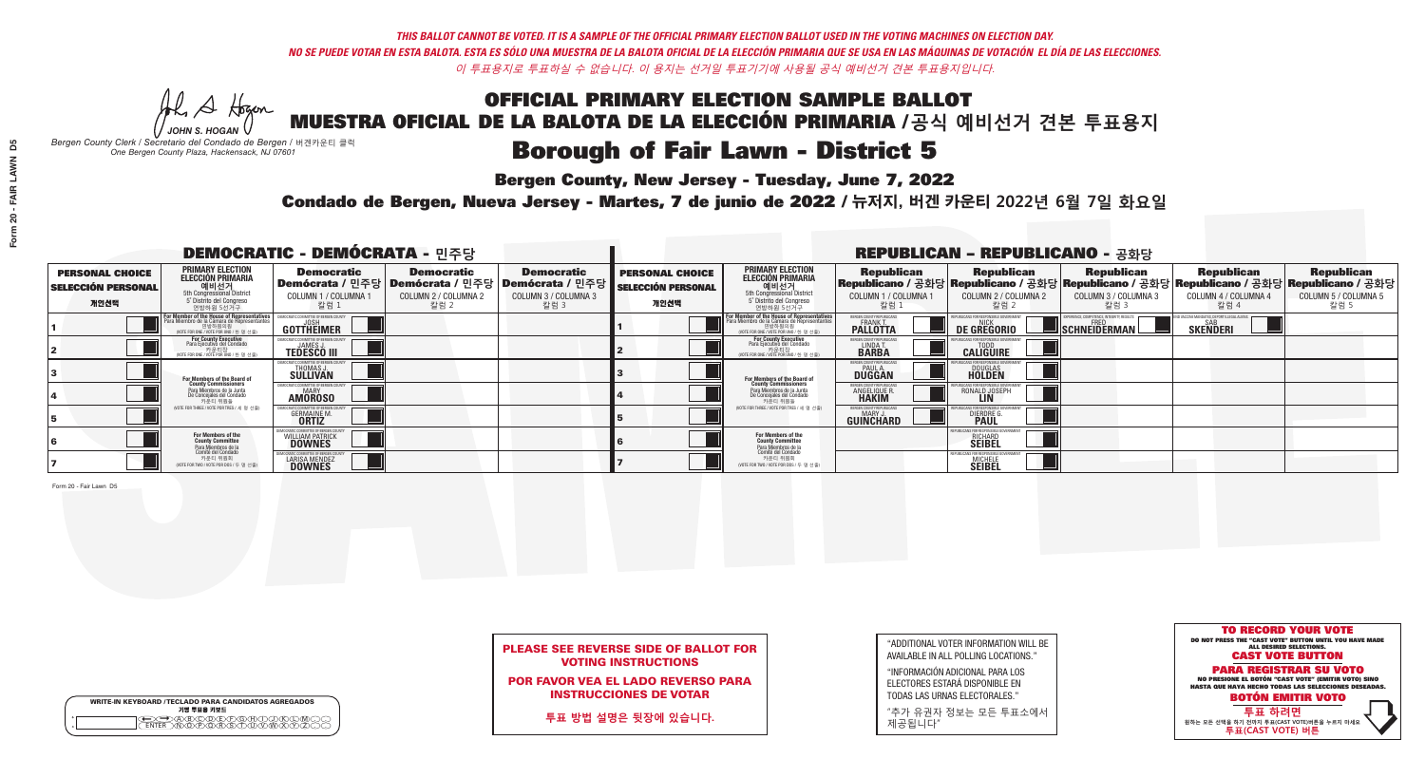He A Hogan *JOHN S. HOGAN*

| <b>WRITE-IN KEYBOARD /TECLADO PARA CANDIDATOS AGREGADOS</b><br>기명 투표용 키보드 |  |
|---------------------------------------------------------------------------|--|
| ∙AB©DEEOHOJ<br>∧NOPORSTUV™                                                |  |

## **Borough of Fair Lawn - District 5**

**Bergen County, New Jersey - Tuesday, June 7, 2022** 

*Bergen County Clerk / Secretario del Condado de Bergen /* 버겐카운티 클럭 *One Bergen County Plaza, Hackensack, NJ 07601*



## PLEASE SEE REVERSE SIDE OF BALLOT FOR VOTING INSTRUCTIONS

POR FAVOR VEA EL LADO REVERSO PARA INSTRUCCIONES DE VOTAR

**투표 방법 설명은 뒷장에 있습니다.**

"ADDITIONAL VOTER INFORMATION WILL BE AVAILABLE IN ALL POLLING LOCATIONS."

"INFORMACIÓN ADICIONAL PARA LOS ELECTORES ESTARÁ DISPONIBLE EN TODAS LAS URNAS ELECTORALES."

"추가 유권자 정보는 모든 투표소에서 제공됩니다"

Condado de Bergen, Nueva Jersey - Martes, 7 de junio de 2022 / 뉴저지, 버겐 카운티 2022년 6월 7일 화요일 *One Bergen County Plaza, Hackensack, NJ 07601*

|                                                             |                                                                                                                                               | <b>DEMOCRATIC - DEMÓCRATA - 민주당</b>                    |                                                   |                                                                                                        |                                                             |                                                                                                                                               |                                                         | <b>REPUBLICAN - REPUBLICANO - 공화당</b>                                                                                                             |                                                   |                                                   |                                                   |
|-------------------------------------------------------------|-----------------------------------------------------------------------------------------------------------------------------------------------|--------------------------------------------------------|---------------------------------------------------|--------------------------------------------------------------------------------------------------------|-------------------------------------------------------------|-----------------------------------------------------------------------------------------------------------------------------------------------|---------------------------------------------------------|---------------------------------------------------------------------------------------------------------------------------------------------------|---------------------------------------------------|---------------------------------------------------|---------------------------------------------------|
| <b>PERSONAL CHOICE</b><br><b>SELECCIÓN PERSONAL</b><br>개인선택 | PRIMARY ELECTION<br>연방하원 5선거구                                                                                                                 | <b>Democratic</b><br>COLUMN 1 / COLUMNA ·<br>칼럼 1      | <b>Democratic</b><br>COLUMN 2 / COLUMNA 2<br>칼럼 2 | <b>Democratic</b><br>│Demócrata / 민주당│Demócrata / 민주당│Demócrata / 민주당┃<br>COLUMN 3 / COLUMNA 3<br>칼럼 3 | <b>PERSONAL CHOICE</b><br><b>SELECCIÓN PERSONAL</b><br>개인선택 | <b>PRIMARY ELECTION</b><br><b>ELECCIÓN PRIMARIA</b><br>예비선거<br>5th Congressional District<br>5 Distrito del Congreso<br>연방하원 5선거구             | <b>Republican</b><br>COLUMN 1 / COLUMNA 1<br>칼럼         | <b>Republican</b><br> Republicano / 공화당 Republicano / 공화당 Republicano / 공화당 Republicano / 공화당 Republicano / 공화당 <br>COLUMN 2 / COLUMNA 2<br>-칼럼 2 | <b>Republican</b><br>COLUMN 3 / COLUMNA 3<br>칼럼 3 | <b>Republican</b><br>COLUMN 4 / COLUMNA 4<br>칼럼 4 | <b>Republican</b><br>COLUMN 5 / COLUMNA 5<br>칼럼 5 |
|                                                             | For Member of the House of Representatives<br>Para Miembro de la Cámara de Representantes<br>연방하원의원<br>(VOTE FOR ONE / VOTE POR UNO / 한 명 선출) | GOTTHEIMER                                             |                                                   |                                                                                                        |                                                             | For Member of the House of Representatives<br>Para Miembro de la Cámara de Representantes<br>연방하원의원<br>(VOTE FOR ONE / VOTE POR UNO / 한 명 선출) | BERGEN COUNTY REPUBLICAN<br><b>PALLOTTA</b>             | DE GREGORIO                                                                                                                                       | SCHNEIDERMAN                                      | <b>SKENDERI</b>                                   |                                                   |
|                                                             | For County Executive<br>Para Ejecutivo del Condado<br>VOTE FOR ONE / VOTË POR UNO / 한 명 선출)                                                   | <b>TEDESCO III</b>                                     |                                                   |                                                                                                        |                                                             | <b>For County Executive</b><br>Para Ejecutivo del Condado<br>7) 카운티장<br>(VOTE FOR ONE / VOTE POR UNO / 한 명 선출)                                | BERGEN COUNTY REPUBLICA<br>LINDA T.                     | <b>CALIGUIRE</b>                                                                                                                                  |                                                   |                                                   |                                                   |
|                                                             | For Members of the Board of<br>County Commissioners                                                                                           | OCRATIC COMMITTEE OF BERGEN C<br>THOMAS J.<br>SULLIVAN |                                                   |                                                                                                        |                                                             | For Members of the Board of<br>County Commissioners                                                                                           | <b>BERGEN COUNTY REPUBLICAN<br/>PAUL A.<br/>DUGGAN</b>  | <b>DOUGLAS</b>                                                                                                                                    |                                                   |                                                   |                                                   |
|                                                             | Para Miembros de la Junta<br>De Concejales del Condado<br>카운티 위원들                                                                             | CRATIC COMMITTEE OF BERGEN COUNT<br><b>AMOROSO</b>     |                                                   |                                                                                                        |                                                             | Para Miembros de la Junta<br>De Concejales del Condado<br>카운티 위원들                                                                             | ERGEN COUNTY REPUBLICAN<br>ANGELIQUE R.<br><b>HAKIM</b> | RONALD JOSEPH                                                                                                                                     |                                                   |                                                   |                                                   |
|                                                             | (VOTE FOR THREE / VOTE POR TRES / 세 명 선출)                                                                                                     | <b>GERMAINE M.</b><br><b>ORTIZ</b>                     |                                                   |                                                                                                        |                                                             | (VOTE FOR THREE / VOTE POR TRES / 세 명 선출)                                                                                                     | ERGEN COUNTY REPUBLICAN<br><b>GUINCHARD</b>             | <b>DIERDRE</b>                                                                                                                                    |                                                   |                                                   |                                                   |
|                                                             | For Members of the<br>County Committee                                                                                                        | DCRATIC COMMITTEE OF BERGEN<br>WILLIAM PATRICK         |                                                   |                                                                                                        |                                                             | For Members of the<br>County Committee                                                                                                        |                                                         | FOR RESPONSIBLE<br><b>RICHARD</b><br><b>SEIBEL</b>                                                                                                |                                                   |                                                   |                                                   |
|                                                             | <sup>p</sup> ara Miembros de la<br>Comité del Condado<br>카운티 위원회<br>(VOTE FOR TWO / VOTE POR DOS / 두 명 선출)                                    | LARISA MENDEZ                                          |                                                   |                                                                                                        |                                                             | Para Miembros de la<br>Comité del Condado<br>카운티 위원회<br>VOTE FOR TWO / VOTE POR DOS / 두 명 선출)                                                 |                                                         | <b>MICHELE</b><br><b>SEIBEL</b>                                                                                                                   |                                                   |                                                   |                                                   |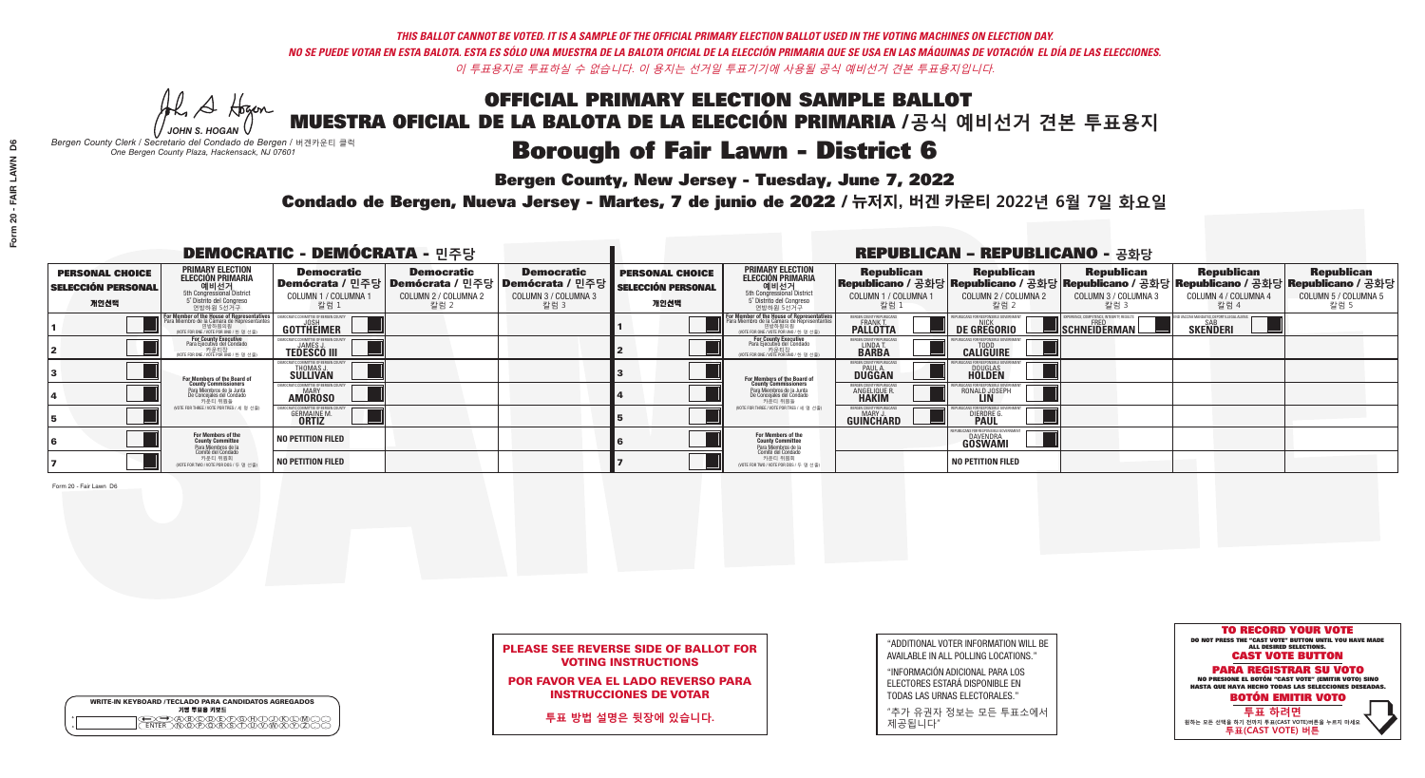He A Hogan *JOHN S. HOGAN*

# **Borough of Fair Lawn - District 6**

**Bergen County, New Jersey - Tuesday, June 7, 2022** 

*Bergen County Clerk / Secretario del Condado de Bergen /* 버겐카운티 클럭 *One Bergen County Plaza, Hackensack, NJ 07601*



## PLEASE SEE REVERSE SIDE OF BALLOT FOR VOTING INSTRUCTIONS

POR FAVOR VEA EL LADO REVERSO PARA INSTRUCCIONES DE VOTAR

**투표 방법 설명은 뒷장에 있습니다.**

WRITE-IN KEYBOARD /TECLADO PARA CANDIDATOS AGREGADOS<br>기명 투표용 키보드  $\bigoplus \bigoplus \mathbb{A} \oplus \mathbb{C} \oplus \mathbb{C} \oplus \mathbb{C} \oplus \mathbb{C} \oplus \mathbb{C} \cup \mathbb{W} \oplus \mathbb{Z} \oplus \mathbb{Z} \oplus \mathbb{C}$ 

| "ADDITIONAL VOTER INFORMATION WILL BE |
|---------------------------------------|
| AVAILABLE IN ALL POLLING LOCATIONS."  |
|                                       |

"INFORMACIÓN ADICIONAL PARA LOS ELECTORES ESTARÁ DISPONIBLE EN TODAS LAS URNAS ELECTORALES."

"추가 유권자 정보는 모든 투표소에서 제공됩니다"

Condado de Bergen, Nueva Jersey - Martes, 7 de junio de 2022 / 뉴저지, 버겐 카운티 2022년 6월 7일 화요일 *One Bergen County Plaza, Hackensack, NJ 07601*

| <b>DEMOCRATIC - DEMÓCRATA - 민주당</b>                         |                                                                                                                                               |                                                         |                                                                                          |                                                                      | <b>REPUBLICAN - REPUBLICANO - 공화당</b>                       |                                                                                                                                         |                                                        |                                                    |                                                   |                                                                                                                                                  |                                                   |
|-------------------------------------------------------------|-----------------------------------------------------------------------------------------------------------------------------------------------|---------------------------------------------------------|------------------------------------------------------------------------------------------|----------------------------------------------------------------------|-------------------------------------------------------------|-----------------------------------------------------------------------------------------------------------------------------------------|--------------------------------------------------------|----------------------------------------------------|---------------------------------------------------|--------------------------------------------------------------------------------------------------------------------------------------------------|---------------------------------------------------|
| <b>PERSONAL CHOICE</b><br><b>SELECCIÓN PERSONAL</b><br>개인선택 | PRIMARY ELECTION<br>ELECCIÓN PRIMARIA<br>에비선거<br>5th Congressional District<br>5 <sup>*</sup> Distrito del Congreso<br>연방하원 5선거구              | <b>Democratic</b><br>COLUMN 1 / COLUMNA<br>칼럼 1         | <b>Democratic</b><br>Demócrata / 민주당   Demócrata / 민주당  <br>COLUMN 2 / COLUMNA 2<br>칼럼 2 | <b>Democratic</b><br>Demócrata / 민주당<br>COLUMN 3 / COLUMNA 3<br>칼럼 3 | <b>PERSONAL CHOICE</b><br><b>SELECCIÓN PERSONAL</b><br>개인선택 | <b>PRIMARY ELECTION</b><br><b>ELECCIÓN PRIMARIA</b><br>예비선거<br>5th Congressional District<br>5 Distrito del Congreso<br>연방하원 5선거구       | <b>Republican</b><br>COLUMN 1 / COLUMNA 1<br>칼럼        | <b>Republican</b><br>COLUMN 2 / COLUMNA 2<br>-칼럼 2 | <b>Republican</b><br>COLUMN 3 / COLUMNA 3<br>칼럼 3 | <b>Republican</b><br> Republicano / 공화당 Republicano / 공화당 Republicano / 공화당 Republicano / 공화당 Republicano / 공화당 <br>COLUMN 4 / COLUMNA 4<br>칼럼 4 | <b>Republican</b><br>COLUMN 5 / COLUMNA 5<br>칼럼 5 |
|                                                             | For Member of the House of Representatives<br>Para Miembro de la Cámara de Representantes<br>연방하원의원<br>(VOTE FOR ONE / VOTE POR UNO / 한 명 선출) | GOTTHEIMER                                              |                                                                                          |                                                                      |                                                             | <b>For Member of the House of Representative</b><br>Para Miembro de la Cámara de Representante<br>(VOTE FOR ONE / VOTE POR UNO / 한 명 선출 | ERGEN COUNTY REPUBLICAN<br><b>PALLOTTA</b>             | DE GREGORIO                                        | SCHNEIDERMAN                                      | <b>SKENDERI</b>                                                                                                                                  |                                                   |
|                                                             | For County Executive<br>Para Ejecutivo del Condado<br>/OTE FOR ONE / VOTE POR UNO / 한 명 선출)                                                   | <b>TEDESCO III</b>                                      |                                                                                          |                                                                      |                                                             | <b>For County Executive</b><br>Para Ejecutivo del Condado<br>7) 카운티장<br>(VOTE FOR ONE / VOTE POR UNO / 한 명 선출)                          | BERGEN COUNTY REPUBLICAN<br>LINDA T.                   | <b>CALIGUIRE</b>                                   |                                                   |                                                                                                                                                  |                                                   |
|                                                             | For Members of the Board of<br>County Commissioners                                                                                           | MOCRATIC COMMITTEE OF BERGEN (<br>THOMAS J.<br>SULLIVAN |                                                                                          |                                                                      |                                                             | <b>For Members of the Board of County Commissioners</b>                                                                                 | <b>SERGEN COUNTY REPUBLICAN<br/>PAUL A.<br/>DUGGAN</b> | <b>DOUGLAS</b>                                     |                                                   |                                                                                                                                                  |                                                   |
|                                                             | Para Miembros de la Junta<br>De Concejales del Condado<br>카운티 위원들                                                                             | ATIC COMMITTEE OF BERGEN CO<br><b>AMOROSO</b>           |                                                                                          |                                                                      |                                                             | Para Miembros de la Junta<br>De Concejales del Condado<br>카운티 위원들                                                                       | 'ERGEN COUNTY REPUBLICAN<br>ANGELIQUE R                | RONALD JOSEPH                                      |                                                   |                                                                                                                                                  |                                                   |
|                                                             | (VOTE FOR THREE / VOTE POR TRES / 세 명 선출)                                                                                                     | <b>GERMAINE M.</b><br><b>ORTIZ</b>                      |                                                                                          |                                                                      |                                                             | (VOTE FOR THREE / VOTE POR TRES / 세 명 선출)                                                                                               | ERGEN COUNTY REPUBLICAN<br>MARY J.<br>GUINCHARD        | <b>DIERDRE</b>                                     |                                                   |                                                                                                                                                  |                                                   |
|                                                             | For Members of the<br>County Committee<br>Para Miembros de la<br>Comité del Condado                                                           | NO PETITION FILED                                       |                                                                                          |                                                                      |                                                             | <b>For Members of the<br/>County Committee</b>                                                                                          |                                                        | ICANS FOR RESPONSIBLE G<br>DAVENDRA<br>GÖSWAMI     |                                                   |                                                                                                                                                  |                                                   |
|                                                             | 카운티 위원회<br>NOTE FOR TWO / VOTE POR DOS / 두 명 선출)                                                                                              | <b>NO PETITION FILED</b>                                |                                                                                          |                                                                      |                                                             | Para Miembros de la<br>Comité del Condado<br>카운티 위원회<br>NOTE FOR TWO / VOTE POR DOS / 두 명 선출)                                           |                                                        | <b>NO PETITION FILED</b>                           |                                                   |                                                                                                                                                  |                                                   |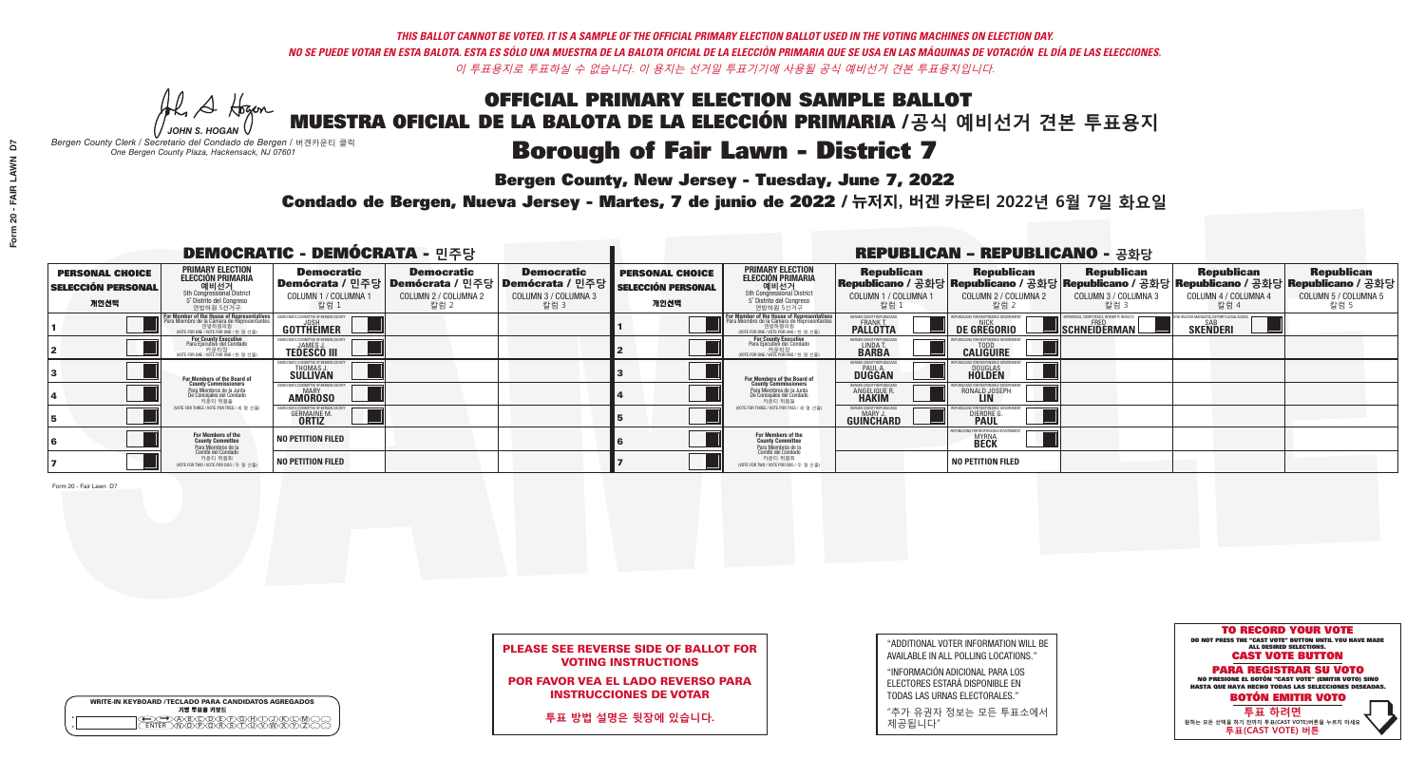He A Hogan *JOHN S. HOGAN*

# Borough of Fair Lawn - District 7

**Bergen County, New Jersey - Tuesday, June 7, 2022** 

*Bergen County Clerk / Secretario del Condado de Bergen /* 버겐카운티 클럭 *One Bergen County Plaza, Hackensack, NJ 07601*



## PLEASE SEE REVERSE SIDE OF BALLOT FOR VOTING INSTRUCTIONS

POR FAVOR VEA EL LADO REVERSO PARA INSTRUCCIONES DE VOTAR

**투표 방법 설명은 뒷장에 있습니다.**

WRITE-IN KEYBOARD /TECLADO PARA CANDIDATOS AGREGADOS<br>기명 투표용 키보드  $\bigoplus \bigoplus \mathbb{A} \oplus \mathbb{C} \oplus \mathbb{C} \oplus \mathbb{C} \oplus \mathbb{C} \oplus \mathbb{C} \cup \mathbb{W} \oplus \mathbb{Z} \oplus \mathbb{Z} \oplus \mathbb{C}$ 

| "ADDITIONAL VOTER INFORMATION WILL BE |
|---------------------------------------|
| AVAILABLE IN ALL POLLING LOCATIONS."  |
|                                       |

"INFORMACIÓN ADICIONAL PARA LOS ELECTORES ESTARÁ DISPONIBLE EN TODAS LAS URNAS ELECTORALES."

"추가 유권자 정보는 모든 투표소에서 제공됩니다"

Condado de Bergen, Nueva Jersey - Martes, 7 de junio de 2022 / 뉴저지, 버겐 카운티 2022년 6월 7일 화요일 *One Bergen County Plaza, Hackensack, NJ 07601*

| <b>DEMOCRATIC - DEMÓCRATA - 민주당</b>                         |                                                                                                                                               |                                                         |                                                                                          |                                                                      | <b>REPUBLICAN - REPUBLICANO - 공화당</b>                       |                                                                                                                                         |                                                        |                                                    |                                                   |                                                                                                                                                  |                                                   |
|-------------------------------------------------------------|-----------------------------------------------------------------------------------------------------------------------------------------------|---------------------------------------------------------|------------------------------------------------------------------------------------------|----------------------------------------------------------------------|-------------------------------------------------------------|-----------------------------------------------------------------------------------------------------------------------------------------|--------------------------------------------------------|----------------------------------------------------|---------------------------------------------------|--------------------------------------------------------------------------------------------------------------------------------------------------|---------------------------------------------------|
| <b>PERSONAL CHOICE</b><br><b>SELECCIÓN PERSONAL</b><br>개인선택 | PRIMARY ELECTION<br>ELECCIÓN PRIMARIA<br>에비선거<br>5th Congressional District<br>5 <sup>*</sup> Distrito del Congreso<br>연방하원 5선거구              | <b>Democratic</b><br>COLUMN 1 / COLUMNA<br>칼럼 1         | <b>Democratic</b><br>Demócrata / 민주당   Demócrata / 민주당  <br>COLUMN 2 / COLUMNA 2<br>칼럼 2 | <b>Democratic</b><br>Demócrata / 민주당<br>COLUMN 3 / COLUMNA 3<br>칼럼 3 | <b>PERSONAL CHOICE</b><br><b>SELECCIÓN PERSONAL</b><br>개인선택 | <b>PRIMARY ELECTION</b><br><b>ELECCIÓN PRIMARIA</b><br>예비선거<br>5th Congressional District<br>5 Distrito del Congreso<br>연방하원 5선거구       | <b>Republican</b><br>COLUMN 1 / COLUMNA 1<br>칼럼        | <b>Republican</b><br>COLUMN 2 / COLUMNA 2<br>-칼럼 2 | <b>Republican</b><br>COLUMN 3 / COLUMNA 3<br>칼럼 3 | <b>Republican</b><br> Republicano / 공화당 Republicano / 공화당 Republicano / 공화당 Republicano / 공화당 Republicano / 공화당 <br>COLUMN 4 / COLUMNA 4<br>칼럼 4 | <b>Republican</b><br>COLUMN 5 / COLUMNA 5<br>칼럼 5 |
|                                                             | For Member of the House of Representatives<br>Para Miembro de la Cámara de Representantes<br>연방하원의원<br>(VOTE FOR ONE / VOTE POR UNO / 한 명 선출) | GOTTHEIMER                                              |                                                                                          |                                                                      |                                                             | <b>For Member of the House of Representative</b><br>Para Miembro de la Cámara de Representante<br>(VOTE FOR ONE / VOTE POR UNO / 한 명 선출 | ERGEN COUNTY REPUBLICAN<br><b>PALLOTTA</b>             | DE GREGORIO                                        | SCHNEIDERMAN                                      | <b>SKENDERI</b>                                                                                                                                  |                                                   |
|                                                             | For County Executive<br>Para Ejecutivo del Condado<br>/OTE FOR ONE / VOTE POR UNO / 한 명 선출)                                                   | <b>TEDESCO III</b>                                      |                                                                                          |                                                                      |                                                             | <b>For County Executive</b><br>Para Ejecutivo del Condado<br>7) 카운티장<br>(VOTE FOR ONE / VOTE POR UNO / 한 명 선출)                          | BERGEN COUNTY REPUBLICAN<br>LINDA T.                   | <b>CALIGUIRE</b>                                   |                                                   |                                                                                                                                                  |                                                   |
|                                                             | For Members of the Board of<br>County Commissioners                                                                                           | MOCRATIC COMMITTEE OF BERGEN (<br>THOMAS J.<br>SULLIVAN |                                                                                          |                                                                      |                                                             | <b>For Members of the Board of County Commissioners</b>                                                                                 | <b>SERGEN COUNTY REPUBLICAN<br/>PAUL A.<br/>DUGGAN</b> | <b>DOUGLAS</b>                                     |                                                   |                                                                                                                                                  |                                                   |
|                                                             | Para Miembros de la Junta<br>De Concejales del Condado<br>카운티 위원들                                                                             | ATIC COMMITTEE OF BERGEN CO<br><b>AMOROSO</b>           |                                                                                          |                                                                      |                                                             | Para Miembros de la Junta<br>De Concejales del Condado<br>카운티 위원들                                                                       | 'ERGEN COUNTY REPUBLICAN<br>ANGELIQUE R                | RONALD JOSEPH                                      |                                                   |                                                                                                                                                  |                                                   |
|                                                             | (VOTE FOR THREE / VOTE POR TRES / 세 명 선출)                                                                                                     | <b>GERMAINE M.</b><br><b>ORTIZ</b>                      |                                                                                          |                                                                      |                                                             | (VOTE FOR THREE / VOTE POR TRES / 세 명 선출)                                                                                               | ERGEN COUNTY REPUBLICAN<br>MARY J<br>GUINCHARD         | <b>DIERDRE</b>                                     |                                                   |                                                                                                                                                  |                                                   |
|                                                             | For Members of the<br>County Committee<br>Para Miembros de la<br>Comité del Condado                                                           | NO PETITION FILED                                       |                                                                                          |                                                                      |                                                             | <b>For Members of the<br/>County Committee</b>                                                                                          |                                                        | <b>MYRNA</b><br><b>BECK</b>                        |                                                   |                                                                                                                                                  |                                                   |
|                                                             | 카운티 위원회<br>NOTE FOR TWO / VOTE POR DOS / 두 명 선출)                                                                                              | <b>NO PETITION FILED</b>                                |                                                                                          |                                                                      |                                                             | Para Miembros de la<br>Comité del Condado<br>카운티 위원회<br>NOTE FOR TWO / VOTE POR DOS / 두 명 선출)                                           |                                                        | <b>NO PETITION FILED</b>                           |                                                   |                                                                                                                                                  |                                                   |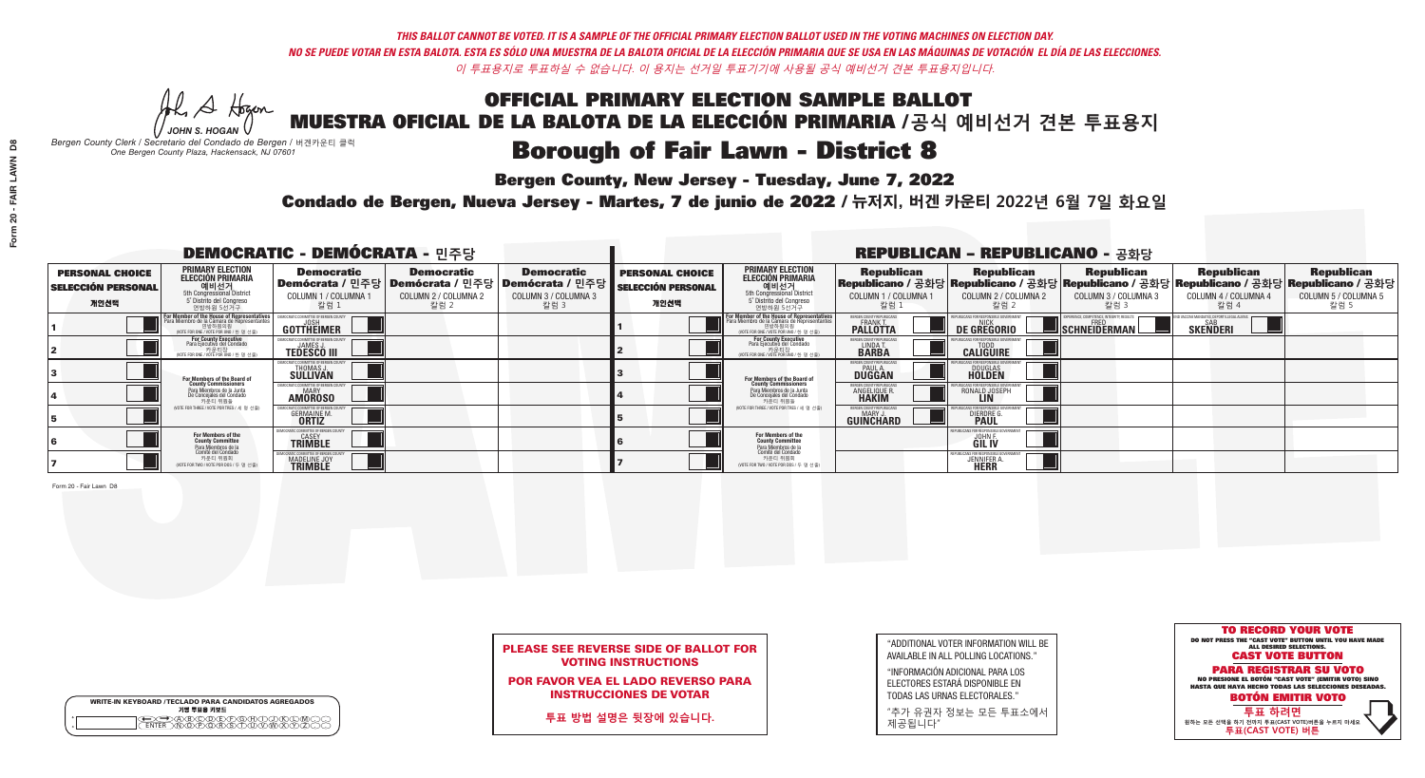He A Hogan *JOHN S. HOGAN*

|         | <b>WRITE-IN KEYBOARD /TECLADO PARA CANDIDATOS AGREGADOS</b><br>기명 투표용 키보드 |
|---------|---------------------------------------------------------------------------|
| $\circ$ | <u>سوپرهلالل ل</u>                                                        |

## Borough of Fair Lawn - District 8

**Bergen County, New Jersey - Tuesday, June 7, 2022** 

*Bergen County Clerk / Secretario del Condado de Bergen /* 버겐카운티 클럭 *One Bergen County Plaza, Hackensack, NJ 07601*



POR FAVOR VEA EL LADO REVERSO PARA INSTRUCCIONES DE VOTAR

**투표 방법 설명은 뒷장에 있습니다.**

"ADDITIONAL VOTER INFORMATION WILL BE AVAILABLE IN ALL POLLING LOCATIONS."

"INFORMACIÓN ADICIONAL PARA LOS ELECTORES ESTARÁ DISPONIBLE EN TODAS LAS URNAS ELECTORALES."

"추가 유권자 정보는 모든 투표소에서 제공됩니다"

Condado de Bergen, Nueva Jersey - Martes, 7 de junio de 2022 / 뉴저지, 버겐 카운티 2022년 6월 7일 화요일 *One Bergen County Plaza, Hackensack, NJ 07601*

| <b>DEMOCRATIC - DEMÓCRATA - 민주당</b>                         |                                                                                                                                               |                                                         |                                                                                          |                                                                      |                                                             |                                                                                                                                         |                                                        | <b>REPUBLICAN - REPUBLICANO - 공화당</b>              |                                                   |                                                                                                                                                  |                                                   |
|-------------------------------------------------------------|-----------------------------------------------------------------------------------------------------------------------------------------------|---------------------------------------------------------|------------------------------------------------------------------------------------------|----------------------------------------------------------------------|-------------------------------------------------------------|-----------------------------------------------------------------------------------------------------------------------------------------|--------------------------------------------------------|----------------------------------------------------|---------------------------------------------------|--------------------------------------------------------------------------------------------------------------------------------------------------|---------------------------------------------------|
| <b>PERSONAL CHOICE</b><br><b>SELECCIÓN PERSONAL</b><br>개인선택 | PRIMARY ELECTION<br>ELECCIÓN PRIMARIA<br>에비선거<br>5th Congressional District<br>5 <sup>*</sup> Distrito del Congreso<br>연방하원 5선거구              | <b>Democratic</b><br>COLUMN 1 / COLUMNA<br>칼럼 1         | <b>Democratic</b><br>Demócrata / 민주당   Demócrata / 민주당  <br>COLUMN 2 / COLUMNA 2<br>칼럼 2 | <b>Democratic</b><br>Demócrata / 민주당<br>COLUMN 3 / COLUMNA 3<br>칼럼 3 | <b>PERSONAL CHOICE</b><br><b>SELECCIÓN PERSONAL</b><br>개인선택 | <b>PRIMARY ELECTION</b><br><b>ELECCIÓN PRIMARIA</b><br>예비선거<br>5th Congressional District<br>5 Distrito del Congreso<br>연방하원 5선거구       | <b>Republican</b><br>COLUMN 1 / COLUMNA 1<br>칼럼        | <b>Republican</b><br>COLUMN 2 / COLUMNA 2<br>-칼럼 2 | <b>Republican</b><br>COLUMN 3 / COLUMNA 3<br>칼럼 3 | <b>Republican</b><br> Republicano / 공화당 Republicano / 공화당 Republicano / 공화당 Republicano / 공화당 Republicano / 공화당 <br>COLUMN 4 / COLUMNA 4<br>칼럼 4 | <b>Republican</b><br>COLUMN 5 / COLUMNA 5<br>칼럼 5 |
|                                                             | For Member of the House of Representatives<br>Para Miembro de la Cámara de Representantes<br>연방하원의원<br>(VOTE FOR ONE / VOTE POR UNO / 한 명 선출) | GOTTHEIMER                                              |                                                                                          |                                                                      |                                                             | <b>For Member of the House of Representative</b><br>Para Miembro de la Cámara de Representante<br>(VOTE FOR ONE / VOTE POR UNO / 한 명 선출 | ERGEN COUNTY REPUBLICAN<br><b>PALLOTTA</b>             | DE GREGORIO                                        | SCHNEIDERMAN                                      | <b>SKENDERI</b>                                                                                                                                  |                                                   |
|                                                             | For County Executive<br>Para Ejecutivo del Condado<br>/OTE FOR ONE / VOTE POR UNO / 한 명 선출)                                                   | <b>TEDESCO III</b>                                      |                                                                                          |                                                                      |                                                             | <b>For County Executive</b><br>Para Ejecutivo del Condado<br>7) 카운티장<br>(VOTE FOR ONE / VOTE POR UNO / 한 명 선출)                          | BERGEN COUNTY REPUBLICAN<br>LINDA T.                   | <b>CALIGUIRE</b>                                   |                                                   |                                                                                                                                                  |                                                   |
|                                                             | For Members of the Board of<br>County Commissioners                                                                                           | MOCRATIC COMMITTEE OF BERGEN (<br>THOMAS J.<br>SULLIVAN |                                                                                          |                                                                      |                                                             | <b>For Members of the Board of County Commissioners</b>                                                                                 | <b>SERGEN COUNTY REPUBLICAN<br/>PAUL A.<br/>DUGGAN</b> | <b>DOUGLAS</b>                                     |                                                   |                                                                                                                                                  |                                                   |
|                                                             | Para Miembros de la Junta<br>De Concejales del Condado<br>카우티 위원들                                                                             | ATIC COMMITTEE OF BERGEN CO<br><b>AMOROSO</b>           |                                                                                          |                                                                      |                                                             | Para Miembros de la Junta<br>De Concejales del Condado<br>카운티 위원들                                                                       | <b>'ERGEN COUNTY REPUBLICAN</b><br>ANGELIQUE R         | RONALD JOSEPH                                      |                                                   |                                                                                                                                                  |                                                   |
|                                                             | (VOTE FOR THREE / VOTE POR TRES / 세 명 선출)                                                                                                     | <b>GERMAINE M.</b><br><b>ORTIZ</b>                      |                                                                                          |                                                                      |                                                             | (VOTE FOR THREE / VOTE POR TRES / 세 명 선출)                                                                                               | ERGEN COUNTY REPUBLICAN<br>MARY J<br>GUINCHARD         | <b>DIERDRE</b>                                     |                                                   |                                                                                                                                                  |                                                   |
|                                                             | For Members of the<br>County Committee<br>Para Miembros de la                                                                                 | CRATIC COMMITTEE OF BERGEN C<br>CASEY<br><b>TRIMBLE</b> |                                                                                          |                                                                      |                                                             | <b>For Members of the<br/>County Committee</b>                                                                                          |                                                        | UBI ICANS FOR RESPONSIBI F<br><b>JOHNE</b>         |                                                   |                                                                                                                                                  |                                                   |
|                                                             | Comité del Condado<br>카운티 위원회<br>(VOTE FOR TWO / VOTE POR DOS / 두 명 선출)                                                                       | MADELINE JOY                                            |                                                                                          |                                                                      |                                                             | Para Miembros de la<br>Comité del Condado<br>카운티 위원회<br>NOTE FOR TWO / VOTE POR DOS / 두 명 선출)                                           |                                                        | <b>JENNIFER A</b>                                  |                                                   |                                                                                                                                                  |                                                   |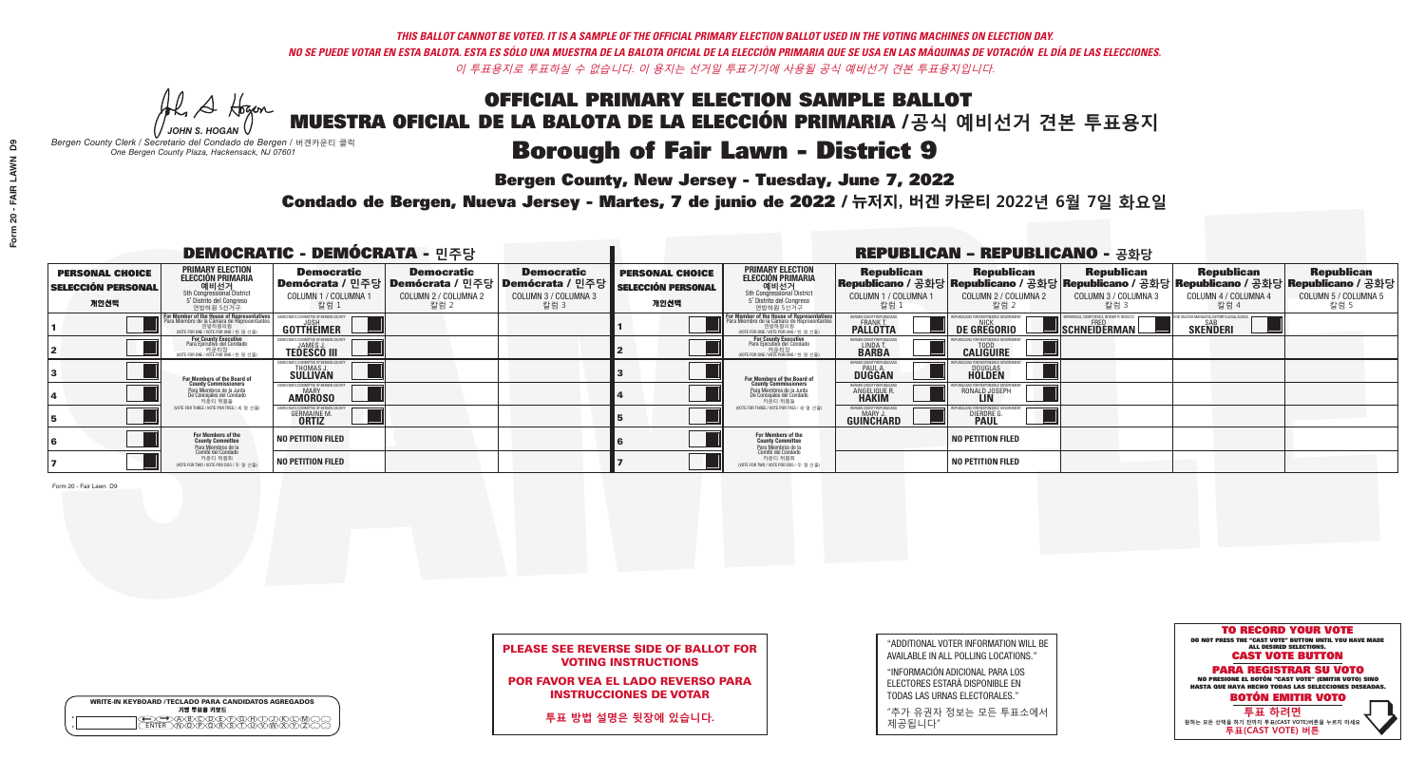He A Hogan *JOHN S. HOGAN*

|         | <b>WRITE-IN KEYBOARD /TECLADO PARA CANDIDATOS AGREGADOS</b><br>기명 투표용 키보드 |
|---------|---------------------------------------------------------------------------|
| $\circ$ |                                                                           |

## **Borough of Fair Lawn - District 9**

**Bergen County, New Jersey - Tuesday, June 7, 2022** 

*Bergen County Clerk / Secretario del Condado de Bergen /* 버겐카운티 클럭 *One Bergen County Plaza, Hackensack, NJ 07601*



## PLEASE SEE REVERSE SIDE OF BALLOT FOR VOTING INSTRUCTIONS

POR FAVOR VEA EL LADO REVERSO PARA INSTRUCCIONES DE VOTAR

**투표 방법 설명은 뒷장에 있습니다.**

| "ADDITIONAL VOTER INFORMATION WILL BE |
|---------------------------------------|
| AVAILABLE IN ALL POLLING LOCATIONS."  |
|                                       |

"INFORMACIÓN ADICIONAL PARA LOS ELECTORES ESTARÁ DISPONIBLE EN TODAS LAS URNAS ELECTORALES."

"추가 유권자 정보는 모든 투표소에서 제공됩니다"

Condado de Bergen, Nueva Jersey - Martes, 7 de junio de 2022 / 뉴저지, 버겐 카운티 2022년 6월 7일 화요일 *One Bergen County Plaza, Hackensack, NJ 07601*

| <b>DEMOCRATIC - DEMÓCRATA - 민주당</b>                         |                                                                                                                                               |                                                          |                                                                                          |                                                                      | <b>REPUBLICAN - REPUBLICANO - 공화당</b>                       |                                                                                                                                         |                                                        |                                                    |                                                   |                                                                                                                                                  |                                                   |
|-------------------------------------------------------------|-----------------------------------------------------------------------------------------------------------------------------------------------|----------------------------------------------------------|------------------------------------------------------------------------------------------|----------------------------------------------------------------------|-------------------------------------------------------------|-----------------------------------------------------------------------------------------------------------------------------------------|--------------------------------------------------------|----------------------------------------------------|---------------------------------------------------|--------------------------------------------------------------------------------------------------------------------------------------------------|---------------------------------------------------|
| <b>PERSONAL CHOICE</b><br><b>SELECCIÓN PERSONAL</b><br>개인선택 | PRIMARY ELECTION<br>ELECCIÓN PRIMARIA<br>에비선거<br>5th Congressional District<br>5 <sup>*</sup> Distrito del Congreso<br>연방하원 5선거구              | <b>Democratic</b><br>COLUMN 1 / COLUMNA<br>칼럼 1          | <b>Democratic</b><br>Demócrata / 민주당   Demócrata / 민주당  <br>COLUMN 2 / COLUMNA 2<br>칼럼 2 | <b>Democratic</b><br>Demócrata / 민주당<br>COLUMN 3 / COLUMNA 3<br>칼럼 3 | <b>PERSONAL CHOICE</b><br><b>SELECCIÓN PERSONAL</b><br>개인선택 | <b>PRIMARY ELECTION</b><br><b>ELECCIÓN PRIMARIA</b><br>예비선거<br>5th Congressional District<br>5 Distrito del Congreso<br>연방하원 5선거구       | <b>Republican</b><br>COLUMN 1 / COLUMNA 1<br>칼럼        | <b>Republican</b><br>COLUMN 2 / COLUMNA 2<br>-칼럼 2 | <b>Republican</b><br>COLUMN 3 / COLUMNA 3<br>칼럼 3 | <b>Republican</b><br> Republicano / 공화당 Republicano / 공화당 Republicano / 공화당 Republicano / 공화당 Republicano / 공화당 <br>COLUMN 4 / COLUMNA 4<br>칼럼 4 | <b>Republican</b><br>COLUMN 5 / COLUMNA 5<br>칼럼 5 |
|                                                             | For Member of the House of Representatives<br>Para Miembro de la Cámara de Representantes<br>연방하원의원<br>(VOTE FOR ONE / VOTE POR UNO / 한 명 선출) | GOTTHEIMER                                               |                                                                                          |                                                                      |                                                             | <b>For Member of the House of Representative</b><br>Para Miembro de la Cámara de Representante<br>(VOTE FOR ONE / VOTE POR UNO / 한 명 선출 | ERGEN COUNTY REPUBLICAN<br><b>PALLOTTA</b>             | DE GREGORIO                                        | SCHNEIDERMAN                                      | <b>SKENDERI</b>                                                                                                                                  |                                                   |
|                                                             | For County Executive<br>Para Ejecutivo del Condado<br>/OTE FOR ONE / VOTE POR UNO / 한 명 선출)                                                   | <b>TEDESCO III</b>                                       |                                                                                          |                                                                      |                                                             | For County Executive<br>Para Ejecutivo del Condado<br>7) 카운티장<br>(VOTE FOR ONE / VOTE POR UNO / 한 명 선출)                                 | BERGEN COUNTY REPUBLICAN<br>LINDA T.                   | <b>CALIGUIRE</b>                                   |                                                   |                                                                                                                                                  |                                                   |
|                                                             | For Members of the Board of<br>County Commissioners                                                                                           | EMOCRATIC COMMITTEE OF BERGEN (<br>THOMAS J.<br>SULLIVAN |                                                                                          |                                                                      |                                                             | <b>For Members of the Board of County Commissioners</b>                                                                                 | <b>SERGEN COUNTY REPUBLICAN<br/>PAUL A.<br/>DUGGAN</b> | <b>DOUGLAS</b>                                     |                                                   |                                                                                                                                                  |                                                   |
|                                                             | Para Miembros de la Junta<br>De Concejales del Condado<br>카운티 위원들                                                                             | ATIC COMMITTEE OF BERGEN CO<br><b>AMOROSO</b>            |                                                                                          |                                                                      |                                                             | Para Miembros de la Junta<br>De Concejales del Condado<br>카운티 위원들                                                                       | 'ERGEN COUNTY REPUBLICAN<br>ANGELIQUE R                | RONALD JOSEPH                                      |                                                   |                                                                                                                                                  |                                                   |
|                                                             | (VOTE FOR THREE / VOTE POR TRES / 세 명 선출)                                                                                                     | <b>GERMAINE M.</b><br><b>ORTIZ</b>                       |                                                                                          |                                                                      |                                                             | (VOTE FOR THREE / VOTE POR TRES / 세 명 선출)                                                                                               | ERGEN COUNTY REPUBLICAN<br>MARY J.<br><b>GUINCHARD</b> | <b>DIERDRE L</b>                                   |                                                   |                                                                                                                                                  |                                                   |
|                                                             | For Members of the<br>County Committee<br>Para Miembros de la<br>Comité del Condado                                                           | NO PETITION FILED                                        |                                                                                          |                                                                      |                                                             | For Members of the<br>County Committee                                                                                                  |                                                        | <b>NO PETITION FILED</b>                           |                                                   |                                                                                                                                                  |                                                   |
|                                                             | 카운티 위원회<br>NOTE FOR TWO / VOTE POR DOS / 두 명 선출)                                                                                              | <b>NO PETITION FILED</b>                                 |                                                                                          |                                                                      |                                                             | Para Miembros de la<br>Comité del Condado<br>카운티 위원회<br>NOTE FOR TWO / VOTE POR DOS / 두 명 선출)                                           |                                                        | <b>NO PETITION FILED</b>                           |                                                   |                                                                                                                                                  |                                                   |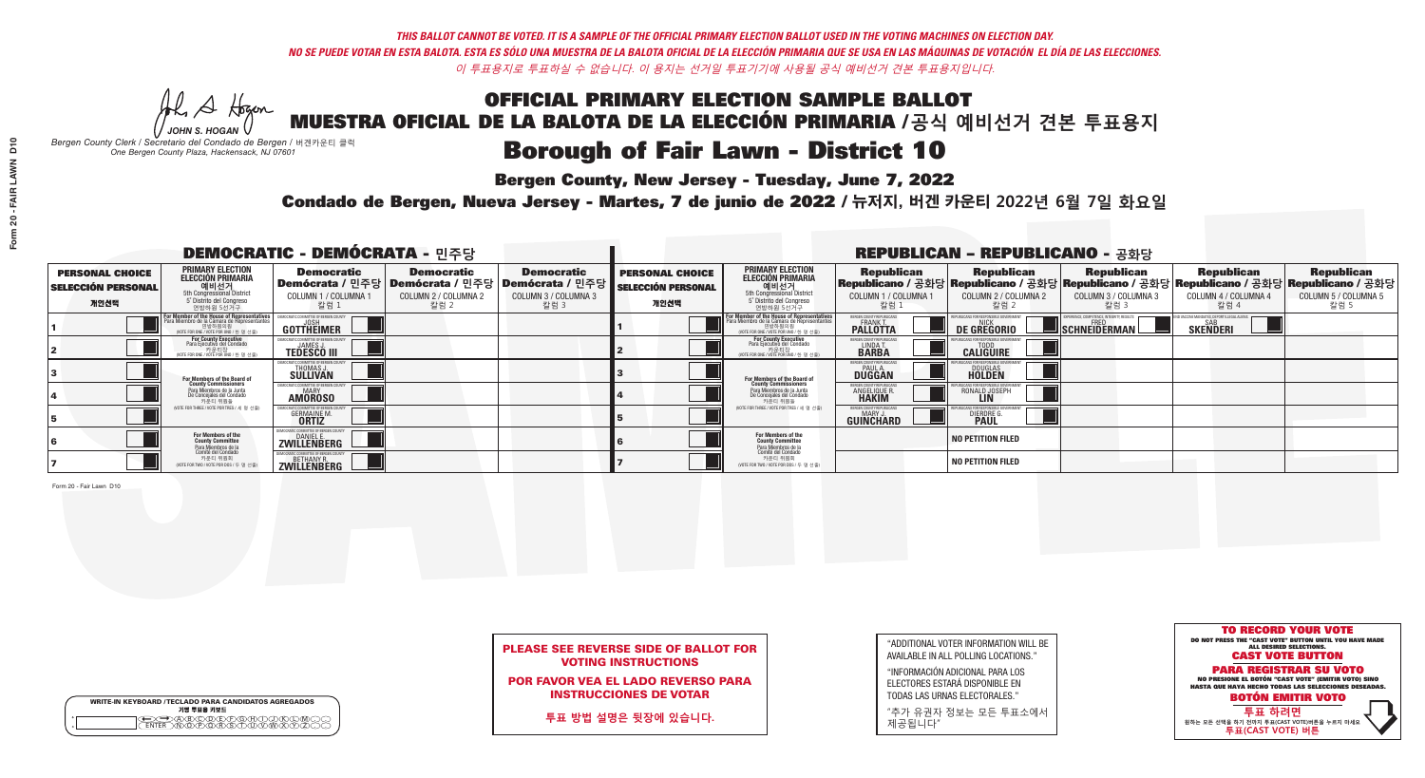## OFFICIAL PRIMARY ELECTION SAMPLE BALLOT MUESTRA OFICIAL DE LA BALOTA DE LA ELECCIÓN PRIMARIA /**공식 예비선거 견본 투표용지 Borough of Fair Lawn - District 10**

**Bergen County, New Jersey - Tuesday, June 7, 2022** 

He A Hogan *JOHN S. HOGAN*

| <b>WRITE-IN KEYBOARD /TECLADO PARA CANDIDATOS AGREGADOS</b><br>기명 투표용 키보드 |
|---------------------------------------------------------------------------|
| A®©®®®®®<br>N®®®®®®™™                                                     |

*Bergen County Clerk / Secretario del Condado de Bergen /* 버겐카운티 클럭 *One Bergen County Plaza, Hackensack, NJ 07601*



## PLEASE SEE REVERSE SIDE OF BALLOT FOR VOTING INSTRUCTIONS

POR FAVOR VEA EL LADO REVERSO PARA INSTRUCCIONES DE VOTAR

**투표 방법 설명은 뒷장에 있습니다.**

| $\overline{0}$ |  |
|----------------|--|
| FAIR LAWN      |  |
| ī              |  |
| 20             |  |
| Form           |  |

| "ADDITIONAL VOTER INFORMATION WILL BE |
|---------------------------------------|
| AVAILABLE IN ALL POLLING LOCATIONS."  |
|                                       |

"INFORMACIÓN ADICIONAL PARA LOS ELECTORES ESTARÁ DISPONIBLE EN TODAS LAS URNAS ELECTORALES."

"추가 유권자 정보는 모든 투표소에서 제공됩니다"

Condado de Bergen, Nueva Jersey - Martes, 7 de junio de 2022 / 뉴저지, 버겐 카운티 2022년 6월 7일 화요일 *One Bergen County Plaza, Hackensack, NJ 07601*

| <b>DEMOCRATIC - DEMÓCRATA - 민주당</b>                         |                                                                                                                                               |                                                                       |                                                   |                                                                                                            |                                                             |                                                                                                                                                    |                                                                 | <b>REPUBLICAN - REPUBLICANO - 공화당</b>                                                                                                             |                                                   |                                                   |                                                   |
|-------------------------------------------------------------|-----------------------------------------------------------------------------------------------------------------------------------------------|-----------------------------------------------------------------------|---------------------------------------------------|------------------------------------------------------------------------------------------------------------|-------------------------------------------------------------|----------------------------------------------------------------------------------------------------------------------------------------------------|-----------------------------------------------------------------|---------------------------------------------------------------------------------------------------------------------------------------------------|---------------------------------------------------|---------------------------------------------------|---------------------------------------------------|
| <b>PERSONAL CHOICE</b><br><b>SELECCIÓN PERSONAL</b><br>개인선택 | PRIMARY ELECTION<br><b>ELECCIÓN PRIMARIA</b><br>5th Congressional District<br>5 <sup>o</sup> Distrito del Congreso<br>연방하원 5선거구               | <b>Democratic</b><br>COLUMN 1 / COLUMNA 1<br>칼럼 1                     | <b>Democratic</b><br>COLUMN 2 / COLUMNA 2<br>칼럼 2 | <b>Democratic</b><br>Demócrata / 민주당   Demócrata / 민주당   Demócrata / 민주당  <br>COLUMN 3 / COLUMNA 3<br>칼럼 3 | <b>PERSONAL CHOICE</b><br><b>SELECCIÓN PERSONAL</b><br>개인선택 | <b>PRIMARY ELECTION</b><br><b>ELECCIÓN PRIMARIA</b><br>예비선거<br>5th Congressional District<br>5 Distrito del Congreso<br>연방하원 5선거구                  | <b>Republican</b><br>COLUMN 1 / COLUMNA 1<br>.칼럼 :              | <b>Republican</b><br> Republicano / 공화당 Republicano / 공화당 Republicano / 공화당 Republicano / 공화당 Republicano / 공화당 <br>COLUMN 2 / COLUMNA 2<br>-칼럼 2 | <b>Republican</b><br>COLUMN 3 / COLUMNA 3<br>칼럼 3 | <b>Republican</b><br>COLUMN 4 / COLUMNA 4<br>칼럼 4 | <b>Republican</b><br>COLUMN 5 / COLUMNA 5<br>칼럼 5 |
|                                                             | For Member of the House of Representatives<br>Para Miembro de la Cámara de Representantes<br>연방하원의원<br>(VOTE FOR ONE / VOTE POR UNO / 한 명 선출) | <b>GOTTHEIMER</b>                                                     |                                                   |                                                                                                            |                                                             | <b>For Member of the House of Representative</b><br>Para Miembro de la Cámara de Representante<br>연방하원의원<br>(VOTE FOR ONE / VOTE POR UNO / 한 명 선출) | ERGEN COUNTY REPUBLICAN<br><b>PALLOTTA</b>                      | DE GREGORIO                                                                                                                                       | SCHNEIDERMAN                                      | <b>SKENDERI</b>                                   |                                                   |
|                                                             | For County Executive<br>Para Ejecutivo del Condado<br>/OTE FOR ONE / VOTE POR UNO / 한 명 선출)                                                   | <b>TEDESCO III</b>                                                    |                                                   |                                                                                                            |                                                             | For County Executive<br>Para Ejecutivo del Condado<br>7 카운티장<br>(VOTE FOR ONE / VOTE POR UNO / 한 명 선출)                                             | BERGEN COUNTY REPUBLICA<br>LINDA T.                             | <b>CALIGUIRE</b>                                                                                                                                  |                                                   |                                                   |                                                   |
|                                                             | For Members of the Board of<br>County Commissioners                                                                                           | EMOCRATIC COMMITTEE OF BERGENTIERT THOMAS J.<br>THOMAS J.<br>SULLIVAN |                                                   |                                                                                                            |                                                             | For Members of the Board o<br>County Commissioners                                                                                                 | <b>BERGEN COUNTY REPUBLICAN<br/>PAUL A.<br/>DUGGAN</b>          | <b>DOUGLAS</b>                                                                                                                                    |                                                   |                                                   |                                                   |
|                                                             | Para Miembros de la Junta<br>De Concejales del Condado<br>카우티 위원들                                                                             | ATIC COMMITTEE OF BERGEN CO<br><b>AMOROSO</b>                         |                                                   |                                                                                                            |                                                             | Para Miembros de la Junta<br>De Concejales del Condado<br>카운티 위원들                                                                                  | 'ERGEN COUNTY REPUBLICAN.<br><b>ANGELIQUE R</b><br><b>HAKIM</b> | RONALD JOSEPH                                                                                                                                     |                                                   |                                                   |                                                   |
|                                                             | NOTE FOR THREE / VOTE POR TRES / 세 명 선출)                                                                                                      | <b>GERMAINE M.</b>                                                    |                                                   |                                                                                                            |                                                             | (VOTE FOR THREE / VOTE POR TRES / 세 명 선출)                                                                                                          | ERGEN COUNTY REPUBLICAN<br>MARY J.<br><b>GUINCHARD</b>          | DIERDRE G                                                                                                                                         |                                                   |                                                   |                                                   |
|                                                             | For Members of the<br>County Committee<br>Para Miembros de la                                                                                 | DEMOCRATIC COMMITTEE OF BERGEN COUNTY<br>DANIEL E.<br>ZWILLENBERG     |                                                   |                                                                                                            |                                                             | <b>For Members of the<br/>County Committee</b>                                                                                                     |                                                                 | <b>NO PETITION FILED</b>                                                                                                                          |                                                   |                                                   |                                                   |
|                                                             | Comité del Condado<br>카운티 위원회<br>(VOTE FOR TWO / VOTE POR DOS / 두 명 선출)                                                                       | <b>ELENBERG</b>                                                       |                                                   |                                                                                                            |                                                             | Para Miembros de la<br>Comité del Condado<br>카운티 위원회<br>NOTE FOR TWO / VOTE POR DOS / 두 명 선출)                                                      |                                                                 | <b>NO PETITION FILED</b>                                                                                                                          |                                                   |                                                   |                                                   |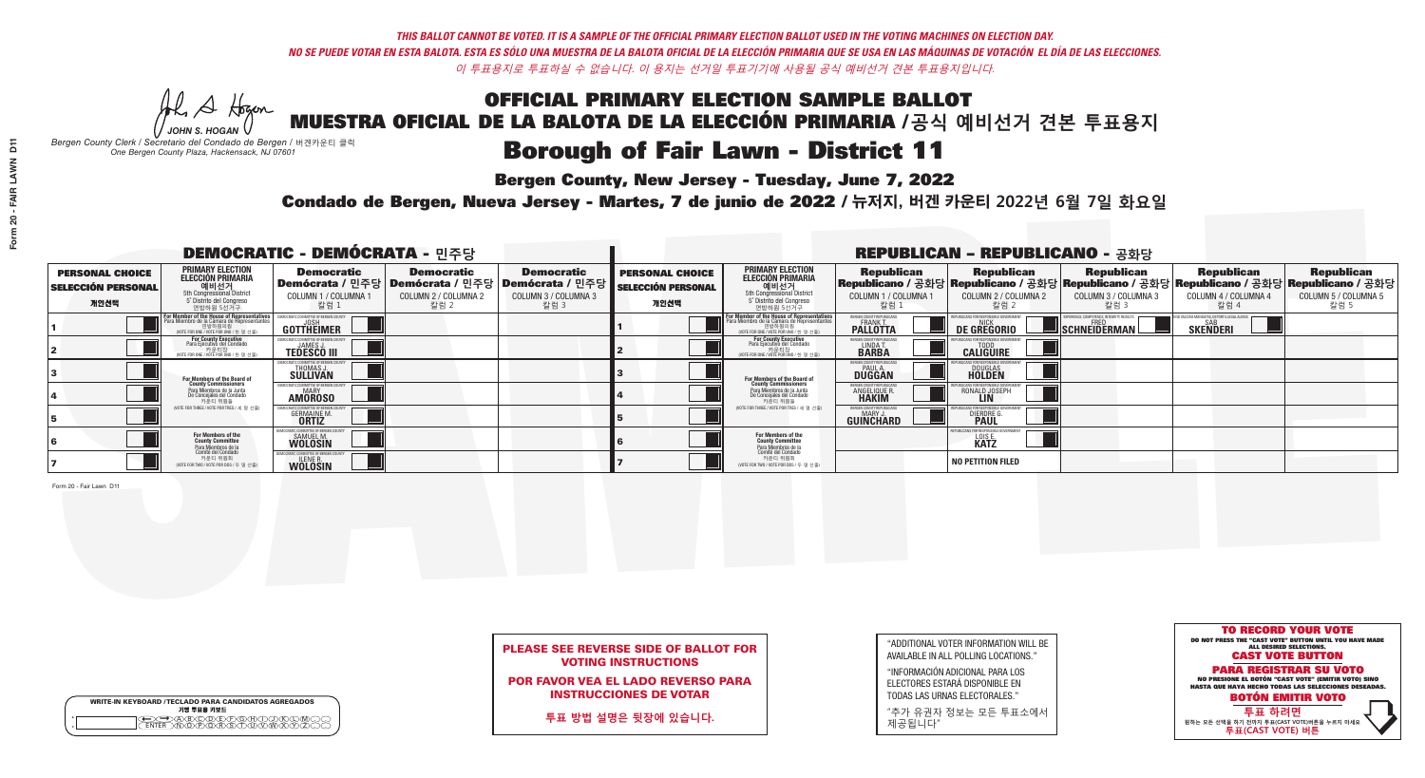## OFFICIAL PRIMARY ELECTION SAMPLE BALLOT MUESTRA OFICIAL DE LA BALOTA DE LA ELECCIÓN PRIMARIA /**공식 예비선거 견본 투표용지 Borough of Fair Lawn - District 11**

**Bergen County, New Jersey - Tuesday, June 7, 2022** 

He A Hogan *JOHN S. HOGAN*

| <b>WRITE-IN KEYBOARD /TECLADO PARA CANDIDATOS AGREGADOS</b><br>기명 투표용 키보드 |  |
|---------------------------------------------------------------------------|--|
| XBXCODCEXFXGXAXTX.<br>心的不能                                                |  |

*Bergen County Clerk / Secretario del Condado de Bergen /* 버겐카운티 클럭 *One Bergen County Plaza, Hackensack, NJ 07601*



## PLEASE SEE REVERSE SIDE OF BALLOT FOR VOTING INSTRUCTIONS

POR FAVOR VEA EL LADO REVERSO PARA INSTRUCCIONES DE VOTAR

**투표 방법 설명은 뒷장에 있습니다.**

| <b>PER</b> |
|------------|
| SELE       |
|            |

| "ADDITIONAL VOTER INFORMATION WILL BE |
|---------------------------------------|
| AVAILABLE IN ALL POLLING LOCATIONS."  |
|                                       |

"INFORMACIÓN ADICIONAL PARA LOS ELECTORES ESTARÁ DISPONIBLE EN TODAS LAS URNAS ELECTORALES."

"추가 유권자 정보는 모든 투표소에서 제공됩니다"

Condado de Bergen, Nueva Jersey - Martes, 7 de junio de 2022 / 뉴저지, 버겐 카운티 2022년 6월 7일 화요일 *One Bergen County Plaza, Hackensack, NJ 07601*

Form 20 - Fair Lawn D11

| <b>DEMOCRATIC - DEMÓCRATA - 민주당</b>                         |                                                                                                                                               |                                                      |                                                   |                                                                                                             |                                                             |                                                                                                                                                             |                                                          | <b>REPUBLICAN - REPUBLICANO - 공화당</b>             |                                                   |                                                   |                                                                                                                                                |
|-------------------------------------------------------------|-----------------------------------------------------------------------------------------------------------------------------------------------|------------------------------------------------------|---------------------------------------------------|-------------------------------------------------------------------------------------------------------------|-------------------------------------------------------------|-------------------------------------------------------------------------------------------------------------------------------------------------------------|----------------------------------------------------------|---------------------------------------------------|---------------------------------------------------|---------------------------------------------------|------------------------------------------------------------------------------------------------------------------------------------------------|
| <b>PERSONAL CHOICE</b><br><b>SELECCIÓN PERSONAL</b><br>개인선택 | <b>PRIMARY ELECTION</b><br>ELECCIÓN PRIMARIA<br>예비선거<br><sub>5th Congressional</sub> District<br>5° Distrito del Congreso<br>연방하원 5선거구        | <b>Democratic</b><br>COLUMN 1 / COLUMNA<br>칼럼 1      | <b>Democratic</b><br>COLUMN 2 / COLUMNA 2<br>칼럼 2 | <b>Democratic</b><br>  Demócrata / 민주당   Demócrata / 민주당   Demócrata / 민주당 <br>COLUMN 3 / COLUMNA 3<br>칼럼 3 | <b>PERSONAL CHOICE</b><br><b>SELECCIÓN PERSONAL</b><br>개인선택 | <b>PRIMARY ELECTION</b><br>ELECCIÓN PRIMARIA<br>예비선거<br>5th Congressional District<br>5 Distrito del Congreso<br>연방하원 5선거구                                  | <b>Republican</b><br>COLUMN 1 / COLUMNA 1<br><u>칼럼 1</u> | <b>Republican</b><br>COLUMN 2 / COLUMNA 2<br>참럼 2 | <b>Republican</b><br>COLUMN 3 / COLUMNA 3<br>칼럼 3 | <b>Republican</b><br>COLUMN 4 / COLUMNA 4<br>칼럼 4 | <b>Republican</b><br>Republicano / 공화당 Republicano / 공화당 Republicano / 공화당 Republicano / 공화당 Republicano / 공화당<br>COLUMN 5 / COLUMNA 5<br>칼럼 5 |
|                                                             | For Member of the House of Representatives<br>Para Miembro de la Cámara de Representantes<br>연방하원의원<br>(VOTE FOR ONE / VOTE POR UNO / 한 명 선출) | OMMITTEE OF BERGEN C<br>GOTTHEIMER                   |                                                   |                                                                                                             |                                                             | F <mark>or Member of the House of Representatives</mark><br>Para Miembro de la Cámara de Representantes<br>연방하원의원<br>(WOTE FOR ONE / VOTE POR UNO / 한 명 선출) | BERGEN COUNTY REPUBLICAN<br><b>PALLOTTA</b>              | <b>DE GREGORIO</b>                                | SCHNEIDERMAN                                      | <b>SKENDERI</b>                                   |                                                                                                                                                |
|                                                             | For County Executive<br>Para Ejecutivo del Condado<br>WOTE FOR ONE / VOTE POR UNO / 한 명 선출)                                                   | <b>TEDESCO III</b>                                   |                                                   |                                                                                                             |                                                             | For County Executive<br>Para Ejecutivo del Condado<br>. 카운티장<br>(VOTE FOR ONE / VOTE POR UNO / 한 명 선출)                                                      | BERGEN COUNTY REPUBLICAN<br>LINDA T.                     | <b>CALIGUIRE</b>                                  |                                                   |                                                   |                                                                                                                                                |
|                                                             | <b>For Members of the Board of<br/>County Commissioners</b>                                                                                   | 10CRATIC COMMITTEE OF BERGEN C<br>THOMAS J.          |                                                   |                                                                                                             |                                                             | <b>For Members of the Board of County Commissioners</b>                                                                                                     | BERGEN COUNTY REPUBLICAN<br><b>DUGGAN</b>                | <b>DOUGLAS</b><br><b>HOLDEN</b>                   |                                                   |                                                   |                                                                                                                                                |
|                                                             | Para Miembros de la Junta<br>De Concejales del Condado<br>카운티 위원들                                                                             | MOCRATIC COMMITTEE OF BERGEN COUNT<br><b>AMOROSO</b> |                                                   |                                                                                                             |                                                             | Para Miembros de la Junta<br>De Concejales del Condado<br>카운티 위원들                                                                                           | ERGEN COUNTY REPUBLICAN<br><b>ANGELIQUE R</b>            | RONALD JOSEPH                                     |                                                   |                                                   |                                                                                                                                                |
|                                                             | NOTE FOR THREE / VOTE POR TRES / 세 명 선출)                                                                                                      | <b>GERMAINE M.</b>                                   |                                                   |                                                                                                             |                                                             | (VOTE FOR THREE / VOTE POR TRES / 세 명 선출)                                                                                                                   | BERGEN COUNTY REPUBLICAN<br>MARY.<br>GUINCHARD           | <b>DIERDRE</b>                                    |                                                   |                                                   |                                                                                                                                                |
|                                                             | For Members of the<br>County Committee<br>Para Miembros de la                                                                                 | COMMITTEE OF BERGEN<br>SAMUEL M.                     |                                                   |                                                                                                             |                                                             | For Members of the<br>County Committee                                                                                                                      |                                                          | LOIS E.                                           |                                                   |                                                   |                                                                                                                                                |
|                                                             | ca a mismo co as a<br>Comité del Condado<br>카운티 위원회<br>NOTE FOR TWO / VOTE POR DOS / 두 명 선출)                                                  | <b>WOLOSIN</b>                                       |                                                   |                                                                                                             |                                                             | Para Miembros de la<br>Comité del Condado<br>카운티 위원회<br>NOTE FOR TWO / VOTE POR DOS / 두 명 선출)                                                               |                                                          | <b>NO PETITION FILED</b>                          |                                                   |                                                   |                                                                                                                                                |

**Form 20 - FAIR LAWN D11**

Form 20 - FAIR LAWN

 $\overline{5}$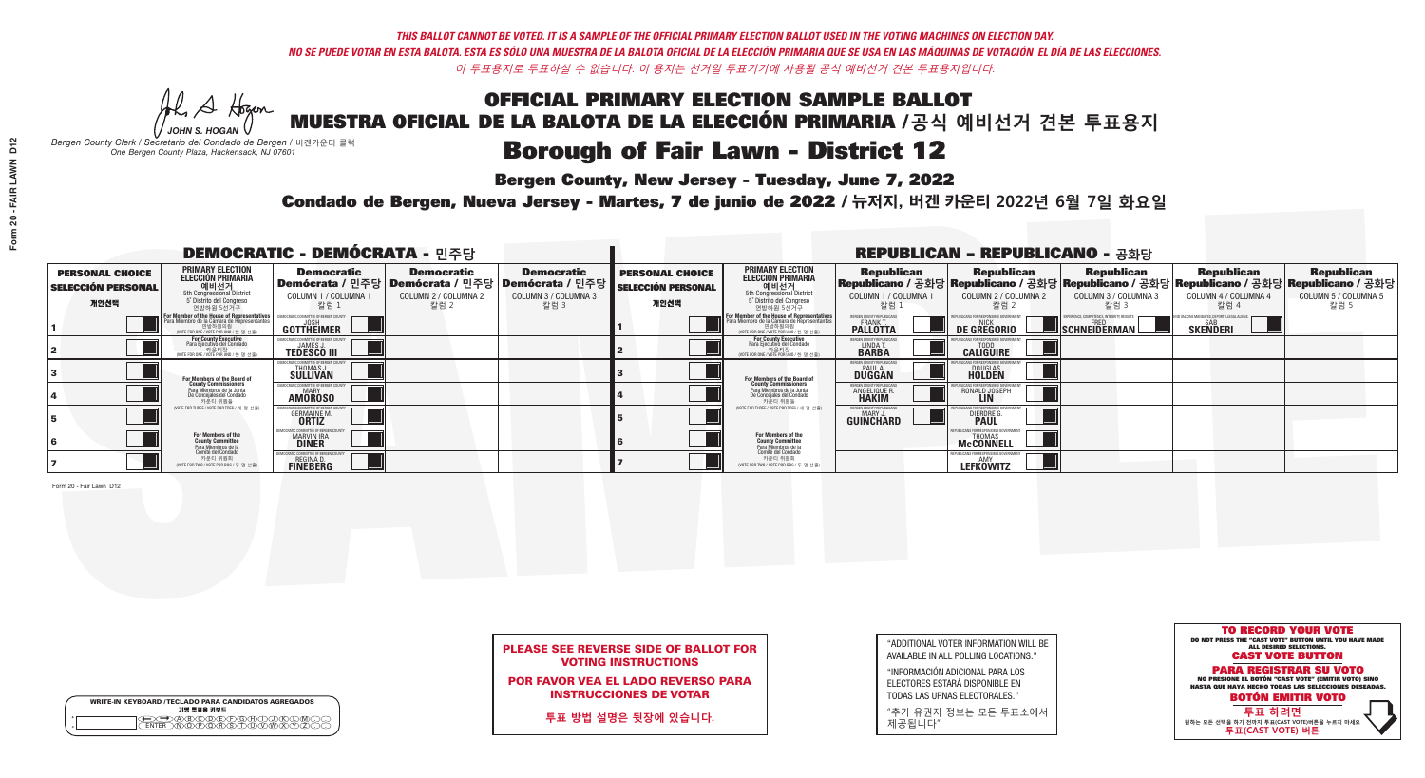He A Hogan *JOHN S. HOGAN*

| <b>WRITE-IN KEYBOARD /TECLADO PARA CANDIDATOS AGREGADOS</b><br>기명 투표용 키보드 |  |
|---------------------------------------------------------------------------|--|
| <b>BODEFOHD</b>                                                           |  |

# **Borough of Fair Lawn - District 12**

**Bergen County, New Jersey - Tuesday, June 7, 2022** 

*Bergen County Clerk / Secretario del Condado de Bergen /* 버겐카운티 클럭 *One Bergen County Plaza, Hackensack, NJ 07601*



## PLEASE SEE REVERSE SIDE OF BALLOT FOR VOTING INSTRUCTIONS

POR FAVOR VEA EL LADO REVERSO PARA INSTRUCCIONES DE VOTAR

**투표 방법 설명은 뒷장에 있습니다.**

|                         | Bε |
|-------------------------|----|
| Form 20 - FAIR LAWN D12 |    |
|                         |    |
|                         |    |
|                         |    |
|                         |    |

"ADDITIONAL VOTER INFORMATION WILL BE AVAILABLE IN ALL POLLING LOCATIONS."

"INFORMACIÓN ADICIONAL PARA LOS ELECTORES ESTARÁ DISPONIBLE EN TODAS LAS URNAS ELECTORALES."

"추가 유권자 정보는 모든 투표소에서 제공됩니다"

Condado de Bergen, Nueva Jersey - Martes, 7 de junio de 2022 / 뉴저지, 버겐 카운티 2022년 6월 7일 화요일 *One Bergen County Plaza, Hackensack, NJ 07601*

Form 20 - Fair Lawn D12

| <b>DEMOCRATIC - DEMÓCRATA - 민주당</b>                         |                                                                                                                                                  |                                                                     |                                                   |                                                                                                                   |                                                             |                                                                                                                                                                     |                                                                 | <b>REPUBLICAN - REPUBLICANO - 공화당</b>                                                                                                           |                                                           |                                                               |                                                   |
|-------------------------------------------------------------|--------------------------------------------------------------------------------------------------------------------------------------------------|---------------------------------------------------------------------|---------------------------------------------------|-------------------------------------------------------------------------------------------------------------------|-------------------------------------------------------------|---------------------------------------------------------------------------------------------------------------------------------------------------------------------|-----------------------------------------------------------------|-------------------------------------------------------------------------------------------------------------------------------------------------|-----------------------------------------------------------|---------------------------------------------------------------|---------------------------------------------------|
| <b>PERSONAL CHOICE</b><br><b>SELECCIÓN PERSONAL</b><br>개인선택 | <b>PRIMARY ELECTION</b><br>ELECCIÓN PRIMARIA<br>에비선거<br>5th Congressional District<br>5 <sup>*</sup> Distrite del Congreso<br>연방하원 5선거구          | <b>Democratic</b><br>COLUMN 1 / COLUMNA<br>칼럼 1                     | <b>Democratic</b><br>COLUMN 2 / COLUMNA 2<br>칼럼 2 | <b>Democratic</b><br>  Demócrata / 민주당   Demócrata / 민주당   Demócrata / 민주당<br><b>COLUMN 3 / COLUMNA 3</b><br>칼럼 3 | <b>PERSONAL CHOICE</b><br><b>SELECCIÓN PERSONAL</b><br>개인선택 | <b>PRIMARY ELECTION</b><br>ELECCIÓN PRIMARIA<br>예비선거<br><sub>5</sub> Distrite del Congression<br>Sin Congressional District<br>5 Distrite del Congreso<br>연방하원 5선거구 | <b>Republican</b><br>COLUMN 1 / COLUMNA 1<br>"칼럼 1              | <b>Republican</b><br>Republicano / 공화당 Republicano / 공화당 Republicano / 공화당 Republicano / 공화당 Republicano / 공화당<br>COLUMN 2 / COLUMNA 2<br>-칼럼 2 | <b>Republican</b><br>COLUMN 3 / COLUMNA 3<br>칼럼 3         | <b>Republican</b><br>COLUMN 4 / COLUMNA 4<br>칼럼 4             | <b>Republican</b><br>COLUMN 5 / COLUMNA 5<br>칼럼 5 |
|                                                             | F <mark>or Member of the House of Representatives</mark><br>Para Miembro de la Cámara de Representantes<br>WOTE FOR ONE / VOTE POR UNO / 한 명 선출) | DEMOCRATIC COMMITTEE OF BERGEN COUN<br>GOTTHEIMER                   |                                                   |                                                                                                                   |                                                             | F <mark>or Member of the House of Representatives</mark><br>Para Miembro de la Cámara de Representantes<br>NOTE FOR ONE 7 VOTE POR UNO / 한 명 선출)                    | BERGEN COUNTY REPUBLICANS<br><b>FRANK T.</b><br><b>PALLOTTA</b> | <b>DE GREGORIO</b>                                                                                                                              | XPERIENCE, COMPETENCE, INTEGRITY, RESULTS<br>SCHNEIDERMAN | ND VACCINE MANDATES, DEPORT ILLEGAL ALIENS<br><b>SKENDERI</b> |                                                   |
|                                                             | For County Executive<br>Para Ejecutivo del Condado<br>vOTE FOR ONE / VOTE POR UNO / 한 명 선출)                                                      | JAMES,<br><b>TEDESCO III</b>                                        |                                                   |                                                                                                                   |                                                             | For County Executive<br>Para Ejecutivo del Condado<br>7) 카운티장<br>(VOTE FOR ONE / VOTE POR UNO / 한 명 선출)                                                             | BERGEN COUNTY REPUBLICAN<br>LINDA T.<br><b>BARBA</b>            | <b>CALIGUIRE</b>                                                                                                                                |                                                           |                                                               |                                                   |
|                                                             | For Members of the Board of<br>County Commissioners                                                                                              | <b>THOMAS J.</b><br><b>SULLIVAN</b>                                 |                                                   |                                                                                                                   |                                                             | <b>For Members of the Board of County Commissioners</b>                                                                                                             | ERGEN COUNTY REPUBLICAN<br><b>PAUL A.</b><br><b>DUGGAN</b>      | <b>DOUGLAS</b>                                                                                                                                  |                                                           |                                                               |                                                   |
|                                                             | Para Miembros de la Junta<br>De Concejales del Condado<br>카운티 위원들                                                                                | IC COMMITTEE OF RERGEN COLIN<br><b>MARY</b><br><b>AMOROSO</b>       |                                                   |                                                                                                                   |                                                             | Para Miembros de la Junta<br>De Concejales del Condado<br>카운티 위원들                                                                                                   | <b>ERGEN COUNTY REPUBLICAN</b><br><b>ANGELIQUE R</b>            | RONALD JOSEPH                                                                                                                                   |                                                           |                                                               |                                                   |
|                                                             | (VOTE FOR THREE / VOTE POR TRES / 세 명 선출)                                                                                                        | <b>GERMAINE M.</b><br><b>ORTIZ</b>                                  |                                                   |                                                                                                                   |                                                             | (VOTE FOR THREE / VOTE POR TRES / 세 명 선출)                                                                                                                           | ERGEN COUNTY REPUBLICAN<br>MARY J<br><b>GUINCHARD</b>           | <b>DIERDRE</b>                                                                                                                                  |                                                           |                                                               |                                                   |
|                                                             | For Members of the<br>County Committee                                                                                                           | )CRATIC COMMITTEE OF BERGEN CO<br><b>MARVIN IRA</b><br><b>DINER</b> |                                                   |                                                                                                                   |                                                             | For Members of the<br>County Committee                                                                                                                              |                                                                 | BLICANS FOR RESPONSIBLE GOV<br><b>THOMAS</b><br><b>McCONNELL</b>                                                                                |                                                           |                                                               |                                                   |
|                                                             | Para Miembros de la<br>Comité del Condado<br>카운티 위원회<br>NOTE FOR TWO / VOTE POR DOS / 두 명 선출)                                                    | <b>CRATIC COMMITTEE OF BERGEN C</b><br><b>REGINA D.</b><br>FINEBERG |                                                   |                                                                                                                   |                                                             | Para Miembros de la<br>Comité del Condado<br>카운티 위원회<br>(VOTE FOR TWO / VOTE POR DOS / 두 명 선출)                                                                      |                                                                 | PUBLICANS FOR RESPONSIBLE GOV'<br><b>LEFKÖWITZ</b>                                                                                              |                                                           |                                                               |                                                   |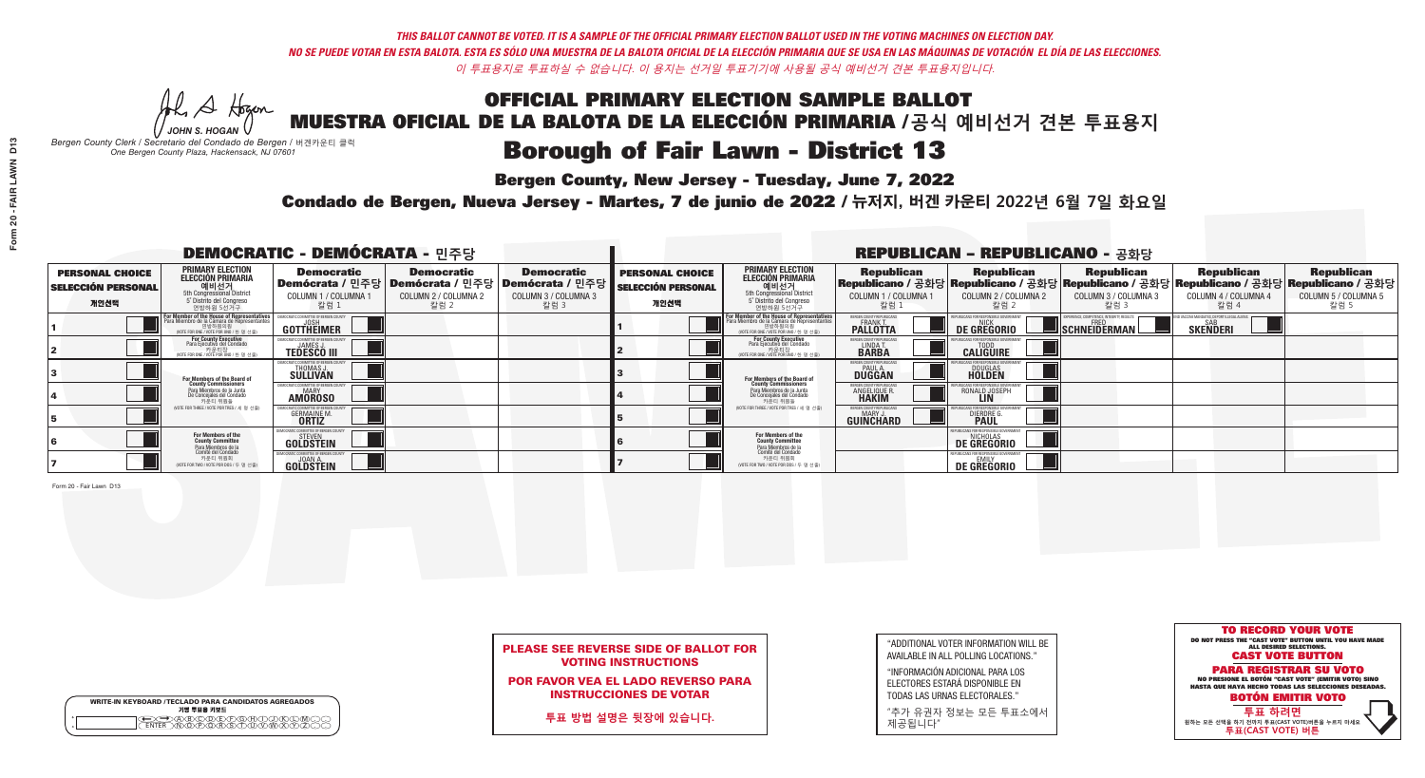H A Hogan *JOHN S. HOGAN*

# **Borough of Fair Lawn - District 13**

**Bergen County, New Jersey - Tuesday, June 7, 2022** 

*Bergen County Clerk / Secretario del Condado de Bergen /* 버겐카운티 클럭 *One Bergen County Plaza, Hackensack, NJ 07601*



## PLEASE SEE REVERSE SIDE OF BALLOT FOR VOTING INSTRUCTIONS

POR FAVOR VEA EL LADO REVERSO PARA INSTRUCCIONES DE VOTAR

**투표 방법 설명은 뒷장에 있습니다.**

|                    | <b>WRITE-IN KEYBOARD /TECLADO PARA CANDIDATOS AGREGADOS</b><br>기명 투표용 키보드 |
|--------------------|---------------------------------------------------------------------------|
| $\circ$<br>$\circ$ |                                                                           |

"ADDITIONAL VOTER INFORMATION WILL BE AVAILABLE IN ALL POLLING LOCATIONS."

"INFORMACIÓN ADICIONAL PARA LOS ELECTORES ESTARÁ DISPONIBLE EN TODAS LAS URNAS ELECTORALES."

"추가 유권자 정보는 모든 투표소에서 제공됩니다"

Condado de Bergen, Nueva Jersey - Martes, 7 de junio de 2022 / 뉴저지, 버겐 카운티 2022년 6월 7일 화요일 *One Bergen County Plaza, Hackensack, NJ 07601*

| <b>DEMOCRATIC - DEMÓCRATA - 민주당</b>                         |                                                                                                                                                             |                                                                  |                                                   |                                                                                                                   |                                                             |                                                                                                                                   |                                                                 | <b>REPUBLICAN - REPUBLICANO - 공화당</b>                                                                                                           |                                                           |                                                               |                                                   |
|-------------------------------------------------------------|-------------------------------------------------------------------------------------------------------------------------------------------------------------|------------------------------------------------------------------|---------------------------------------------------|-------------------------------------------------------------------------------------------------------------------|-------------------------------------------------------------|-----------------------------------------------------------------------------------------------------------------------------------|-----------------------------------------------------------------|-------------------------------------------------------------------------------------------------------------------------------------------------|-----------------------------------------------------------|---------------------------------------------------------------|---------------------------------------------------|
| <b>PERSONAL CHOICE</b><br><b>SELECCIÓN PERSONAL</b><br>개인선택 | <b>PRIMARY ELECTION</b><br>ELECCIÓN PRIMARIA<br>에비선거<br>5th Congressional District<br>5 <sup>*</sup> Distrite del Congreso<br>연방하원 5선거구                     | <b>Democratic</b><br>COLUMN 1 / COLUMNA<br>칼럼 1                  | <b>Democratic</b><br>COLUMN 2 / COLUMNA 2<br>칼럼 2 | <b>Democratic</b><br>  Demócrata / 민주당   Demócrata / 민주당   Demócrata / 민주당<br><b>COLUMN 3 / COLUMNA 3</b><br>칼럼 3 | <b>PERSONAL CHOICE</b><br><b>SELECCIÓN PERSONAL</b><br>개인선택 | <b>PRIMARY ELECTION</b><br>ELECCIÓN PRIMARIA<br>예비선거<br><sub>5</sub> District<br>5 Distrite del Congreso<br>연방하원 5선거구             | <b>Republican</b><br>COLUMN 1 / COLUMNA 1<br>"칼럼 1              | <b>Republican</b><br>Republicano / 공화당 Republicano / 공화당 Republicano / 공화당 Republicano / 공화당 Republicano / 공화당<br>COLUMN 2 / COLUMNA 2<br>-칼럼 2 | <b>Republican</b><br>COLUMN 3 / COLUMNA 3<br>칼럼 3         | <b>Republican</b><br>COLUMN 4 / COLUMNA 4<br>칼럼 4             | <b>Republican</b><br>COLUMN 5 / COLUMNA 5<br>칼럼 5 |
|                                                             | F <mark>or Member of the House of Representatives</mark><br>Para Miembro de la Cámara de Representantes<br>연방하원의원<br>(VOTE FOR ONE / VOTE POR UNO / 한 명 선출) | DEMOCRATIC COMMITTEE OF BERGEN COUN<br>GOTTHEIMER                |                                                   |                                                                                                                   |                                                             | or Member of the House of Representatives<br>Para Miembro de la Cámara de Representantes<br>NOTE FOR ONE / VOTE POR UNO / 한 명 선출) | BERGEN COUNTY REPUBLICANS<br><b>FRANK T.</b><br><b>PALLOTTA</b> | <b>DE GREGORIO</b>                                                                                                                              | XPERIENCE, COMPETENCE, INTEGRITY, RESULTS<br>SCHNEIDERMAN | ND VACCINE MANDATES, DEPORT ILLEGAL ALIENS<br><b>SKENDERI</b> |                                                   |
|                                                             | For County Executive<br>Para Ejecutivo del Condado<br>vOTE FOR ONE / VOTE POR UNO / 한 명 선출)                                                                 | JAMES,<br><b>TEDESCO III</b>                                     |                                                   |                                                                                                                   |                                                             | For County Executive<br>Para Ejecutivo del Condado<br>7) 카운티장<br>(VOTE FOR ONE / VOTE POR UNO / 한 명 선출)                           | BERGEN COUNTY REPUBLICAN<br>LINDA T.<br><b>BARBA</b>            | <b>CALIGUIRE</b>                                                                                                                                |                                                           |                                                               |                                                   |
|                                                             | For Members of the Board of<br>County Commissioners                                                                                                         | <b>THOMAS J.</b><br><b>SULLIVAN</b>                              |                                                   |                                                                                                                   |                                                             | <b>For Members of the Board of County Commissioners</b>                                                                           | ERGEN COUNTY REPUBLICAN<br><b>PAUL A.</b><br><b>DUGGAN</b>      | <b>DOUGLAS</b>                                                                                                                                  |                                                           |                                                               |                                                   |
|                                                             | Para Miembros de la Junta<br>De Concejales del Condado<br>카운티 위원들                                                                                           | IC COMMITTEE OF RERGEN COLIN<br>MARY<br><b>AMOROSO</b>           |                                                   |                                                                                                                   |                                                             | Para Miembros de la Junta<br>De Concejales del Condado<br>카운티 위원들                                                                 | <b>ERGEN COUNTY REPUBLICAN</b><br><b>ANGELIQUE R</b>            | RONALD JOSEPH                                                                                                                                   |                                                           |                                                               |                                                   |
|                                                             | (VOTE FOR THREE / VOTE POR TRES / 세 명 선출)                                                                                                                   | <b>GERMAINE M.</b><br><b>ORTIZ</b>                               |                                                   |                                                                                                                   |                                                             | (VOTE FOR THREE / VOTE POR TRES / 세 명 선출)                                                                                         | ERGEN COUNTY REPUBLICAN<br>MARY J<br><b>GUINCHARD</b>           | <b>DIERDRE</b>                                                                                                                                  |                                                           |                                                               |                                                   |
|                                                             | For Members of the<br>County Committee                                                                                                                      | MOCRATIC COMMITTEE OF BERGEN CO<br><b>STEVEN</b><br>GOLDSTEIN    |                                                   |                                                                                                                   |                                                             | For Members of the<br>County Committee                                                                                            |                                                                 | LICANS FOR RESPONSIBLE GOV<br><b>DE GREGORIO</b>                                                                                                |                                                           |                                                               |                                                   |
|                                                             | Para Miembros de la<br>Comité del Condado<br>카운티 위원회<br>(VOTE FOR TWO / VOTE POR DOS / 두 명 선출)                                                              | <b><i>AOCRATIC COMMITTEE OF BERGEN C</i></b><br><b>GOLDSTEIN</b> |                                                   |                                                                                                                   |                                                             | Para Miembros de la<br>Comité del Condado<br>카운티 위원회<br>(VOTE FOR TWO / VOTE POR DOS / 두 명 선출)                                    |                                                                 | <b>FPURLICANS FOR RESPONSIBLE GOVERNMEN</b><br><b>DE GREGORIO</b>                                                                               |                                                           |                                                               |                                                   |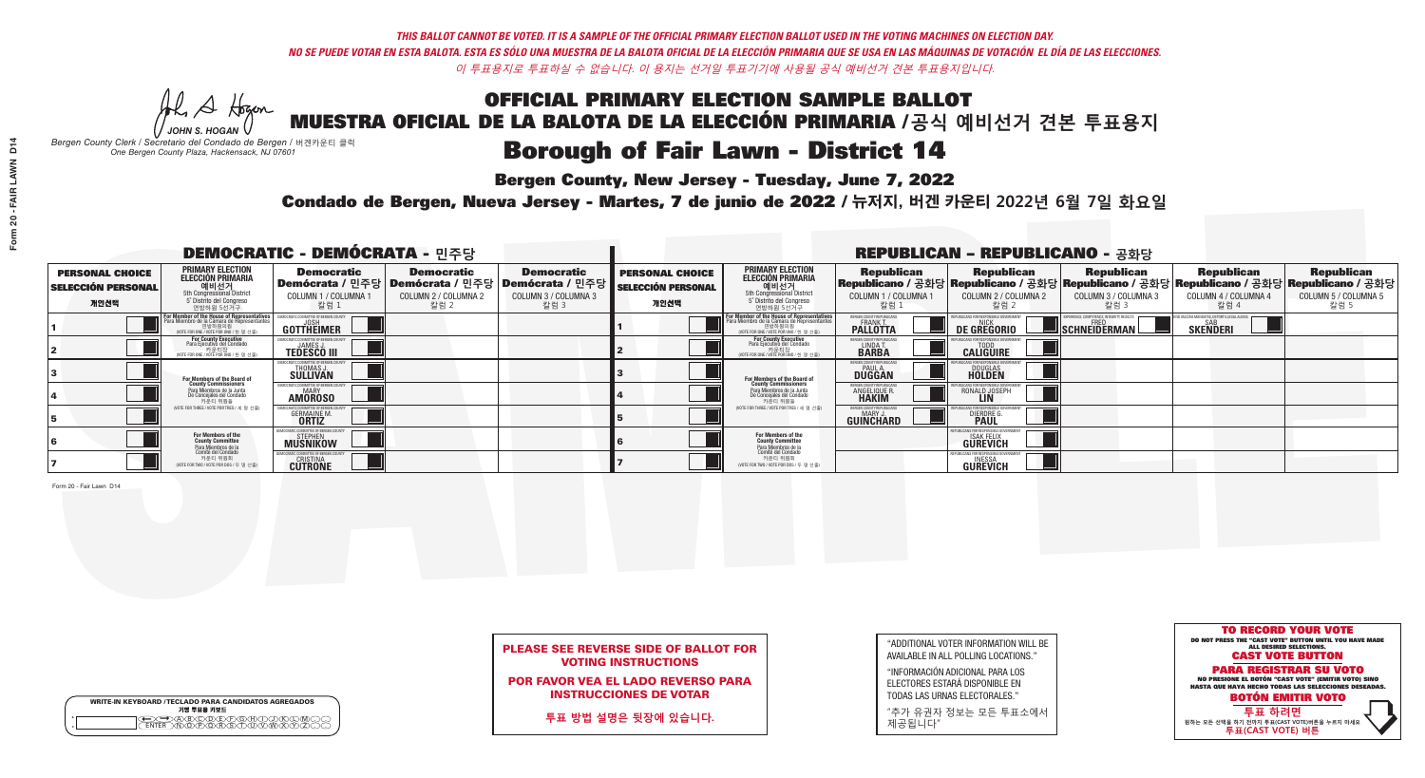He A Hogan *JOHN S. HOGAN*

|         | <b>WRITE-IN KEYBOARD /TECLADO PARA CANDIDATOS AGREGADOS</b><br>기명 투표용 키보드 |
|---------|---------------------------------------------------------------------------|
| $\circ$ | <u>سوپرهلالل ل</u>                                                        |

# **Borough of Fair Lawn - District 14**

**Bergen County, New Jersey - Tuesday, June 7, 2022** 

*Bergen County Clerk / Secretario del Condado de Bergen /* 버겐카운티 클럭 *One Bergen County Plaza, Hackensack, NJ 07601*



POR FAVOR VEA EL LADO REVERSO PARA INSTRUCCIONES DE VOTAR

**투표 방법 설명은 뒷장에 있습니다.**

"ADDITIONAL VOTER INFORMATION WILL BE AVAILABLE IN ALL POLLING LOCATIONS."

"INFORMACIÓN ADICIONAL PARA LOS ELECTORES ESTARÁ DISPONIBLE EN TODAS LAS URNAS ELECTORALES."

"추가 유권자 정보는 모든 투표소에서 제공됩니다"

Condado de Bergen, Nueva Jersey - Martes, 7 de junio de 2022 / 뉴저지, 버겐 카운티 2022년 6월 7일 화요일 *One Bergen County Plaza, Hackensack, NJ 07601*

| <b>DEMOCRATIC - DEMÓCRATA - 민주당</b>                         |                                                                                                                                                  |                                                                     |                                                   |                                                                                                                   | <b>REPUBLICAN - REPUBLICANO - 공화당</b>                       |                                                                                                                                                                     |                                                                 |                                                                                                                                                 |                                                           |                                                               |                                                   |
|-------------------------------------------------------------|--------------------------------------------------------------------------------------------------------------------------------------------------|---------------------------------------------------------------------|---------------------------------------------------|-------------------------------------------------------------------------------------------------------------------|-------------------------------------------------------------|---------------------------------------------------------------------------------------------------------------------------------------------------------------------|-----------------------------------------------------------------|-------------------------------------------------------------------------------------------------------------------------------------------------|-----------------------------------------------------------|---------------------------------------------------------------|---------------------------------------------------|
| <b>PERSONAL CHOICE</b><br><b>SELECCIÓN PERSONAL</b><br>개인선택 | <b>PRIMARY ELECTION</b><br>ELECCIÓN PRIMARIA<br>에비선거<br>5th Congressional District<br>5 <sup>*</sup> Distrite del Congreso<br>연방하원 5선거구          | <b>Democratic</b><br>COLUMN 1 / COLUMNA<br>칼럼 1                     | <b>Democratic</b><br>COLUMN 2 / COLUMNA 2<br>칼럼 2 | <b>Democratic</b><br>  Demócrata / 민주당   Demócrata / 민주당   Demócrata / 민주당<br><b>COLUMN 3 / COLUMNA 3</b><br>칼럼 3 | <b>PERSONAL CHOICE</b><br><b>SELECCIÓN PERSONAL</b><br>개인선택 | <b>PRIMARY ELECTION</b><br>ELECCIÓN PRIMARIA<br>예비선거<br><sub>5</sub> Distrite del Congression<br>Sin Congressional District<br>5 Distrite del Congreso<br>연방하원 5선거구 | <b>Republican</b><br>COLUMN 1 / COLUMNA 1<br>"칼럼 1              | <b>Republican</b><br>Republicano / 공화당 Republicano / 공화당 Republicano / 공화당 Republicano / 공화당 Republicano / 공화당<br>COLUMN 2 / COLUMNA 2<br>-칼럼 2 | <b>Republican</b><br>COLUMN 3 / COLUMNA 3<br>칼럼 3         | <b>Republican</b><br>COLUMN 4 / COLUMNA 4<br>칼럼 4             | <b>Republican</b><br>COLUMN 5 / COLUMNA 5<br>칼럼 5 |
|                                                             | F <mark>or Member of the House of Representatives</mark><br>Para Miembro de la Cámara de Representantes<br>WOTE FOR ONE / VOTE POR UNO / 한 명 선출) | DEMOCRATIC COMMITTEE OF BERGEN COUN<br>GOTTHEIMER                   |                                                   |                                                                                                                   |                                                             | F <mark>or Member of the House of Representatives</mark><br>Para Miembro de la Cámara de Representantes<br>NOTE FOR ONE / VOTE POR UNO / 한 명 선출)                    | BERGEN COUNTY REPUBLICANS<br><b>FRANK T.</b><br><b>PALLOTTA</b> | <b>DE GREGORIO</b>                                                                                                                              | XPERIENCE, COMPETENCE, INTEGRITY, RESULTS<br>SCHNEIDERMAN | ND VACCINE MANDATES, DEPORT ILLEGAL ALIENS<br><b>SKENDERI</b> |                                                   |
|                                                             | For County Executive<br>Para Ejecutivo del Condado<br>vOTE FOR ONE / VOTE POR UNO / 한 명 선출)                                                      | JAMES,<br><b>TEDESCO III</b>                                        |                                                   |                                                                                                                   |                                                             | For County Executive<br>Para Ejecutivo del Condado<br>7) 카운티장<br>(VOTE FOR ONE / VOTE POR UNO / 한 명 선출)                                                             | BERGEN COUNTY REPUBLICAN<br>LINDA T.<br><b>BARBA</b>            | <b>CALIGUIRE</b>                                                                                                                                |                                                           |                                                               |                                                   |
|                                                             | For Members of the Board of<br>County Commissioners                                                                                              | <b>THOMAS J.</b><br><b>SULLIVAN</b>                                 |                                                   |                                                                                                                   |                                                             | <b>For Members of the Board of County Commissioners</b>                                                                                                             | ERGEN COUNTY REPUBLICAN<br><b>PAUL A.</b><br><b>DUGGAN</b>      | <b>DOUGLAS</b>                                                                                                                                  |                                                           |                                                               |                                                   |
|                                                             | Para Miembros de la Junta<br>De Concejales del Condado<br>카운티 위원들                                                                                | IC COMMITTEE OF RERGEN COLIN<br>MARY<br><b>AMOROSO</b>              |                                                   |                                                                                                                   |                                                             | Para Miembros de la Junta<br>De Concejales del Condado<br>카운티 위원들                                                                                                   | <b>ERGEN COUNTY REPUBLICAN</b><br><b>ANGELIQUE R</b>            | RONALD JOSEPH                                                                                                                                   |                                                           |                                                               |                                                   |
|                                                             | (VOTE FOR THREE / VOTE POR TRES / 세 명 선출)                                                                                                        | <b>GERMAINE M.</b><br><b>ORTIZ</b>                                  |                                                   |                                                                                                                   |                                                             | (VOTE FOR THREE / VOTE POR TRES / 세 명 선출)                                                                                                                           | ERGEN COUNTY REPUBLICAN<br>MARY J<br><b>GUINCHARD</b>           | <b>DIERDRE</b>                                                                                                                                  |                                                           |                                                               |                                                   |
|                                                             | For Members of the<br>County Committee                                                                                                           | MOCRATIC COMMITTEE OF BERGEN COUN<br><b>STEPHEN</b><br>MUSNIKOW     |                                                   |                                                                                                                   |                                                             | For Members of the<br>County Committee                                                                                                                              |                                                                 | ICANS FOR RESPONSIBLE GI<br><b>ISAK FELIX</b><br><b>GÜREVICH</b>                                                                                |                                                           |                                                               |                                                   |
|                                                             | Para Miembros de la<br>Comité del Condado<br>카운티 위원회<br>(VOTE FOR TWO / VOTE POR DOS / 두 명 선출)                                                   | MOCRATIC COMMITTEE OF BERGEN (<br><b>CRISTINA</b><br><b>CUTRONE</b> |                                                   |                                                                                                                   |                                                             | Para Miembros de la<br>Comité del Condado<br>카운티 위원회<br>(VOTE FOR TWO / VOTE POR DOS / 두 명 선출)                                                                      |                                                                 | PUBLICANS FOR RESPONSIBLE<br><b>GUREVICH</b>                                                                                                    |                                                           |                                                               |                                                   |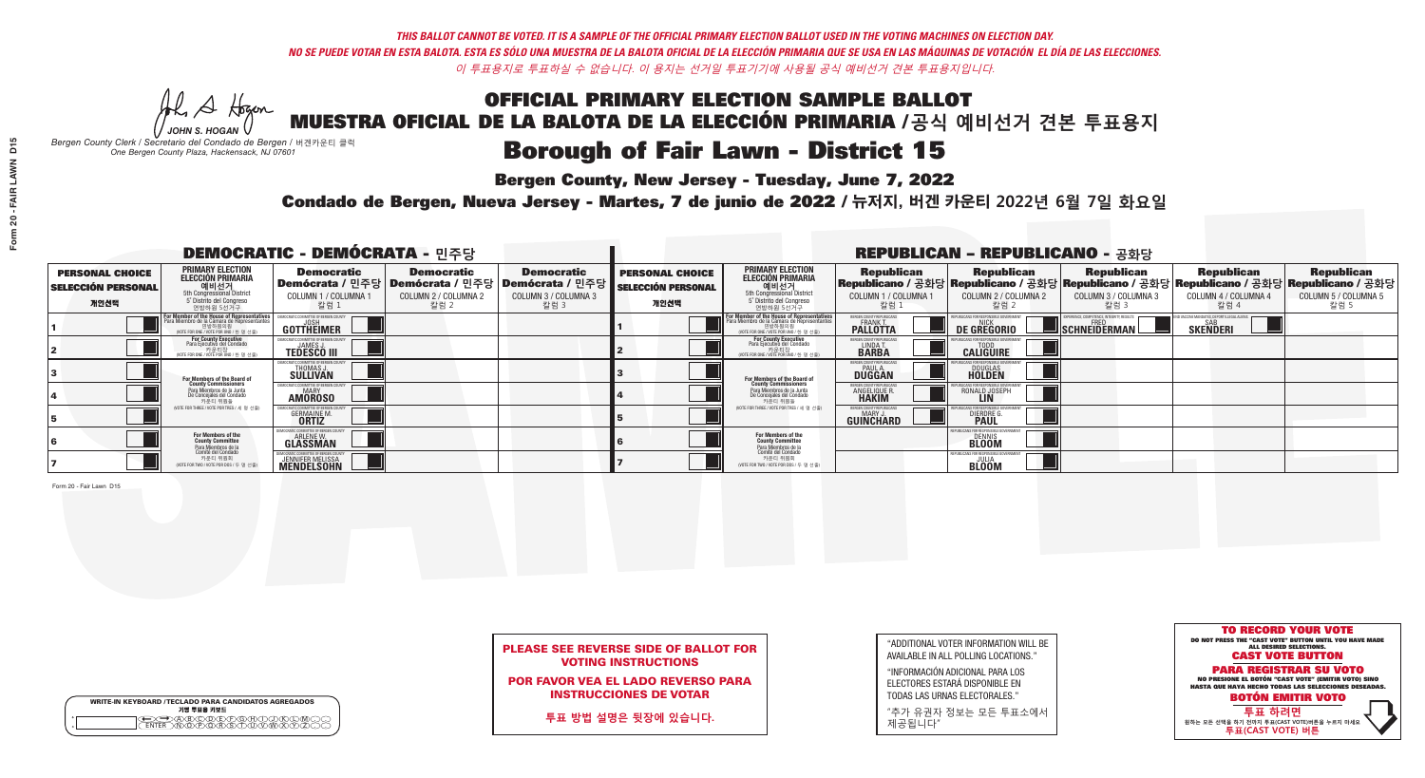He A Hogan *JOHN S. HOGAN*

# **Borough of Fair Lawn - District 15**

**Bergen County, New Jersey - Tuesday, June 7, 2022** 

*Bergen County Clerk / Secretario del Condado de Bergen /* 버겐카운티 클럭 *One Bergen County Plaza, Hackensack, NJ 07601*



## PLEASE SEE REVERSE SIDE OF BALLOT FOR VOTING INSTRUCTIONS

POR FAVOR VEA EL LADO REVERSO PARA INSTRUCCIONES DE VOTAR

**투표 방법 설명은 뒷장에 있습니다.**

| <b>WRITE-IN KEYBOARD /TECLADO PARA CANDIDATOS AGREGADOS</b><br>기명 투표용 키보드 |
|---------------------------------------------------------------------------|

 $\bigoplus \bigoplus \mathbb{A} \oplus \mathbb{C} \oplus \mathbb{C} \oplus \mathbb{C} \oplus \mathbb{C} \oplus \mathbb{C} \cup \mathbb{W} \oplus \mathbb{Z} \oplus \mathbb{Z} \oplus \mathbb{C}$ 

"ADDITIONAL VOTER INFORMATION WILL BE AVAILABLE IN ALL POLLING LOCATIONS."

"INFORMACIÓN ADICIONAL PARA LOS ELECTORES ESTARÁ DISPONIBLE EN TODAS LAS URNAS ELECTORALES."

"추가 유권자 정보는 모든 투표소에서 제공됩니다"

Condado de Bergen, Nueva Jersey - Martes, 7 de junio de 2022 / 뉴저지, 버겐 카운티 2022년 6월 7일 화요일 *One Bergen County Plaza, Hackensack, NJ 07601*

| <b>DEMOCRATIC - DEMÓCRATA - 민주당</b>                         |                                                                                                                                         |                                                                                                      |                                                   | <b>REPUBLICAN - REPUBLICANO - 공화당</b>                                |                                                             |                                                                                                                                                  |                                                                |                                                                                                                                                 |                                                          |                                                               |                                                   |
|-------------------------------------------------------------|-----------------------------------------------------------------------------------------------------------------------------------------|------------------------------------------------------------------------------------------------------|---------------------------------------------------|----------------------------------------------------------------------|-------------------------------------------------------------|--------------------------------------------------------------------------------------------------------------------------------------------------|----------------------------------------------------------------|-------------------------------------------------------------------------------------------------------------------------------------------------|----------------------------------------------------------|---------------------------------------------------------------|---------------------------------------------------|
| <b>PERSONAL CHOICE</b><br><b>SELECCIÓN PERSONAL</b><br>개인선택 | <b>PRIMARY ELECTION</b><br>ELECCIÓN PRIMARIA<br>에비선거<br>5th Congressional District<br>5 <sup>*</sup> Distrite del Congreso<br>연방하원 5선거구 | <b>Democratic</b><br>  <b>Demócrata /</b> 민주당  <b>Demócrata /</b> 민주당 <br>COLUMN 1 / COLUMNA<br>칼럼 1 | <b>Democratic</b><br>COLUMN 2 / COLUMNA 2<br>칼럼 2 | <b>Democratic</b><br>Demócrata / 민주당<br>COLUMN 3 / COLUMNA 3<br>칼럼 3 | <b>PERSONAL CHOICE</b><br><b>SELECCIÓN PERSONAL</b><br>개인선택 | <b>PRIMARY ELECTION</b><br>ELECCIÓN PRIMARIA<br>예비선거<br><sub>5</sub> District<br>5 Distrite del Congreso<br>연방하원 5선거구                            | <b>Republican</b><br>COLUMN 1 / COLUMNA 1<br>.칼럼 :             | <b>Republican</b><br>Republicano / 공화당 Republicano / 공화당 Republicano / 공화당 Republicano / 공화당 Republicano / 공화당<br>COLUMN 2 / COLUMNA 2<br>-칼럼 2 | <b>Republican</b><br>COLUMN 3 / COLUMNA 3<br>칼럼 3        | <b>Republican</b><br>COLUMN 4 / COLUMNA 4<br>칼럼 4             | <b>Republican</b><br>COLUMN 5 / COLUMNA 5<br>칼럼 5 |
|                                                             | For Member of the House of Representatives<br>Para Miembro de la Cámara de Representantes<br>NOTE FOR ONE / VOTE POR UNO / 한 명 선출)      | COMMITTEE OF BERGEN C<br>GOTTHEIMER                                                                  |                                                   |                                                                      |                                                             | F <mark>or Member of the House of Representatives</mark><br>Para Miembro de la Cámara de Representantes<br>NOTE FOR ONE / VOTE POR UNO / 한 명 선출) | BERGEN COUNTY REPUBLICAN<br><b>FRANK T.</b><br><b>PALLOTTA</b> | DE GREGORIO                                                                                                                                     | XPERIENCE, COMPETENCE, INTEGRITY, RESULT<br>SCHNEIDERMAN | ND VACCINE MANDATES, DEPORT ILLEGAL ALIENS<br><b>SKENDERI</b> |                                                   |
|                                                             | For County Executive<br>Para Ejecutivo del Condado<br>. 기운티장<br>VOTE FOR ONE / VOTE POR UNO / 한 명 선출)                                   | DEMOCRATIC COMMITTEE OF BERGEN C<br><b>JAMES</b><br><b>TEDESCO III</b>                               |                                                   |                                                                      |                                                             | <b>For County Executive</b><br>Para Ejecutivo del Condado<br>7) 카운티장<br>(VOTE FOR ONE / VOTE POR UNO / 한 명 선출)                                   | BERGEN COUNTY REPUBLICAN<br>LINDA T.<br><b>BARBA</b>           | <b>CALIGUIRE</b>                                                                                                                                |                                                          |                                                               |                                                   |
|                                                             | For Members of the Board of<br>County Commissioners                                                                                     | <b>THOMAS J.</b><br><b>SULLIVAN</b>                                                                  |                                                   |                                                                      |                                                             | <b>For Members of the Board of County Commissioners</b>                                                                                          | ERGEN COUNTY REPUBLICAN<br><b>PAUL A.</b><br><b>DUGGAN</b>     | <b>DOUGLAS</b>                                                                                                                                  |                                                          |                                                               |                                                   |
|                                                             | Para Miembros de la Junta<br>De Concejales del Condado<br>카우티 위원들                                                                       | (IC COMMITTEE OF BERGEN COUN<br><b>MARY</b><br><b>AMOROSO</b>                                        |                                                   |                                                                      |                                                             | Para Miembros de la Junta<br>De Concejales del Condado<br>카운티 위원들                                                                                | RGEN COUNTY REPUBLICAN<br><b>ANGELIQUE F</b>                   | RONALD JOSEPH                                                                                                                                   |                                                          |                                                               |                                                   |
|                                                             | (VOTE FOR THREE / VOTE POR TRES / 세 명 선출)                                                                                               | <b>GERMAINE M.</b><br><b>ORTIZ</b>                                                                   |                                                   |                                                                      |                                                             | (VOTE FOR THREE / VOTE POR TRES / 세 명 선출)                                                                                                        | ERGEN COUNTY REPUBLICAN<br>MARY J<br><b>GUINCHARD</b>          | <b>DIERDRE G</b><br><b>PAUL</b>                                                                                                                 |                                                          |                                                               |                                                   |
|                                                             | For Members of the<br>County Committee<br>Para Miembros de la                                                                           | OCRATIC COMMITTEE OF BERGEN CO<br>ARLENE W.<br><b>GLASSMAN</b>                                       |                                                   |                                                                      |                                                             | For Members of the<br>County Committee                                                                                                           |                                                                | I ICANS FOR RESPONSIBI F I<br>DENNIS<br><b>BLOOM</b>                                                                                            |                                                          |                                                               |                                                   |
|                                                             | Comité del Condado<br>카운티 위원회<br>(VOTE FOR TWO / VOTE POR DOS / 두 명 선출)                                                                 | JENNIFER MELISSA                                                                                     |                                                   |                                                                      |                                                             | Para Miembros de la<br>Comité del Condado<br>카운티 위원회<br>(VOTE FOR TWO / VOTE POR DOS / 두 명 선출)                                                   |                                                                | PUBLICANS FOR RESPONSIBLE G<br><b>BLOOM</b>                                                                                                     |                                                          |                                                               |                                                   |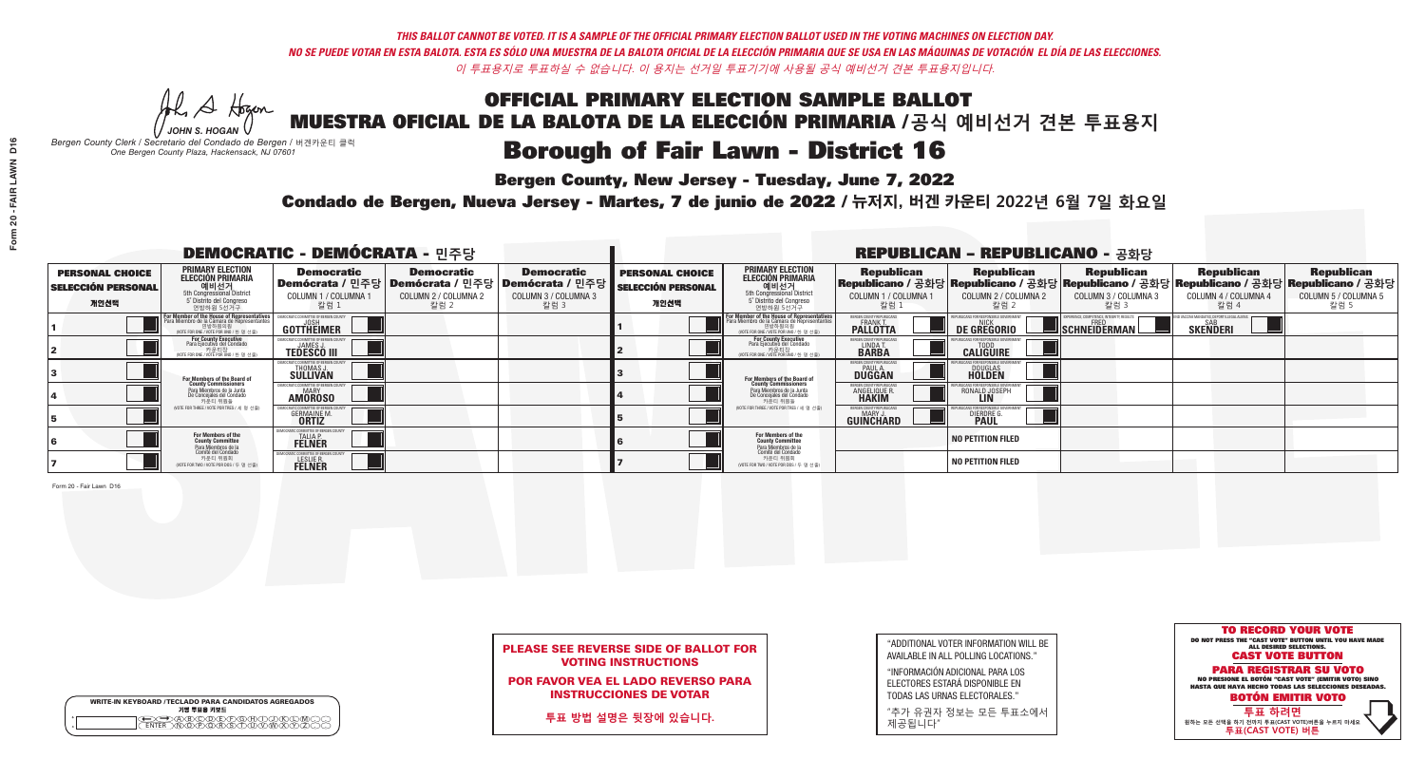## OFFICIAL PRIMARY ELECTION SAMPLE BALLOT MUESTRA OFICIAL DE LA BALOTA DE LA ELECCIÓN PRIMARIA /**공식 예비선거 견본 투표용지 Borough of Fair Lawn - District 16**

**Bergen County, New Jersey - Tuesday, June 7, 2022** 

He A Hogan *JOHN S. HOGAN*

|        | <b>WRITE-IN KEYBOARD /TECLADO PARA CANDIDATOS AGREGADOS</b><br>기명 투표용 키보드 |
|--------|---------------------------------------------------------------------------|
| ο<br>Ω |                                                                           |

*Bergen County Clerk / Secretario del Condado de Bergen /* 버겐카운티 클럭 *One Bergen County Plaza, Hackensack, NJ 07601*



## PLEASE SEE REVERSE SIDE OF BALLOT FOR VOTING INSTRUCTIONS

POR FAVOR VEA EL LADO REVERSO PARA INSTRUCCIONES DE VOTAR

**투표 방법 설명은 뒷장에 있습니다.**

| "ADDITIONAL VOTER INFORMATION WILL BE |
|---------------------------------------|
| AVAILABLE IN ALL POLLING LOCATIONS."  |
|                                       |

"INFORMACIÓN ADICIONAL PARA LOS ELECTORES ESTARÁ DISPONIBLE EN TODAS LAS URNAS ELECTORALES."

"추가 유권자 정보는 모든 투표소에서 제공됩니다"

Condado de Bergen, Nueva Jersey - Martes, 7 de junio de 2022 / 뉴저지, 버겐 카운티 2022년 6월 7일 화요일 *One Bergen County Plaza, Hackensack, NJ 07601*

| <b>DEMOCRATIC - DEMÓCRATA - 민주당</b>                         |                                                                                                                                                      |                                                                |                                                   | <b>REPUBLICAN - REPUBLICANO - 공화당</b>                                                                        |                                                             |                                                                                                                                                  |                                                                 |                                                                                                                                                  |                                                          |                                                   |                                                   |
|-------------------------------------------------------------|------------------------------------------------------------------------------------------------------------------------------------------------------|----------------------------------------------------------------|---------------------------------------------------|--------------------------------------------------------------------------------------------------------------|-------------------------------------------------------------|--------------------------------------------------------------------------------------------------------------------------------------------------|-----------------------------------------------------------------|--------------------------------------------------------------------------------------------------------------------------------------------------|----------------------------------------------------------|---------------------------------------------------|---------------------------------------------------|
| <b>PERSONAL CHOICE</b><br><b>SELECCIÓN PERSONAL</b><br>개인선택 | <b>PRIMARY ELECTION</b><br><b>ELECCIÓN PRIMARIA</b><br>예비선거<br>5th Congressional District<br>5° Distrito del Congreso<br>연방하원 5선거구                   | <b>Democratic</b><br>COLUMN 1 / COLUMNA<br>칼럼 1                | <b>Democratic</b><br>COLUMN 2 / COLUMNA 2<br>칼럼 2 | <b>Democratic</b><br>  Demócrata / 민주당   Demócrata / 민주당   Demócrata / 민주당  <br>COLUMN 3 / COLUMNA 3<br>칼럼 3 | <b>PERSONAL CHOICE</b><br><b>SELECCIÓN PERSONAL</b><br>개인선택 | <b>PRIMARY ELECTION</b><br>ELECCIÓN PRIMARIA<br>예비선거<br>5th Congressional District<br>5 Distrito del Congreso<br>연방하원 5선거구                       | <b>Republican</b><br>COLUMN 1 / COLUMNA 1<br>"칼럼 1              | <b>Republican</b><br> Republicano / 공화당 Republicano / 공화당 Republicano / 공화당 Republicano / 공화당 Republicano / 공화당<br>COLUMN 2 / COLUMNA 2<br>-칼럼 2 | <b>Republican</b><br>COLUMN 3 / COLUMNA 3<br>칼럼 3        | <b>Republican</b><br>COLUMN 4 / COLUMNA 4<br>칼럼 4 | <b>Republican</b><br>COLUMN 5 / COLUMNA 5<br>칼럼 5 |
|                                                             | <b>For Member of the House of Representatives</b><br>Para Miembro de la Cámara de Representantes<br>연방하원의원<br>(VOTE FOR ONE / VOTE POR UNO / 한 명 선출) | <b>COMMITTEE OF BERGEN COUNT</b><br>GOTTHËIMER                 |                                                   |                                                                                                              |                                                             | F <mark>or Member of the House of Representatives</mark><br>Para Miembro de la Cámara de Representantes<br>NOTE FOR ONE / VOTE POR UNO / 한 명 선출) | BERGEN COUNTY REPUBLICANS<br><b>FRANK T.</b><br><b>PALLOTTA</b> | <b>DE GREGORIO</b>                                                                                                                               | PERIENCE, COMPETENCE, INTEGRITY, RESULTS<br>SCHNEIDERMAN | <b>SKENDERI</b>                                   |                                                   |
|                                                             | For County Executive<br>Para Ejecutivo del Condado<br>/OTE FOR ONE / VOTE POR UNO / 한 명 선출)                                                          | <b>JAMES J</b><br><b>TEDESCO III</b>                           |                                                   |                                                                                                              |                                                             | For County Executive<br>Para Ejecutivo del Condado<br>. 카운티장<br>(VOTE FOR ONE / VOTE POR UNO / 한 명 선출)                                           | BERGEN COUNTY REPUBLICAN<br>LINDA T.                            | <b>CALIGUIRE</b>                                                                                                                                 |                                                          |                                                   |                                                   |
|                                                             | For Members of the Board of<br>County Commissioners                                                                                                  | IOCRATIC COMMITTEE OF BERGEN CO<br>THOMAS J.                   |                                                   |                                                                                                              |                                                             | <b>For Members of the Board of County Commissioners</b>                                                                                          | BERGEN COUNTY REPUBLICAN<br><b>DUGGAN</b>                       | <b>DOUGLAS</b><br><b>HOLDEN</b>                                                                                                                  |                                                          |                                                   |                                                   |
|                                                             | Para Miembros de la Junta<br>De Concejales del Condado<br>카운티 위원들                                                                                    | OCRATIC COMMITTEE OF BERGEN COUN'<br><b>AMOROSO</b>            |                                                   |                                                                                                              |                                                             | Para Miembros de la Junta<br>De Concejales del Condado<br>카운티 위원들                                                                                | RGEN COUNTY REPUBLICAN<br><b>ANGELIQUE R</b>                    | RONALD JOSEPH                                                                                                                                    |                                                          |                                                   |                                                   |
|                                                             | NOTE FOR THREE / VOTE POR TRES / 세 명 선출)                                                                                                             | <b>GERMAINE M</b><br><b>ORTIZ</b>                              |                                                   |                                                                                                              |                                                             | (VOTE FOR THREE / VOTE POR TRES / 세 명 선출)                                                                                                        | ERGEN COUNTY REPUBLICAN<br>MARY J<br><b>GUINCHARD</b>           | <b>DIERDRE</b>                                                                                                                                   |                                                          |                                                   |                                                   |
|                                                             | For Members of the<br>County Committee<br>Para Miembros de la                                                                                        | ATIC COMMITTEE OF BERGEN (<br><b>TALIA P.</b><br><b>FELNER</b> |                                                   |                                                                                                              |                                                             | <b>For Members of the<br/>County Committee</b>                                                                                                   |                                                                 | <b>NO PETITION FILED</b>                                                                                                                         |                                                          |                                                   |                                                   |
|                                                             | Comité del Condado<br>카운티 위원회<br>(VOTE FOR TWO / VOTE POR DOS / 두 명 선출)                                                                              | C COMMITTEE OF BERGEN (<br>LESLIE R.                           |                                                   |                                                                                                              |                                                             | Para Miembros de la<br>Comité del Condado<br>카운티 위원회<br>NOTE FOR TWO / VOTE POR DOS / 두 명 선출)                                                    |                                                                 | <b>NO PETITION FILED</b>                                                                                                                         |                                                          |                                                   |                                                   |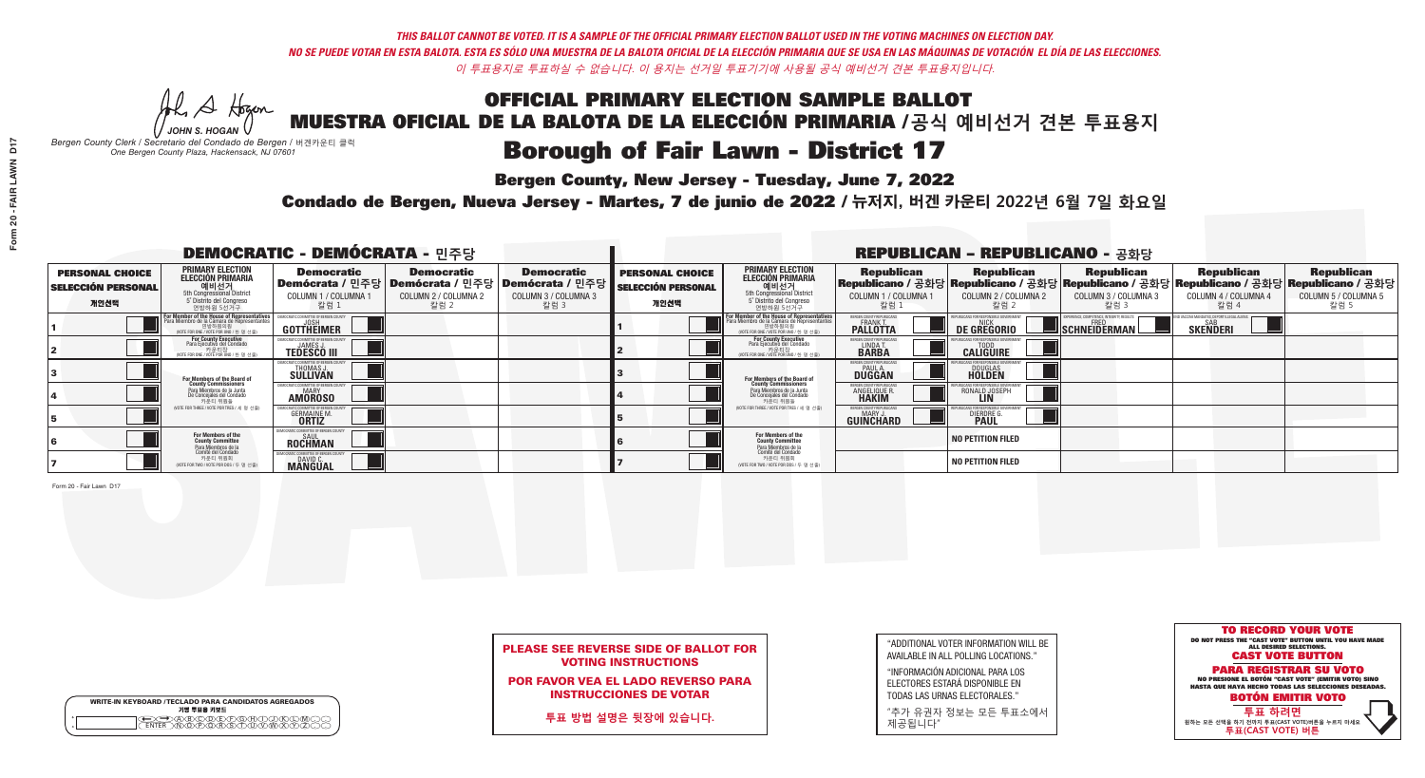He A Hogan *JOHN S. HOGAN*

| <b>WRITE-IN KEYBOARD /TECLADO PARA CANDIDATOS AGREGADOS</b><br>기명 투표용 키보드 |  |
|---------------------------------------------------------------------------|--|
| COADOODEPOHOORO                                                           |  |

# **Borough of Fair Lawn - District 17**

**Bergen County, New Jersey - Tuesday, June 7, 2022** 

*Bergen County Clerk / Secretario del Condado de Bergen /* 버겐카운티 클럭 *One Bergen County Plaza, Hackensack, NJ 07601*



## PLEASE SEE REVERSE SIDE OF BALLOT FOR VOTING INSTRUCTIONS

POR FAVOR VEA EL LADO REVERSO PARA INSTRUCCIONES DE VOTAR

**투표 방법 설명은 뒷장에 있습니다.**

| 3                       |  |
|-------------------------|--|
| 4                       |  |
| 5                       |  |
| 6                       |  |
| $\overline{\mathbf{z}}$ |  |

| "ADDITIONAL VOTER INFORMATION WILL BE |
|---------------------------------------|
| AVAILABLE IN ALL POLLING LOCATIONS."  |
|                                       |

"INFORMACIÓN ADICIONAL PARA LOS ELECTORES ESTARÁ DISPONIBLE EN TODAS LAS URNAS ELECTORALES."

"추가 유권자 정보는 모든 투표소에서 제공됩니다"

Condado de Bergen, Nueva Jersey - Martes, 7 de junio de 2022 / 뉴저지, 버겐 카운티 2022년 6월 7일 화요일 *One Bergen County Plaza, Hackensack, NJ 07601*

| <b>DEMOCRATIC - DEMÓCRATA - 민주당</b>                         |                                                                                                                                               |                                                         |                                                                                          | <b>REPUBLICAN - REPUBLICANO - 공화당</b>                                |                                                             |                                                                                                                                         |                                                        |                                                    |                                                   |                                                                                                                                                |                                                   |
|-------------------------------------------------------------|-----------------------------------------------------------------------------------------------------------------------------------------------|---------------------------------------------------------|------------------------------------------------------------------------------------------|----------------------------------------------------------------------|-------------------------------------------------------------|-----------------------------------------------------------------------------------------------------------------------------------------|--------------------------------------------------------|----------------------------------------------------|---------------------------------------------------|------------------------------------------------------------------------------------------------------------------------------------------------|---------------------------------------------------|
| <b>PERSONAL CHOICE</b><br><b>SELECCIÓN PERSONAL</b><br>개인선택 | PRIMARY ELECTION<br>ELECCIÓN PRIMARIA<br>에비선거<br>5th Congressional District<br>5 <sup>*</sup> Distrito del Congreso<br>연방하원 5선거구              | <b>Democratic</b><br>COLUMN 1 / COLUMNA<br>칼럼 1         | <b>Democratic</b><br>Demócrata / 민주당   Demócrata / 민주당  <br>COLUMN 2 / COLUMNA 2<br>칼럼 2 | <b>Democratic</b><br>Demócrata / 민주당<br>COLUMN 3 / COLUMNA 3<br>칼럼 3 | <b>PERSONAL CHOICE</b><br><b>SELECCIÓN PERSONAL</b><br>개인선택 | <b>PRIMARY ELECTION</b><br><b>ELECCIÓN PRIMARIA</b><br>예비선거<br>5th Congressional District<br>5 Distrito del Congreso<br>연방하원 5선거구       | <b>Republican</b><br>COLUMN 1 / COLUMNA 1<br>칼럼        | <b>Republican</b><br>COLUMN 2 / COLUMNA 2<br>-칼럼 2 | <b>Republican</b><br>COLUMN 3 / COLUMNA 3<br>칼럼 3 | <b>Republican</b><br>Republicano / 공화당 Republicano / 공화당 Republicano / 공화당 Republicano / 공화당 Republicano / 공화당<br>COLUMN 4 / COLUMNA 4<br>칼럼 4 | <b>Republican</b><br>COLUMN 5 / COLUMNA 5<br>칼럼 5 |
|                                                             | For Member of the House of Representatives<br>Para Miembro de la Cámara de Representantes<br>연방하원의원<br>(VOTE FOR ONE / VOTE POR UNO / 한 명 선출) | GOTTHEIMER                                              |                                                                                          |                                                                      |                                                             | <b>For Member of the House of Representative</b><br>Para Miembro de la Cámara de Representante<br>(VOTE FOR ONE / VOTE POR UNO / 한 명 선출 | ERGEN COUNTY REPUBLICAN<br><b>PALLOTTA</b>             | DE GREGORIO                                        | SCHNEIDERMAN                                      | <b>SKENDERI</b>                                                                                                                                |                                                   |
|                                                             | For County Executive<br>Para Ejecutivo del Condado<br>/OTE FOR ONE / VOTE POR UNO / 한 명 선출)                                                   | <b>TEDESCO III</b>                                      |                                                                                          |                                                                      |                                                             | For County Executive<br>Para Ejecutivo del Condado<br>7) 카운티장<br>(VOTE FOR ONE / VOTE POR UNO / 한 명 선출)                                 | BERGEN COUNTY REPUBLICAN<br>LINDA T.                   | <b>CALIGUIRE</b>                                   |                                                   |                                                                                                                                                |                                                   |
|                                                             | For Members of the Board of<br>County Commissioners                                                                                           | MOCRATIC COMMITTEE OF BERGEN (<br>THOMAS J.<br>SULLIVAN |                                                                                          |                                                                      |                                                             | <b>For Members of the Board of County Commissioners</b>                                                                                 | <b>SERGEN COUNTY REPUBLICAN<br/>PAUL A.<br/>DUGGAN</b> | <b>DOUGLAS</b>                                     |                                                   |                                                                                                                                                |                                                   |
|                                                             | Para Miembros de la Junta<br>De Concejales del Condado<br>카운티 위원들                                                                             | ATIC COMMITTEE OF BERGEN CO<br><b>AMOROSO</b>           |                                                                                          |                                                                      |                                                             | Para Miembros de la Junta<br>De Concejales del Condado<br>카운티 위원들                                                                       | 'ERGEN COUNTY REPUBLICAN<br>ANGELIQUE R                | RONALD JOSEPH                                      |                                                   |                                                                                                                                                |                                                   |
|                                                             | (VOTE FOR THREE / VOTE POR TRES / 세 명 선출)                                                                                                     | <b>GERMAINE M.</b><br><b>ORTIZ</b>                      |                                                                                          |                                                                      |                                                             | (VOTE FOR THREE / VOTE POR TRES / 세 명 선출)                                                                                               | ERGEN COUNTY REPUBLICAN<br>MARY J.<br>GUINCHARD        | <b>DIERDRE L</b>                                   |                                                   |                                                                                                                                                |                                                   |
|                                                             | For Members of the<br>County Committee<br>Para Miembros de la                                                                                 | OCRATIC COMMITTEE OF BERGEN CO<br>SAUL<br>ROCHMAN       |                                                                                          |                                                                      |                                                             | <b>For Members of the<br/>County Committee</b>                                                                                          |                                                        | NO PETITION FILED                                  |                                                   |                                                                                                                                                |                                                   |
|                                                             | Comité del Condado<br>카운티 위원회<br>(VOTE FOR TWO / VOTE POR DOS / 두 명 선출)                                                                       | DAVID C.                                                |                                                                                          |                                                                      |                                                             | Para Miembros de la<br>Comité del Condado<br>카운티 위원회<br>NOTE FOR TWO / VOTE POR DOS / 두 명 선출)                                           |                                                        | NO PETITION FILED                                  |                                                   |                                                                                                                                                |                                                   |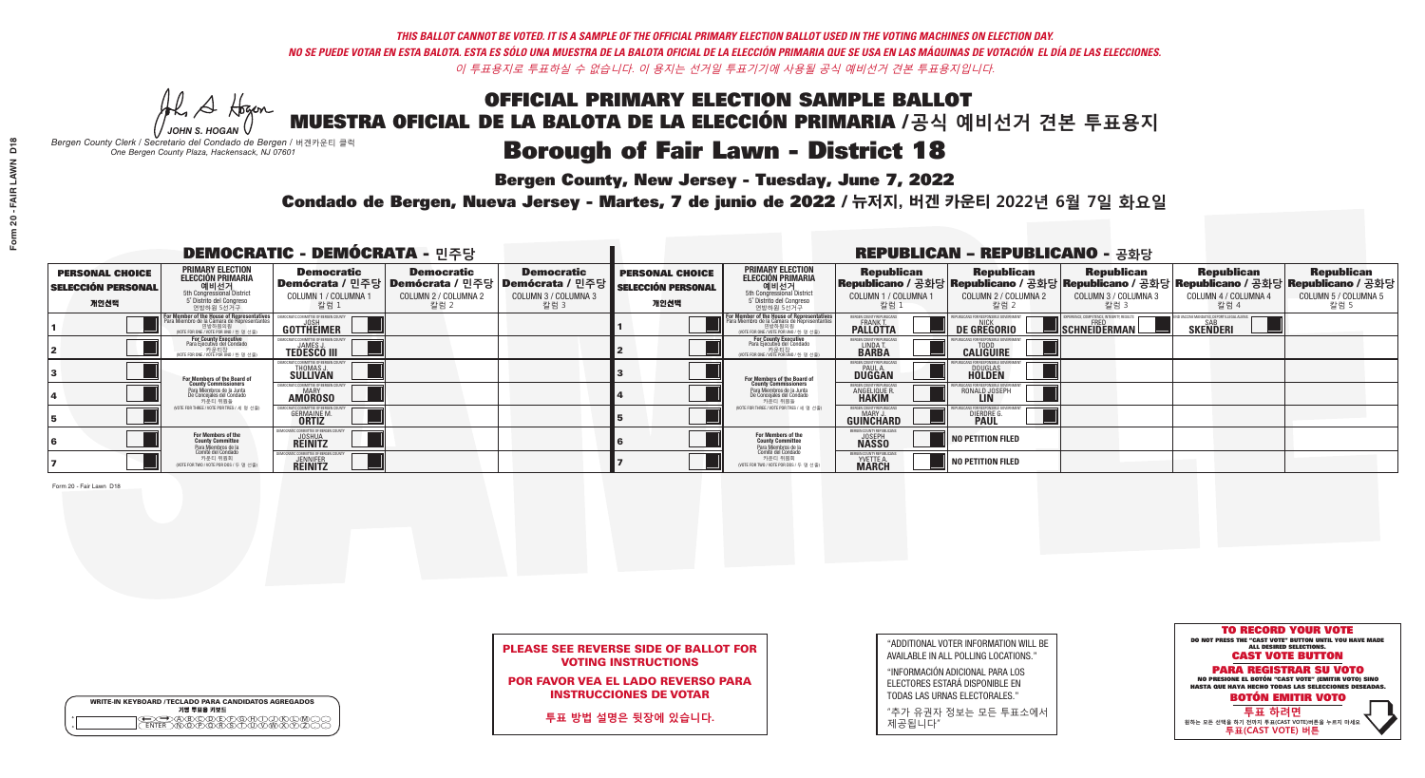He A Hogan *JOHN S. HOGAN*

| <b>WRITE-IN KEYBOARD /TECLADO PARA CANDIDATOS AGREGADOS</b><br>기명 투표용 키보드 |
|---------------------------------------------------------------------------|
| <u>ጥጠቅ ቅ</u>                                                              |

# **Borough of Fair Lawn - District 18**

**Bergen County, New Jersey - Tuesday, June 7, 2022** 

*Bergen County Clerk / Secretario del Condado de Bergen /* 버겐카운티 클럭 *One Bergen County Plaza, Hackensack, NJ 07601*

Condado de Bergen, Nueva Jersey - Martes, 7 de junio de 2022 / 뉴저지, 버겐 카운티 2022년 6월 7일 화요일 *One Bergen County Plaza, Hackensack, NJ 07601*



POR FAVOR VEA EL LADO REVERSO PARA INSTRUCCIONES DE VOTAR

**투표 방법 설명은 뒷장에 있습니다.**

"ADDITIONAL VOTER INFORMATION WILL BE AVAILABLE IN ALL POLLING LOCATIONS."

"INFORMACIÓN ADICIONAL PARA LOS ELECTORES ESTARÁ DISPONIBLE EN TODAS LAS URNAS ELECTORALES."

"추가 유권자 정보는 모든 투표소에서 제공됩니다"

| <b>DEMOCRATIC - DEMÓCRATA - 민주당</b>                         |                                                                                                                                                  |                                                             |                                                   |                                                                                                                   | <b>REPUBLICAN - REPUBLICANO - 공화당</b>                       |                                                                                                                                                                     |                                                                 |                                                                                                                                                 |                                                           |                                                               |                                                   |
|-------------------------------------------------------------|--------------------------------------------------------------------------------------------------------------------------------------------------|-------------------------------------------------------------|---------------------------------------------------|-------------------------------------------------------------------------------------------------------------------|-------------------------------------------------------------|---------------------------------------------------------------------------------------------------------------------------------------------------------------------|-----------------------------------------------------------------|-------------------------------------------------------------------------------------------------------------------------------------------------|-----------------------------------------------------------|---------------------------------------------------------------|---------------------------------------------------|
| <b>PERSONAL CHOICE</b><br><b>SELECCIÓN PERSONAL</b><br>개인선택 | <b>PRIMARY ELECTION</b><br>ELECCIÓN PRIMARIA<br>에비선거<br>5th Congressional District<br>5 <sup>*</sup> Distrite del Congreso<br>연방하원 5선거구          | <b>Democratic</b><br>COLUMN 1 / COLUMNA<br>칼럼 1             | <b>Democratic</b><br>COLUMN 2 / COLUMNA 2<br>칼럼 2 | <b>Democratic</b><br>  Demócrata / 민주당   Demócrata / 민주당   Demócrata / 민주당<br><b>COLUMN 3 / COLUMNA 3</b><br>칼럼 3 | <b>PERSONAL CHOICE</b><br><b>SELECCIÓN PERSONAL</b><br>개인선택 | <b>PRIMARY ELECTION</b><br>ELECCIÓN PRIMARIA<br>예비선거<br><sub>5</sub> bistrite del Congression<br>Sin Congressional District<br>5 Distrite del Congreso<br>연방하원 5선거구 | <b>Republican</b><br>COLUMN 1 / COLUMNA 1<br>"칼럼 1              | <b>Republican</b><br>Republicano / 공화당 Republicano / 공화당 Republicano / 공화당 Republicano / 공화당 Republicano / 공화당<br>COLUMN 2 / COLUMNA 2<br>-칼럼 2 | <b>Republican</b><br>COLUMN 3 / COLUMNA 3<br>칼럼 3         | <b>Republican</b><br>COLUMN 4 / COLUMNA 4<br>칼럼 4             | <b>Republican</b><br>COLUMN 5 / COLUMNA 5<br>칼럼 5 |
|                                                             | F <mark>or Member of the House of Representatives</mark><br>Para Miembro de la Cámara de Representantes<br>NOTE FOR ONE / VOTE POR UNO / 한 명 선출) | DEMOCRATIC COMMITTEE OF BERGEN COUN<br>GOTTHEIMER           |                                                   |                                                                                                                   |                                                             | F <mark>or Member of the House of Representatives</mark><br>Para Miembro de la Cámara de Representantes<br>NOTE FOR ONE / VOTE POR UNO / 한 명 선출)                    | BERGEN COUNTY REPUBLICANS<br><b>FRANK T.</b><br><b>PALLOTTA</b> | <b>DE GREGORIO</b>                                                                                                                              | XPERIENCE, COMPETENCE, INTEGRITY, RESULTS<br>SCHNEIDERMAN | ND VACCINE MANDATES, DEPORT ILLEGAL ALIENS<br><b>SKENDERI</b> |                                                   |
|                                                             | For County Executive<br>Para Ejecutivo del Condado<br>vOTE FOR ONE / VOTE POR UNO / 한 명 선출)                                                      | JAMES,<br><b>TEDESCO III</b>                                |                                                   |                                                                                                                   |                                                             | For County Executive<br>Para Ejecutivo del Condado<br>7) 카운티장<br>(VOTE FOR ONE / VOTE POR UNO / 한 명 선출)                                                             | BERGEN COUNTY REPUBLICAN<br>LINDA T.<br><b>BARBA</b>            | <b>CALIGUIRE</b>                                                                                                                                |                                                           |                                                               |                                                   |
|                                                             | For Members of the Board of<br>County Commissioners                                                                                              | <b>THOMAS J.</b><br><b>SULLIVAN</b>                         |                                                   |                                                                                                                   |                                                             | <b>For Members of the Board of County Commissioners</b>                                                                                                             | ERGEN COUNTY REPUBLICAN<br><b>PAUL A.</b><br><b>DUGGAN</b>      | <b>DOUGLAS</b>                                                                                                                                  |                                                           |                                                               |                                                   |
|                                                             | Para Miembros de la Junta<br>De Concejales del Condado<br>카운티 위원들                                                                                | IC COMMITTEE OF RERGEN COLIN<br>MARY<br><b>AMOROSO</b>      |                                                   |                                                                                                                   |                                                             | Para Miembros de la Junta<br>De Concejales del Condado<br>카운티 위원들                                                                                                   | FRGEN COUNTY REPUBLICAN<br><b>ANGELIQUE R</b>                   | RONALD JOSEPH                                                                                                                                   |                                                           |                                                               |                                                   |
|                                                             | (VOTE FOR THREE / VOTE POR TRES / 세 명 선출)                                                                                                        | <b>GERMAINE M.</b><br><b>ORTIZ</b>                          |                                                   |                                                                                                                   |                                                             | (VOTE FOR THREE / VOTE POR TRES / 세 명 선출)                                                                                                                           | ERGEN COUNTY REPUBLICAN<br>MARY J<br><b>GUINCHARD</b>           | <b>DIERDRE</b>                                                                                                                                  |                                                           |                                                               |                                                   |
|                                                             | For Members of the<br>County Committee                                                                                                           | MOCRATIC COMMITTEE OF BERGEN CO<br><b>JOSHUA</b><br>REINITZ |                                                   |                                                                                                                   |                                                             | For Members of the<br>County Committee                                                                                                                              | BERGEN COUNTY REPUBLICANS<br><b>JOSEPH</b>                      | NO PETITION FILED                                                                                                                               |                                                           |                                                               |                                                   |
|                                                             | Para Miembros de la<br>Comité del Condado<br>카운티 위원회<br>(VOTE FOR TWO / VOTE POR DOS / 두 명 선출)                                                   | (ATIC COMMITTEE OF BERGEN C<br><b>JENNIFER</b>              |                                                   |                                                                                                                   |                                                             | Para Miembros de la<br>Comité del Condado<br>카운티 위원회<br>(VOTE FOR TWO / VOTE POR DOS / 두 명 선출)                                                                      | BERGEN COUNTY REPUBLICAN<br><b>YVETTE A.</b><br><b>MARCH</b>    | NO PETITION FILED                                                                                                                               |                                                           |                                                               |                                                   |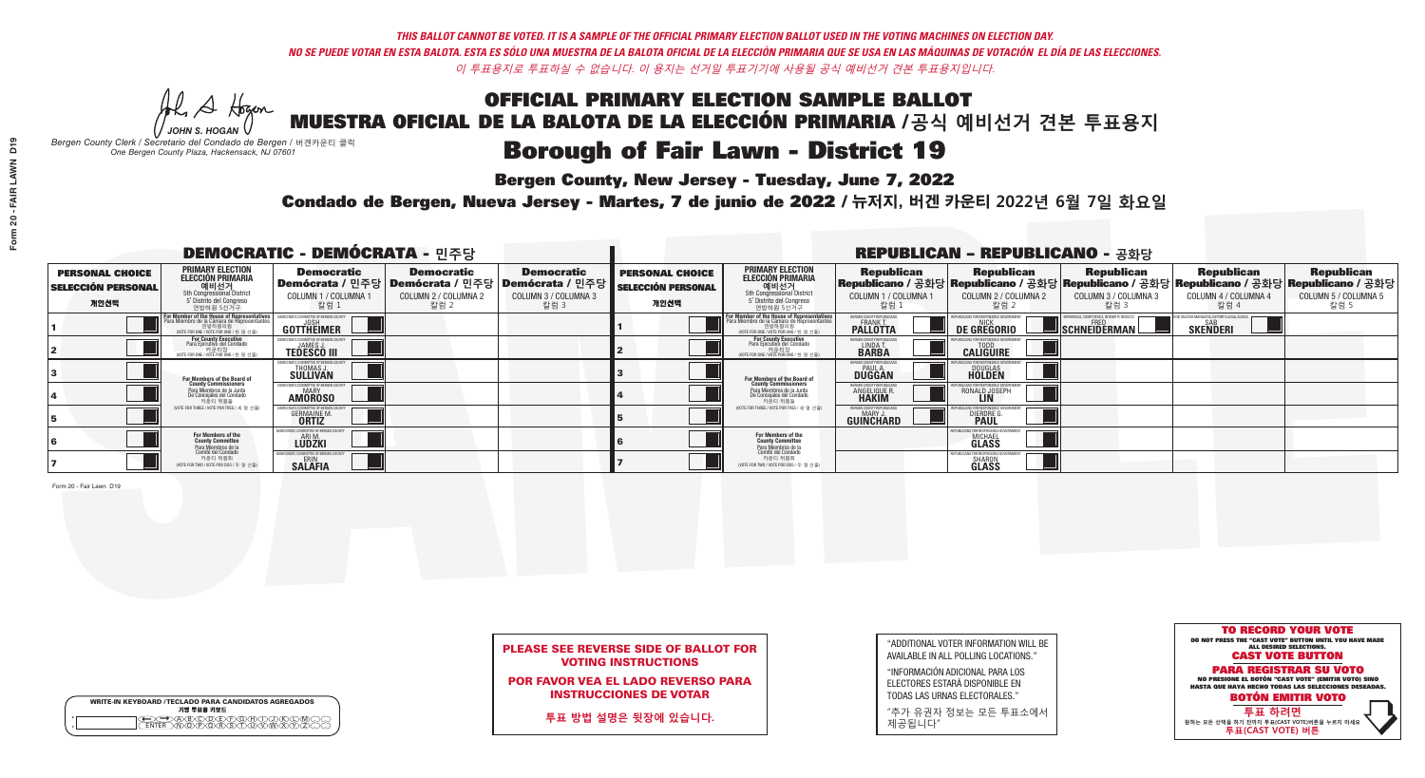He A Hogan *JOHN S. HOGAN*

# **Borough of Fair Lawn - District 19**

**Bergen County, New Jersey - Tuesday, June 7, 2022** 

*Bergen County Clerk / Secretario del Condado de Bergen /* 버겐카운티 클럭 *One Bergen County Plaza, Hackensack, NJ 07601*



## PLEASE SEE REVERSE SIDE OF BALLOT FOR VOTING INSTRUCTIONS

POR FAVOR VEA EL LADO REVERSO PARA INSTRUCCIONES DE VOTAR

**투표 방법 설명은 뒷장에 있습니다.**

|         | <b>WRITE-IN KEYBOARD /TECLADO PARA CANDIDATOS AGREGADOS</b> |
|---------|-------------------------------------------------------------|
| $\circ$ | 기명 투표용 키보드                                                  |
| $\circ$ |                                                             |

"ADDITIONAL VOTER INFORMATION WILL BE AVAILABLE IN ALL POLLING LOCATIONS."

"INFORMACIÓN ADICIONAL PARA LOS ELECTORES ESTARÁ DISPONIBLE EN TODAS LAS URNAS ELECTORALES."

"추가 유권자 정보는 모든 투표소에서 제공됩니다"

Condado de Bergen, Nueva Jersey - Martes, 7 de junio de 2022 / 뉴저지, 버겐 카운티 2022년 6월 7일 화요일 *One Bergen County Plaza, Hackensack, NJ 07601*

| <b>DEMOCRATIC - DEMÓCRATA - 민주당</b>                         |                                                                                                                                                      |                                                         |                                                   |                                                                                                            |                                                             |                                                                                                                                                  |                                                                      | <b>REPUBLICAN - REPUBLICANO - 공화당</b>                                                                                                            |                                                                  |                                                              |                                                   |
|-------------------------------------------------------------|------------------------------------------------------------------------------------------------------------------------------------------------------|---------------------------------------------------------|---------------------------------------------------|------------------------------------------------------------------------------------------------------------|-------------------------------------------------------------|--------------------------------------------------------------------------------------------------------------------------------------------------|----------------------------------------------------------------------|--------------------------------------------------------------------------------------------------------------------------------------------------|------------------------------------------------------------------|--------------------------------------------------------------|---------------------------------------------------|
| <b>PERSONAL CHOICE</b><br><b>SELECCIÓN PERSONAL</b><br>개인선택 | <b>PRIMARY ELECTION</b><br><b>ELECCIÓN PRIMARIA</b><br>예비선거<br>5th Congressional District<br>5° Distrito del Congreso<br>연방하원 5선거구                   | <b>Democratic</b><br>COLUMN 1 / COLUMNA<br>칼럼 1         | <b>Democratic</b><br>COLUMN 2 / COLUMNA 2<br>칼럼 2 | <b>Democratic</b><br>Demócrata / 민주당   Demócrata / 민주당   Demócrata / 민주당  <br>COLUMN 3 / COLUMNA 3<br>칼럼 3 | <b>PERSONAL CHOICE</b><br><b>SELECCIÓN PERSONAL</b><br>개인선택 | <b>PRIMARY ELECTION</b><br>ELECCIÓN PRIMARIA<br>예비선거<br>5th Congressional District<br>5 Distrito del Congreso<br>연방하원 5선거구                       | <b>Republican</b><br>COLUMN 1 / COLUMNA 1<br>"칼럼 1                   | <b>Republican</b><br> Republicano / 공화당 Republicano / 공화당 Republicano / 공화당 Republicano / 공화당 Republicano / 공화당<br>COLUMN 2 / COLUMNA 2<br>-칼럼 2 | <b>Republican</b><br>COLUMN 3 / COLUMNA 3<br>칼럼 3                | <b>Republican</b><br>COLUMN 4 / COLUMNA 4<br>칼럼 4            | <b>Republican</b><br>COLUMN 5 / COLUMNA 5<br>칼럼 5 |
|                                                             | <b>For Member of the House of Representatives</b><br>Para Miembro de la Cámara de Representantes<br>연방하원의원<br>(VOTE FOR ONE / VOTE POR UNO / 한 명 선출) | <b>COMMITTEE OF BERGEN COUNT</b><br>GOTTHEIMER          |                                                   |                                                                                                            |                                                             | F <mark>or Member of the House of Representatives</mark><br>Para Miembro de la Cámara de Representantes<br>NOTE FOR ONE / VOTE POR UNO / 한 명 선출) | BERGEN COUNTY REPUBLICANS<br><b>FRANK T.</b><br>PALLOTTA             | <b>DE GREGORIO</b>                                                                                                                               | <b>KPERIENCE, COMPETENCE, INTEGRITY, RESULTS</b><br>SCHNEIDERMAN | ND VACCINE MANDATES, DEPORT ILLEGAL ALIEN<br><b>SKENDERI</b> |                                                   |
|                                                             | For County Executive<br>Para Ejecutivo del Condado<br>/OTE FOR ONE / VOTE POR UNO / 한 명 선출)                                                          | <b>JAMES J</b><br><b>TEDESCO III</b>                    |                                                   |                                                                                                            |                                                             | For County Executive<br>Para Ejecutivo del Condado<br>. 카운티장<br>(VOTE FOR ONE / VOTE POR UNO / 한 명 선출)                                           | BERGEN COUNTY REPUBLICAN<br>LINDA T.                                 | <b>CALIGUIRE</b>                                                                                                                                 |                                                                  |                                                              |                                                   |
|                                                             | For Members of the Board of<br>County Commissioners                                                                                                  | IOCRATIC COMMITTEE OF BERGEN CO<br>THOMAS J.            |                                                   |                                                                                                            |                                                             | <b>For Members of the Board of County Commissioners</b>                                                                                          | BERGEN COUNTY REPUBLICAN<br><b>DUGGAN</b>                            | <b>DOUGLAS</b><br><b>HOLDEN</b>                                                                                                                  |                                                                  |                                                              |                                                   |
|                                                             | Para Miembros de la Junta<br>De Concejales del Condado<br>카운티 위원들                                                                                    | IOCRATIC COMMITTEE OF BERGEN COUNT<br><b>AMOROSO</b>    |                                                   |                                                                                                            |                                                             | Para Miembros de la Junta<br>De Concejales del Condado<br>카운티 위원들                                                                                | <b>ERGEN COUNTY REPUBLICAN</b><br><b>ANGELIQUE R</b><br><b>HAKIM</b> | RONALD JOSEPH                                                                                                                                    |                                                                  |                                                              |                                                   |
|                                                             | NOTE FOR THREE / VOTE POR TRES / 세 명 선출)                                                                                                             | <b>GERMAINE M</b><br><b>ORTIZ</b>                       |                                                   |                                                                                                            |                                                             | (VOTE FOR THREE / VOTE POR TRES / 세 명 선출)                                                                                                        | ERGEN COUNTY REPUBLICAN<br>MARY.<br><b>GUINCHARD</b>                 | <b>DIERDRE</b>                                                                                                                                   |                                                                  |                                                              |                                                   |
|                                                             | For Members of the<br>County Committee<br>Para Miembros de la                                                                                        | RATIC COMMITTEE OF BERGEN (<br><b>LUDZKI</b>            |                                                   |                                                                                                            |                                                             | <b>For Members of the<br/>County Committee</b>                                                                                                   |                                                                      | N ICANS ENR RESPONSIRI E<br><b>MICHAEL</b><br><b>GLASS</b>                                                                                       |                                                                  |                                                              |                                                   |
|                                                             | Comité del Condado<br>카운티 위원회<br>(VOTE FOR TWO / VOTE POR DOS / 두 명 선출)                                                                              | <b>10CRATIC COMMITTEE OF BERGEN C</b><br><b>SALAFIA</b> |                                                   |                                                                                                            |                                                             | Para Miembros de la<br>Comité del Condado<br>카운티 위원회<br>NOTE FOR TWO / VOTE POR DOS / 두 명 선출)                                                    |                                                                      | FPURLICANS FOR RESPONSIBLE<br>SHARON<br><b>GLASS</b>                                                                                             |                                                                  |                                                              |                                                   |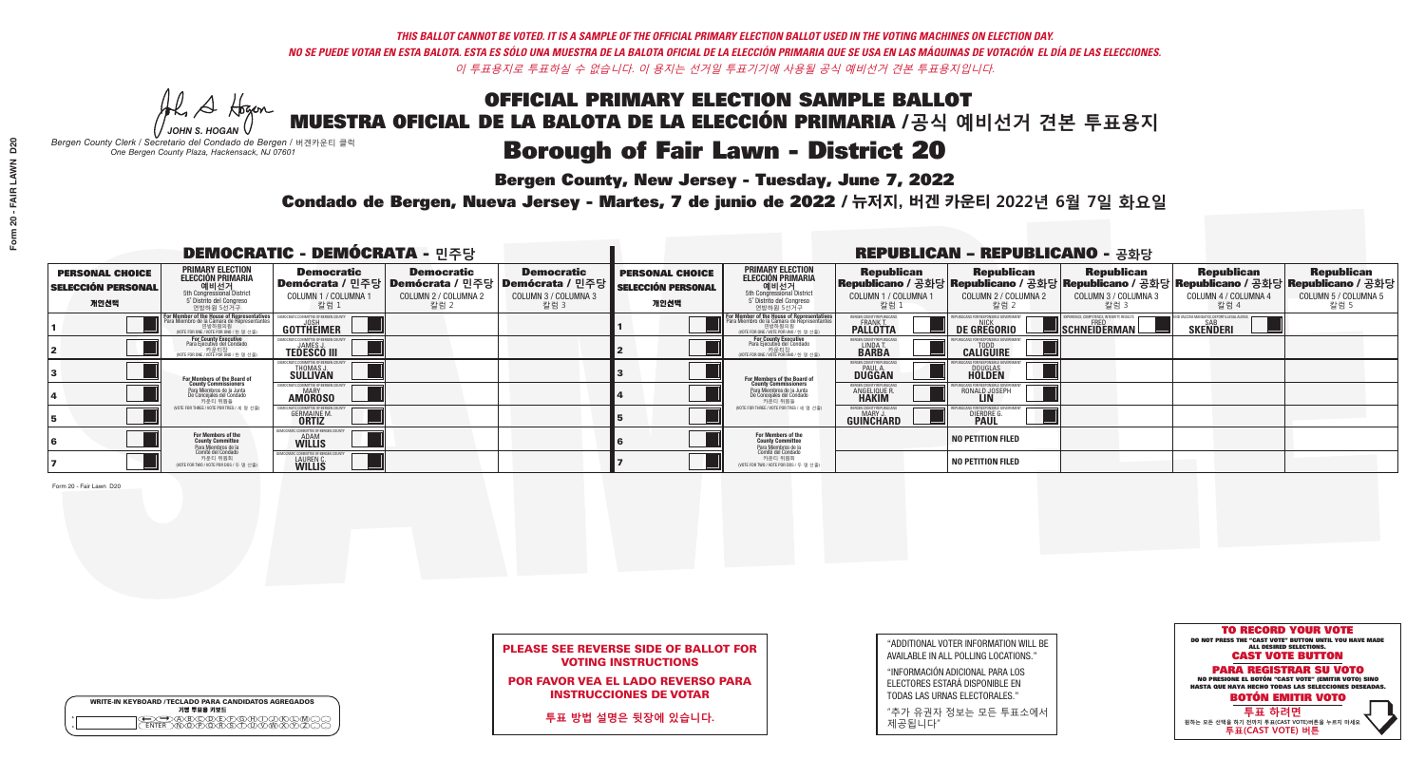He A Hogan *JOHN S. HOGAN*

| <b>WRITE-IN KEYBOARD /TECLADO PARA CANDIDATOS AGREGADOS</b><br>기명 투표용 키보드 |  |
|---------------------------------------------------------------------------|--|
| ABODELEARD<br><b>FNTFR</b>                                                |  |

# **Borough of Fair Lawn - District 20**

**Bergen County, New Jersey - Tuesday, June 7, 2022** 

*Bergen County Clerk / Secretario del Condado de Bergen /* 버겐카운티 클럭 *One Bergen County Plaza, Hackensack, NJ 07601*



## PLEASE SEE REVERSE SIDE OF BALLOT FOR VOTING INSTRUCTIONS

POR FAVOR VEA EL LADO REVERSO PARA INSTRUCCIONES DE VOTAR

**투표 방법 설명은 뒷장에 있습니다.**

|                         | 개 |
|-------------------------|---|
| 1                       |   |
| $\overline{\mathbf{2}}$ |   |
| 3                       |   |
| 4                       |   |

| "ADDITIONAL VOTER INFORMATION WILL BE |
|---------------------------------------|
| AVAILABLE IN ALL POLLING LOCATIONS."  |
|                                       |

"INFORMACIÓN ADICIONAL PARA LOS ELECTORES ESTARÁ DISPONIBLE EN TODAS LAS URNAS ELECTORALES."

"추가 유권자 정보는 모든 투표소에서 제공됩니다"

Condado de Bergen, Nueva Jersey - Martes, 7 de junio de 2022 / 뉴저지, 버겐 카운티 2022년 6월 7일 화요일 *One Bergen County Plaza, Hackensack, NJ 07601*

| <b>DEMOCRATIC - DEMÓCRATA - 민주당</b>                         |                                                                                                                                                             |                                                                |                                                                                        |                                                                      |                                                             |                                                                                                                                  |                                                                | <b>REPUBLICAN - REPUBLICANO - 공화당</b>              |                                                   |                                                                                                                                                |                                                   |
|-------------------------------------------------------------|-------------------------------------------------------------------------------------------------------------------------------------------------------------|----------------------------------------------------------------|----------------------------------------------------------------------------------------|----------------------------------------------------------------------|-------------------------------------------------------------|----------------------------------------------------------------------------------------------------------------------------------|----------------------------------------------------------------|----------------------------------------------------|---------------------------------------------------|------------------------------------------------------------------------------------------------------------------------------------------------|---------------------------------------------------|
| <b>PERSONAL CHOICE</b><br><b>SELECCIÓN PERSONAL</b><br>개인선택 | <b>PRIMARY ELECTION</b><br>ELECCIÓN PRIMARIA<br><b>O   LI   Al 7</b><br>5th Congressional District<br>5 <sup>t</sup> Distrito del Congreso<br>연방하원 5선거구     | <b>Democratic</b><br>COLUMN 1 / COLUMNA<br>칼럼 1                | <b>Democratic</b><br>│Demócrata / 민주당│Demócrata / 민주당│<br>COLUMN 2 / COLUMNA 2<br>칼럼 2 | <b>Democratic</b><br>Demócrata / 민주당<br>COLUMN 3 / COLUMNA 3<br>칼럼 3 | <b>PERSONAL CHOICE</b><br><b>SELECCIÓN PERSONAL</b><br>개인선택 | <b>PRIMARY ELECTION</b><br>ELECCIÓN PRIMARIA<br>예비선거<br>5th Congressional District<br>5 Distrito del Congreso<br>연방하원 5선거구       | <b>Republican</b><br>COLUMN 1 / COLUMNA 1<br>'칼럼 ∶             | <b>Republican</b><br>COLUMN 2 / COLUMNA 2<br>-칼럼 2 | <b>Republican</b><br>COLUMN 3 / COLUMNA 3<br>칼럼 3 | <b>Republican</b><br>Republicano / 공화당 Republicano / 공화당 Republicano / 공화당 Republicano / 공화당 Republicano / 공화당<br>COLUMN 4 / COLUMNA 4<br>칼럼 4 | <b>Republican</b><br>COLUMN 5 / COLUMNA 5<br>칼럼 5 |
|                                                             | F <mark>or Member of the House of Representatives</mark><br>Para Miembro de la Cámara de Representantes<br>연방하원의원<br>(VOTE FOR ONE / VOTE POR UNO / 한 명 선출) | COMMITTEE OF BERGEN C<br>GOTTHEIMER                            |                                                                                        |                                                                      |                                                             | For Member of the House of Representative<br>Para Miembro de la Cámara de Representante<br>NOTE FOR ONE / VOTE POR UNO / 한 명 선출) | BERGEN COUNTY REPUBLICAN<br><b>FRANK T.</b><br><b>PALLOTTA</b> | DE GREGORIO                                        | SCHNEIDERMAN                                      | D VACCINE MANDATES. DEPORT ILLEGAL ALIEN<br><b>SKENDERI</b>                                                                                    |                                                   |
|                                                             | For County Executive<br>Para Ejecutivo del Condado<br>가운티장<br>VOTE FOR ONE / VOTE POR UNO / 한 명 선출)                                                         | JEMOCRATIC COMMITTEE OF BERGEN (<br><b>TEDESCO III</b>         |                                                                                        |                                                                      |                                                             | <b>For County Executive</b><br>Para Ejecutivo del Condado<br>7 카운티장<br>(VOTE FOR ONE / VOTE POR UNO / 한 명 선출)                    | BERGEN COUNTY REPUBLICAN<br>LINDA T.                           | <b>CALIGUIRE</b>                                   |                                                   |                                                                                                                                                |                                                   |
|                                                             | For Members of the Board of<br>County Commissioners                                                                                                         | <b>THOMAS J.</b><br><b>SULLIVAN</b>                            |                                                                                        |                                                                      |                                                             | For Members of the Board of<br>County Commissioners                                                                              | ERGEN COUNTY REPUBLICAN<br><b>PAUL A.</b><br><b>DUGGAN</b>     | <b>DOUGLAS</b>                                     |                                                   |                                                                                                                                                |                                                   |
|                                                             | Para Miembros de la Junta<br>De Concejales del Condado<br>카운티 위원들                                                                                           | : COMMITTEE OF BERGEN CO<br><b>MARY</b><br><b>AMOROSO</b>      |                                                                                        |                                                                      |                                                             | Para Miembros de la Junta<br>De Concejales del Condado<br>카운티 위원들                                                                | <b>ERGEN COUNTY REPUBLICAN</b><br><b>ANGELIQUE R</b>           | RONALD JOSEPH<br><b>LIN</b>                        |                                                   |                                                                                                                                                |                                                   |
|                                                             | (VOTE FOR THREE / VOTE POR TRES / 세 명 선출)                                                                                                                   | <b>GERMAINE M.</b><br><b>ORTIZ</b>                             |                                                                                        |                                                                      |                                                             | (VOTE FOR THREE / VOTE POR TRES / 세 명 선출)                                                                                        | BERGEN COUNTY REPUBLICAN<br>MARY J.<br>GUINCHARD               | <b>DIERDRE</b>                                     |                                                   |                                                                                                                                                |                                                   |
|                                                             | For Members of the<br>County Committee                                                                                                                      | 10CRATIC COMMITTEE OF BERGEN (<br><b>ADAM</b><br><b>WILLIS</b> |                                                                                        |                                                                      |                                                             | For Members of the<br>County Committee                                                                                           |                                                                | <b>NO PETITION FILED</b>                           |                                                   |                                                                                                                                                |                                                   |
|                                                             | Para Miembros de la<br>Comité del Condado<br>카운티 위원회<br>(VOTE FOR TWO / VOTE POR DOS / 두 명 선출)                                                              | RATIC COMMITTEE OF BERGEN<br>LAUREN C.                         |                                                                                        |                                                                      |                                                             | Para Miembros de la<br>Comité del Condado<br>카운티 위원회<br>NOTE FOR TWO / VOTE POR DOS / 두 명 선출)                                    |                                                                | NO PETITION FILED                                  |                                                   |                                                                                                                                                |                                                   |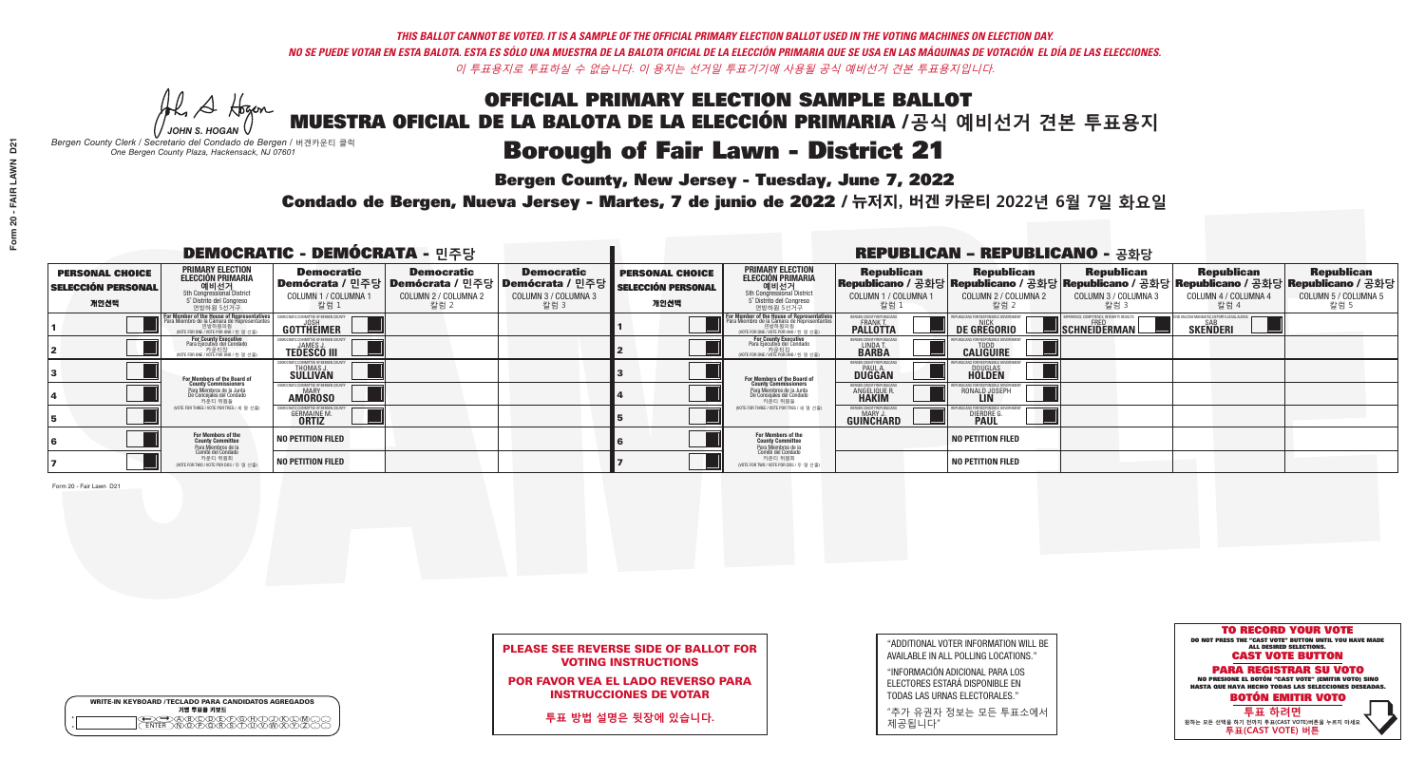## OFFICIAL PRIMARY ELECTION SAMPLE BALLOT MUESTRA OFICIAL DE LA BALOTA DE LA ELECCIÓN PRIMARIA /**공식 예비선거 견본 투표용지 Borough of Fair Lawn - District 21**

**Bergen County, New Jersey - Tuesday, June 7, 2022** 

He A Hogan *JOHN S. HOGAN*

*Bergen County Clerk / Secretario del Condado de Bergen /* 버겐카운티 클럭 *One Bergen County Plaza, Hackensack, NJ 07601*



## PLEASE SEE REVERSE SIDE OF BALLOT FOR VOTING INSTRUCTIONS

POR FAVOR VEA EL LADO REVERSO PARA INSTRUCCIONES DE VOTAR

**투표 방법 설명은 뒷장에 있습니다.**

WRITE-IN KEYBOARD /TECLADO PARA CANDIDATOS AGREGADOS<br>기명 투표용 키보드  $\bigoplus \bigoplus \mathbb{A} \oplus \mathbb{C} \oplus \mathbb{C} \oplus \mathbb{C} \oplus \mathbb{C} \oplus \mathbb{C} \cup \mathbb{W} \oplus \mathbb{Z} \oplus \mathbb{Z} \oplus \mathbb{C}$ 

| "ADDITIONAL VOTER INFORMATION WILL BE |
|---------------------------------------|
| AVAILABLE IN ALL POLLING LOCATIONS."  |
|                                       |

"INFORMACIÓN ADICIONAL PARA LOS ELECTORES ESTARÁ DISPONIBLE EN TODAS LAS URNAS ELECTORALES."

"추가 유권자 정보는 모든 투표소에서 제공됩니다"

Condado de Bergen, Nueva Jersey - Martes, 7 de junio de 2022 / 뉴저지, 버겐 카운티 2022년 6월 7일 화요일 *One Bergen County Plaza, Hackensack, NJ 07601*

| <b>DEMOCRATIC - DEMÓCRATA - 민주당</b>                         |                                                                                                                                              |                                                             |                                                   |                                                                                                        |                                                             |                                                                                                                                           |                                                         | <b>REPUBLICAN - REPUBLICANO - 공화당</b>              |                                                   |                                                                                                                                                |                                                   |
|-------------------------------------------------------------|----------------------------------------------------------------------------------------------------------------------------------------------|-------------------------------------------------------------|---------------------------------------------------|--------------------------------------------------------------------------------------------------------|-------------------------------------------------------------|-------------------------------------------------------------------------------------------------------------------------------------------|---------------------------------------------------------|----------------------------------------------------|---------------------------------------------------|------------------------------------------------------------------------------------------------------------------------------------------------|---------------------------------------------------|
| <b>PERSONAL CHOICE</b><br><b>SELECCIÓN PERSONAL</b><br>개인선택 | <b>PRIMARY ELECTION</b><br><b>ELECCIÓN PRIMARIA</b><br>5th Congressional District<br>5 <sup>o</sup> Distrito del Congreso<br>연방하원 5선거구       | <b>Democratic</b><br>COLUMN 1 / COLUMNA<br>칼럼 1             | <b>Democratic</b><br>COLUMN 2 / COLUMNA 2<br>칼럼 2 | <b>Democratic</b><br>│Demócrata / 민주당│Demócrata / 민주당│Demócrata / 민주당│<br>COLUMN 3 / COLUMNA 3<br>칼럼 3 | <b>PERSONAL CHOICE</b><br><b>SELECCIÓN PERSONAL</b><br>개인선택 | <b>PRIMARY ELECTION</b><br>ELECCIÓN PRIMARIA<br>5th Congressional District<br>5° Distrito del Congreso<br>연방하원 5선거구                       | <b>Republican</b><br>COLUMN 1 / COLUMNA 1<br>칼럼 :       | <b>Republican</b><br>COLUMN 2 / COLUMNA 2<br>-칼럼 2 | <b>Republican</b><br>COLUMN 3 / COLUMNA 3<br>칼럼 3 | <b>Republican</b><br>Republicano / 공화당 Republicano / 공화당 Republicano / 공화당 Republicano / 공화당 Republicano / 공화당<br>COLUMN 4 / COLUMNA 4<br>칼럼 4 | <b>Republican</b><br>COLUMN 5 / COLUMNA 5<br>칼럼 5 |
|                                                             | or Member of the House of Representatives<br>Para Miembro de la Cámara de Representantes<br>연방하원의원<br>(VOTE FOR ONE / VOTE POR UNO / 한 명 선출) | OMMITTEE OF BERGEN C<br><b>GOTTHEIMER</b>                   |                                                   |                                                                                                        |                                                             | <b>For Member of the House of Representatives<br/>Para Miembro de la Cámara de Representantes</b><br>WOTE FOR ONE / VOTE POR UNO / 하 명 선축 | BERGEN COUNTY REPUBLICANS<br><b>PALLOTTA</b>            | DE GREGORIO                                        | SCHNEIDERMAN                                      | ) VACCINE MANDATES. DEPORT ILLEGAL ALIEI<br><b>SAR</b><br>SKEÑDERI                                                                             |                                                   |
|                                                             | For County Executive<br>Para Ejecutivo del Condado<br>가운티장<br>VOTE FOR ONE / VOTE POR UNO / 한 명 선출)                                          | JEMOCRATIC COMMITTEE OF BERGEN C<br><b>TEDESCO III</b>      |                                                   |                                                                                                        |                                                             | For County Executive<br>Para Ejecutivo del Condado<br>. 카운티장<br>(VOTE FOR ONE / VOTE POR UNO / 한 명 선출)                                    | BERGEN COUNTY REPUBLICAN<br>LINDA T.                    | <b>CALIGUIRE</b>                                   |                                                   |                                                                                                                                                |                                                   |
|                                                             | For Members of the Board of<br>County Commissioners                                                                                          | THOMAS J.                                                   |                                                   |                                                                                                        |                                                             | For Members of the Board of<br>County Commissioners                                                                                       | BERGEN COUNTY REPUBLICAN<br><b>DUGGAN</b>               | <b>DOUGLAS</b>                                     |                                                   |                                                                                                                                                |                                                   |
|                                                             | Para Miembros de la Junta<br>De Concejales del Condado<br>카운티 위원들                                                                            | IC COMMITTEE OF BERGEN COL<br><b>MARY</b><br><b>AMOROSO</b> |                                                   |                                                                                                        |                                                             | Para Miembros de la Junta<br>De Concejales del Condado<br>카운티 위원들                                                                         | <b>FRGEN COUNTY REPUBLICAN</b><br>ANGELIQUE R           | RONALD JOSEPH<br><b>LIN</b>                        |                                                   |                                                                                                                                                |                                                   |
|                                                             | NOTE FOR THREE / VOTE POR TRES / 세 명 선출)                                                                                                     | <b>GERMAINE M.</b><br><b>ORTIZ</b>                          |                                                   |                                                                                                        |                                                             | (VOTE FOR THREE / VOTE POR TRES / 세 명 선출)                                                                                                 | BERGEN COUNTY REPUBLICAN<br>MARY J.<br><b>GUINCHARD</b> | <b>DIERDRE</b>                                     |                                                   |                                                                                                                                                |                                                   |
|                                                             | For Members of the<br>County Committee<br>Para Miembros de la<br>Comité del Condado                                                          | <b>NO PETITION FILED</b>                                    |                                                   |                                                                                                        |                                                             | For Members of the<br>County Committee<br>Para Miembros de la<br>Comité del Condado                                                       |                                                         | <b>NO PETITION FILED</b>                           |                                                   |                                                                                                                                                |                                                   |
|                                                             | 카운티 위원회<br>(VOTE FOR TWO / VOTE POR DOS / 두 명 선출)                                                                                            | <b>NO PETITION FILED</b>                                    |                                                   |                                                                                                        |                                                             | 카운티 위원회<br>NOTE FOR TWO / VOTE POR DOS / 두 명 선출)                                                                                          |                                                         | NO PETITION FILED                                  |                                                   |                                                                                                                                                |                                                   |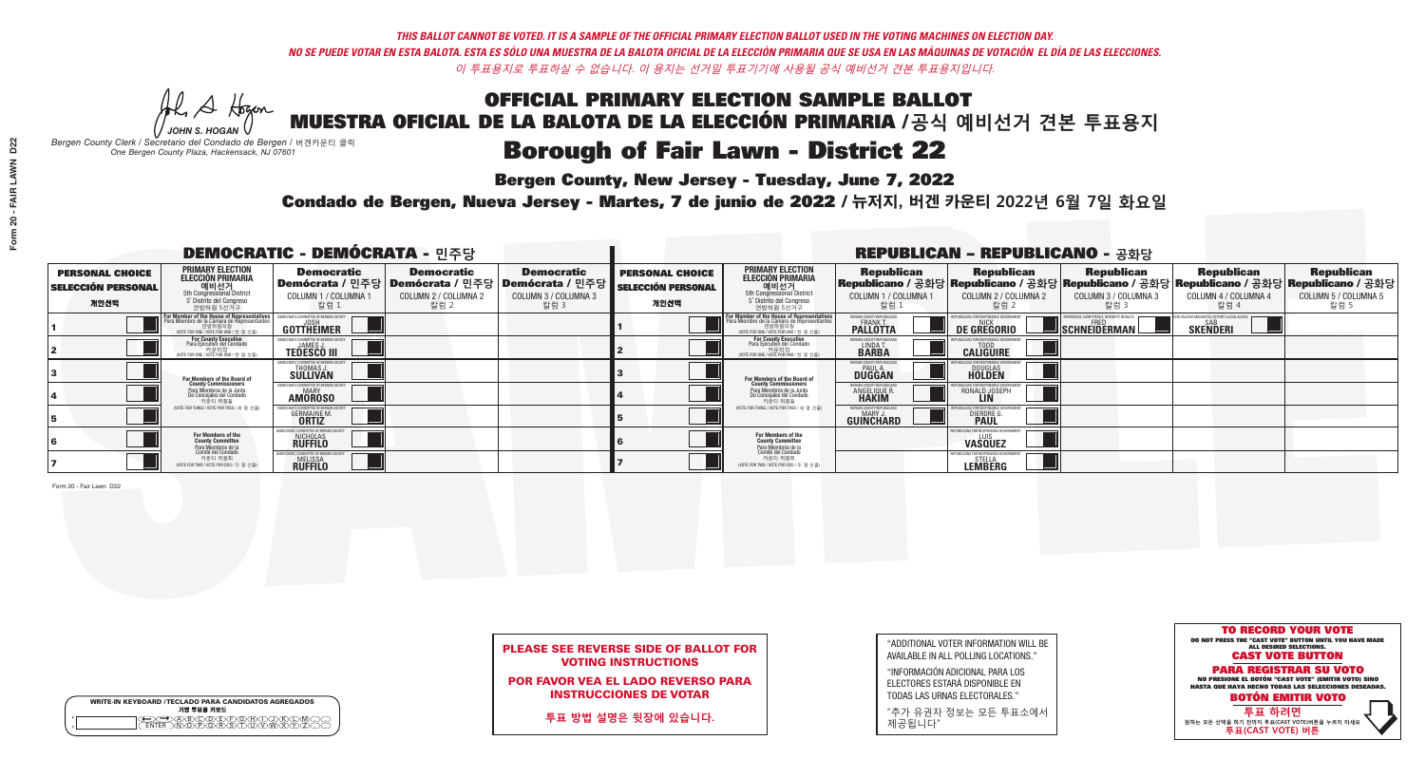He A Hogan *JOHN S. HOGAN*

# **Borough of Fair Lawn - District 22**

**Bergen County, New Jersey - Tuesday, June 7, 2022** 

*Bergen County Clerk / Secretario del Condado de Bergen /* 버겐카운티 클럭 *One Bergen County Plaza, Hackensack, NJ 07601*





## PLEASE SEE REVERSE SIDE OF BALLOT FOR VOTING INSTRUCTIONS

POR FAVOR VEA EL LADO REVERSO PARA INSTRUCCIONES DE VOTAR

**투표 방법 설명은 뒷장에 있습니다.**

"ADDITIONAL VOTER INFORMATION WILL BE AVAILABLE IN ALL POLLING LOCATIONS."

"INFORMACIÓN ADICIONAL PARA LOS ELECTORES ESTARÁ DISPONIBLE EN TODAS LAS URNAS ELECTORALES."

"추가 유권자 정보는 모든 투표소에서 제공됩니다"

Condado de Bergen, Nueva Jersey - Martes, 7 de junio de 2022 / 뉴저지, 버겐 카운티 2022년 6월 7일 화요일 *One Bergen County Plaza, Hackensack, NJ 07601*

| <b>DEMOCRATIC - DEMÓCRATA - 민주당</b>                         |                                                                                                                                         |                                                                                                      |                                                   |                                                                      |                                                             |                                                                                                                                                  |                                                                | <b>REPUBLICAN - REPUBLICANO - 공화당</b>                                                                                                           |                                                          |                                                               |                                                   |
|-------------------------------------------------------------|-----------------------------------------------------------------------------------------------------------------------------------------|------------------------------------------------------------------------------------------------------|---------------------------------------------------|----------------------------------------------------------------------|-------------------------------------------------------------|--------------------------------------------------------------------------------------------------------------------------------------------------|----------------------------------------------------------------|-------------------------------------------------------------------------------------------------------------------------------------------------|----------------------------------------------------------|---------------------------------------------------------------|---------------------------------------------------|
| <b>PERSONAL CHOICE</b><br><b>SELECCIÓN PERSONAL</b><br>개인선택 | <b>PRIMARY ELECTION</b><br>ELECCIÓN PRIMARIA<br>에비선거<br>5th Congressional District<br>5 <sup>*</sup> Distrite del Congreso<br>연방하원 5선거구 | <b>Democratic</b><br>  <b>Demócrata /</b> 민주당  <b>Demócrata /</b> 민주당 <br>COLUMN 1 / COLUMNA<br>칼럼 1 | <b>Democratic</b><br>COLUMN 2 / COLUMNA 2<br>칼럼 2 | <b>Democratic</b><br>Demócrata / 민주당<br>COLUMN 3 / COLUMNA 3<br>칼럼 3 | <b>PERSONAL CHOICE</b><br><b>SELECCIÓN PERSONAL</b><br>개인선택 | <b>PRIMARY ELECTION</b><br>ELECCIÓN PRIMARIA<br>예비선거<br><sub>5</sub> District<br>5 Distrite del Congreso<br>연방하원 5선거구                            | <b>Republican</b><br>COLUMN 1 / COLUMNA 1<br>.칼럼 :             | <b>Republican</b><br>Republicano / 공화당 Republicano / 공화당 Republicano / 공화당 Republicano / 공화당 Republicano / 공화당<br>COLUMN 2 / COLUMNA 2<br>-칼럼 2 | <b>Republican</b><br>COLUMN 3 / COLUMNA 3<br>칼럼 3        | <b>Republican</b><br>COLUMN 4 / COLUMNA 4<br>칼럼 4             | <b>Republican</b><br>COLUMN 5 / COLUMNA 5<br>칼럼 5 |
|                                                             | For Member of the House of Representatives<br>Para Miembro de la Cámara de Representantes<br>NOTE FOR ONE / VOTE POR UNO / 한 명 선출)      | COMMITTEE OF BERGEN CO<br>GOTTHEIMER                                                                 |                                                   |                                                                      |                                                             | F <mark>or Member of the House of Representatives</mark><br>Para Miembro de la Cámara de Representantes<br>NOTE FOR ONE / VOTE POR UNO / 한 명 선출) | BERGEN COUNTY REPUBLICAN<br><b>FRANK T.</b><br><b>PALLOTTA</b> | DE GREGORIO                                                                                                                                     | XPERIENCE, COMPETENCE, INTEGRITY, RESULT<br>SCHNEIDERMAN | ND VACCINE MANDATES, DEPORT ILLEGAL ALIENS<br><b>SKENDERI</b> |                                                   |
|                                                             | For County Executive<br>Para Ejecutivo del Condado<br>. 기운티장<br>VOTE FOR ONE / VOTE POR UNO / 한 명 선출)                                   | DEMOCRATIC COMMITTEE OF BERGEN C<br><b>JAMES</b><br><b>TEDESCO III</b>                               |                                                   |                                                                      |                                                             | <b>For County Executive</b><br>Para Ejecutivo del Condado<br>7) 카운티장<br>(VOTE FOR ONE / VOTE POR UNO / 한 명 선출)                                   | BERGEN COUNTY REPUBLICAN<br>LINDA T.<br><b>BARBA</b>           | <b>CALIGUIRE</b>                                                                                                                                |                                                          |                                                               |                                                   |
|                                                             | For Members of the Board of<br>County Commissioners                                                                                     | <b>THOMAS J.</b><br><b>SULLIVAN</b>                                                                  |                                                   |                                                                      |                                                             | <b>For Members of the Board of County Commissioners</b>                                                                                          | ERGEN COUNTY REPUBLICAN<br><b>PAUL A.</b><br><b>DUGGAN</b>     | <b>DOUGLAS</b>                                                                                                                                  |                                                          |                                                               |                                                   |
|                                                             | Para Miembros de la Junta<br>De Concejales del Condado<br>카우티 위원들                                                                       | IC COMMITTEE OF BERGEN COUN<br><b>MARY</b><br><b>AMOROSO</b>                                         |                                                   |                                                                      |                                                             | Para Miembros de la Junta<br>De Concejales del Condado<br>카운티 위원들                                                                                | RGEN COUNTY REPUBLICAN<br><b>ANGELIQUE F</b>                   | RONALD JOSEPH                                                                                                                                   |                                                          |                                                               |                                                   |
|                                                             | (VOTE FOR THREE / VOTE POR TRES / 세 명 선출)                                                                                               | <b>GERMAINE M.</b><br><b>ORTIZ</b>                                                                   |                                                   |                                                                      |                                                             | (VOTE FOR THREE / VOTE POR TRES / 세 명 선출)                                                                                                        | ERGEN COUNTY REPUBLICAN<br>MARY J<br><b>GUINCHARD</b>          | <b>DIERDRE G</b><br><b>PAUL</b>                                                                                                                 |                                                          |                                                               |                                                   |
|                                                             | For Members of the<br>County Committee<br>Para Miembros de la                                                                           | CRATIC COMMITTEE OF BERGEN C<br>NICHOLAS<br><b>RUFFILO</b>                                           |                                                   |                                                                      |                                                             | For Members of the<br>County Committee                                                                                                           |                                                                | JBI ICANS FOR RESPONSIBI E GOV<br>LUIS<br><b>VASQUEZ</b>                                                                                        |                                                          |                                                               |                                                   |
|                                                             | Comité del Condado<br>카운티 위원회<br>(VOTE FOR TWO / VOTE POR DOS / 두 명 선출)                                                                 | IC COMMITTEE OF BERGEN I<br><b>MELISSA</b><br><b>RUFFILO</b>                                         |                                                   |                                                                      |                                                             | Para Miembros de la<br>Comité del Condado<br>카운티 위원회<br>(VOTE FOR TWO / VOTE POR DOS / 두 명 선출)                                                   |                                                                | <b>STELLA</b><br><b>LEMBERG</b>                                                                                                                 |                                                          |                                                               |                                                   |